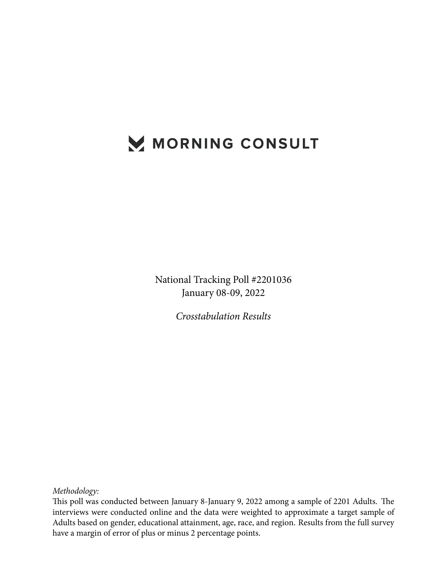# MORNING CONSULT

National Tracking Poll #2201036 January 08-09, 2022

*Crosstabulation Results*

*Methodology:*

This poll was conducted between January 8-January 9, 2022 among a sample of 2201 Adults. The interviews were conducted online and the data were weighted to approximate a target sample of Adults based on gender, educational attainment, age, race, and region. Results from the full survey have a margin of error of plus or minus 2 percentage points.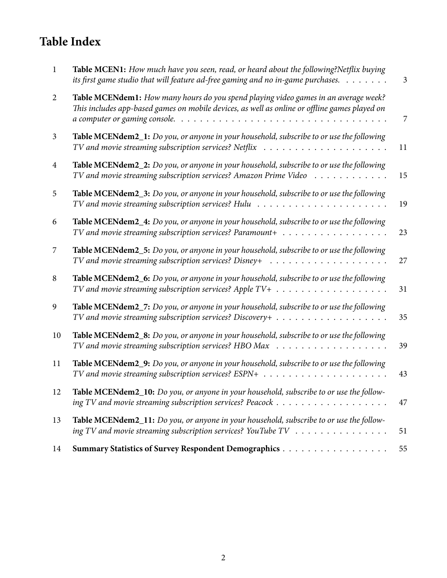# **Table Index**

| $\mathbf{1}$   | Table MCEN1: How much have you seen, read, or heard about the following?Netflix buying<br>its first game studio that will feature ad-free gaming and no in-game purchases. $\dots \dots$                              | $\mathfrak{Z}$ |
|----------------|-----------------------------------------------------------------------------------------------------------------------------------------------------------------------------------------------------------------------|----------------|
| $\overline{2}$ | Table MCENdem1: How many hours do you spend playing video games in an average week?<br>This includes app-based games on mobile devices, as well as online or offline games played on<br>a computer or gaming console. | 7              |
| 3              | Table MCENdem2_1: Do you, or anyone in your household, subscribe to or use the following                                                                                                                              | 11             |
| $\overline{4}$ | Table MCENdem2_2: Do you, or anyone in your household, subscribe to or use the following<br>TV and movie streaming subscription services? Amazon Prime Video                                                          | 15             |
| 5              | Table MCENdem2_3: Do you, or anyone in your household, subscribe to or use the following<br>$TV$ and movie streaming subscription services? Hulu $\ldots \ldots \ldots \ldots \ldots \ldots \ldots$                   | 19             |
| 6              | Table MCENdem2_4: Do you, or anyone in your household, subscribe to or use the following                                                                                                                              | 23             |
| 7              | Table MCENdem2_5: Do you, or anyone in your household, subscribe to or use the following<br>TV and movie streaming subscription services? Disney+ $\ldots \ldots \ldots \ldots \ldots \ldots \ldots$                  | 27             |
| 8              | Table MCENdem2_6: Do you, or anyone in your household, subscribe to or use the following                                                                                                                              | 31             |
| 9              | Table MCENdem2_7: Do you, or anyone in your household, subscribe to or use the following                                                                                                                              | 35             |
| 10             | Table MCENdem2_8: Do you, or anyone in your household, subscribe to or use the following<br>TV and movie streaming subscription services? HBO Max<br>.                                                                | 39             |
| 11             | Table MCENdem2_9: Do you, or anyone in your household, subscribe to or use the following                                                                                                                              | 43             |
| 12             | Table MCENdem2_10: Do you, or anyone in your household, subscribe to or use the follow-                                                                                                                               | 47             |
| 13             | Table MCENdem2_11: Do you, or anyone in your household, subscribe to or use the follow-<br>ing TV and movie streaming subscription services? YouTube $TV$                                                             | 51             |
| 14             |                                                                                                                                                                                                                       | 55             |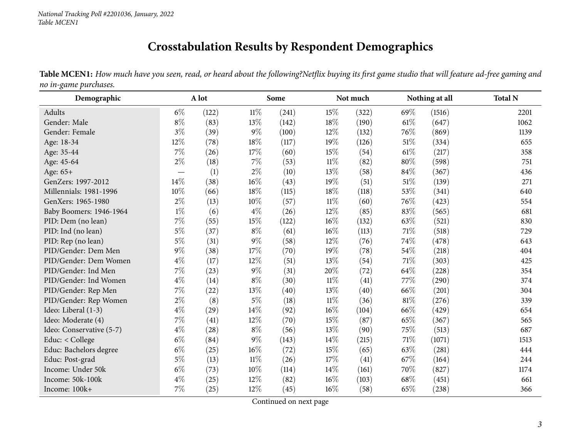### **Crosstabulation Results by Respondent Demographics**

Table MCEN1: How much have you seen, read, or heard about the following?Netflix buying its first game studio that will feature ad-free gaming and *no in-game purchases.*

<span id="page-2-0"></span>

| Demographic              | A lot |       |        | Some  |        | Not much |        | Nothing at all | <b>Total N</b> |
|--------------------------|-------|-------|--------|-------|--------|----------|--------|----------------|----------------|
| Adults                   | $6\%$ | (122) | $11\%$ | (241) | 15%    | (322)    | 69%    | (1516)         | 2201           |
| Gender: Male             | $8\%$ | (83)  | 13%    | (142) | 18%    | (190)    | 61%    | (647)          | 1062           |
| Gender: Female           | $3\%$ | (39)  | $9\%$  | (100) | 12%    | (132)    | 76%    | (869)          | 1139           |
| Age: 18-34               | 12%   | (78)  | 18%    | (117) | 19%    | (126)    | $51\%$ | (334)          | 655            |
| Age: 35-44               | 7%    | (26)  | 17%    | (60)  | 15%    | (54)     | $61\%$ | (217)          | 358            |
| Age: 45-64               | $2\%$ | (18)  | $7\%$  | (53)  | 11%    | (82)     | 80%    | (598)          | 751            |
| Age: 65+                 |       | (1)   | $2\%$  | (10)  | 13%    | (58)     | 84%    | (367)          | 436            |
| GenZers: 1997-2012       | 14\%  | (38)  | 16%    | (43)  | 19%    | (51)     | 51\%   | (139)          | 271            |
| Millennials: 1981-1996   | 10%   | (66)  | 18%    | (115) | 18%    | (118)    | 53%    | (341)          | 640            |
| GenXers: 1965-1980       | $2\%$ | (13)  | 10%    | (57)  | $11\%$ | (60)     | 76%    | (423)          | 554            |
| Baby Boomers: 1946-1964  | $1\%$ | (6)   | $4\%$  | (26)  | 12%    | (85)     | 83%    | (565)          | 681            |
| PID: Dem (no lean)       | $7\%$ | (55)  | 15%    | (122) | 16%    | (132)    | 63%    | (521)          | 830            |
| PID: Ind (no lean)       | $5\%$ | (37)  | $8\%$  | (61)  | 16%    | (113)    | 71%    | (518)          | 729            |
| PID: Rep (no lean)       | $5\%$ | (31)  | $9\%$  | (58)  | 12%    | (76)     | 74%    | (478)          | 643            |
| PID/Gender: Dem Men      | $9\%$ | (38)  | 17\%   | (70)  | 19%    | (78)     | 54%    | (218)          | 404            |
| PID/Gender: Dem Women    | $4\%$ | (17)  | 12%    | (51)  | 13%    | (54)     | 71\%   | (303)          | 425            |
| PID/Gender: Ind Men      | 7%    | (23)  | $9\%$  | (31)  | 20%    | (72)     | 64%    | (228)          | 354            |
| PID/Gender: Ind Women    | $4\%$ | (14)  | $8\%$  | (30)  | $11\%$ | (41)     | 77%    | (290)          | 374            |
| PID/Gender: Rep Men      | $7\%$ | (22)  | 13%    | (40)  | 13%    | (40)     | 66\%   | (201)          | 304            |
| PID/Gender: Rep Women    | $2\%$ | (8)   | $5\%$  | (18)  | $11\%$ | (36)     | 81%    | (276)          | 339            |
| Ideo: Liberal (1-3)      | $4\%$ | (29)  | 14\%   | (92)  | 16%    | (104)    | 66%    | (429)          | 654            |
| Ideo: Moderate (4)       | $7\%$ | (41)  | 12%    | (70)  | 15%    | (87)     | 65%    | (367)          | 565            |
| Ideo: Conservative (5-7) | $4\%$ | (28)  | $8\%$  | (56)  | 13\%   | (90)     | 75%    | (513)          | 687            |
| Educ: < College          | $6\%$ | (84)  | $9\%$  | (143) | 14%    | (215)    | 71%    | (1071)         | 1513           |
| Educ: Bachelors degree   | $6\%$ | (25)  | $16\%$ | (72)  | 15%    | (65)     | 63%    | (281)          | 444            |
| Educ: Post-grad          | $5\%$ | (13)  | $11\%$ | (26)  | 17\%   | (41)     | 67\%   | (164)          | 244            |
| Income: Under 50k        | $6\%$ | (73)  | 10%    | (114) | 14%    | (161)    | 70%    | (827)          | 1174           |
| Income: 50k-100k         | $4\%$ | (25)  | 12%    | (82)  | 16%    | (103)    | 68%    | (451)          | 661            |
| Income: 100k+            | 7%    | (25)  | 12%    | (45)  | 16%    | (58)     | 65%    | (238)          | 366            |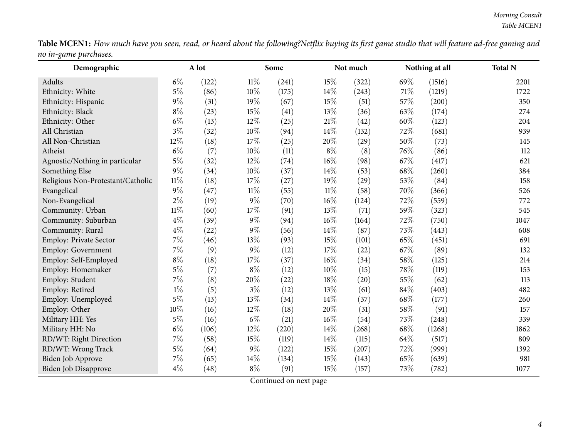|                       | <b>Table MCEN1:</b> How much have you seen, read, or heard about the following?Netflix buying its first game studio that will feature ad-free gaming and |  |
|-----------------------|----------------------------------------------------------------------------------------------------------------------------------------------------------|--|
| no in-game purchases. |                                                                                                                                                          |  |

| Demographic                       |        | A lot |        | Some  |        | Not much |     | Nothing at all | <b>Total N</b> |
|-----------------------------------|--------|-------|--------|-------|--------|----------|-----|----------------|----------------|
| Adults                            | $6\%$  | (122) | $11\%$ | (241) | 15%    | (322)    | 69% | (1516)         | 2201           |
| Ethnicity: White                  | $5\%$  | (86)  | 10%    | (175) | 14%    | (243)    | 71% | (1219)         | 1722           |
| Ethnicity: Hispanic               | $9\%$  | (31)  | 19%    | (67)  | 15%    | (51)     | 57% | (200)          | 350            |
| Ethnicity: Black                  | $8\%$  | (23)  | 15%    | (41)  | 13%    | (36)     | 63% | (174)          | 274            |
| Ethnicity: Other                  | $6\%$  | (13)  | 12%    | (25)  | $21\%$ | (42)     | 60% | (123)          | 204            |
| All Christian                     | $3\%$  | (32)  | 10%    | (94)  | 14%    | (132)    | 72% | (681)          | 939            |
| All Non-Christian                 | 12%    | (18)  | 17\%   | (25)  | 20%    | (29)     | 50% | (73)           | 145            |
| Atheist                           | $6\%$  | (7)   | 10%    | (11)  | $8\%$  | (8)      | 76% | (86)           | 112            |
| Agnostic/Nothing in particular    | $5\%$  | (32)  | 12%    | (74)  | $16\%$ | (98)     | 67% | (417)          | 621            |
| Something Else                    | $9\%$  | (34)  | 10%    | (37)  | 14\%   | (53)     | 68% | (260)          | 384            |
| Religious Non-Protestant/Catholic | $11\%$ | (18)  | 17%    | (27)  | 19%    | (29)     | 53% | (84)           | 158            |
| Evangelical                       | $9\%$  | (47)  | $11\%$ | (55)  | $11\%$ | (58)     | 70% | (366)          | 526            |
| Non-Evangelical                   | $2\%$  | (19)  | $9\%$  | (70)  | $16\%$ | (124)    | 72% | (559)          | 772            |
| Community: Urban                  | $11\%$ | (60)  | 17%    | (91)  | 13%    | (71)     | 59% | (323)          | 545            |
| Community: Suburban               | $4\%$  | (39)  | $9\%$  | (94)  | $16\%$ | (164)    | 72% | (750)          | 1047           |
| Community: Rural                  | $4\%$  | (22)  | $9\%$  | (56)  | 14%    | (87)     | 73% | (443)          | 608            |
| Employ: Private Sector            | 7%     | (46)  | 13%    | (93)  | $15\%$ | (101)    | 65% | (451)          | 691            |
| <b>Employ: Government</b>         | $7\%$  | (9)   | 9%     | (12)  | 17%    | (22)     | 67% | (89)           | 132            |
| Employ: Self-Employed             | $8\%$  | (18)  | 17%    | (37)  | $16\%$ | (34)     | 58% | (125)          | 214            |
| Employ: Homemaker                 | $5\%$  | (7)   | $8\%$  | (12)  | 10%    | (15)     | 78% | (119)          | 153            |
| Employ: Student                   | $7\%$  | (8)   | 20%    | (22)  | 18%    | (20)     | 55% | (62)           | 113            |
| Employ: Retired                   | $1\%$  | (5)   | $3\%$  | (12)  | 13%    | (61)     | 84% | (403)          | 482            |
| Employ: Unemployed                | $5\%$  | (13)  | 13%    | (34)  | 14%    | (37)     | 68% | (177)          | 260            |
| Employ: Other                     | 10%    | (16)  | 12%    | (18)  | 20%    | (31)     | 58% | (91)           | 157            |
| Military HH: Yes                  | $5\%$  | (16)  | $6\%$  | (21)  | $16\%$ | (54)     | 73% | (248)          | 339            |
| Military HH: No                   | $6\%$  | (106) | 12%    | (220) | 14%    | (268)    | 68% | (1268)         | 1862           |
| RD/WT: Right Direction            | 7%     | (58)  | 15%    | (119) | 14%    | (115)    | 64% | (517)          | 809            |
| RD/WT: Wrong Track                | $5\%$  | (64)  | 9%     | (122) | 15%    | (207)    | 72% | (999)          | 1392           |
| Biden Job Approve                 | 7%     | (65)  | 14%    | (134) | 15%    | (143)    | 65% | (639)          | 981            |
| Biden Job Disapprove              | $4\%$  | (48)  | $8\%$  | (91)  | 15%    | (157)    | 73% | (782)          | 1077           |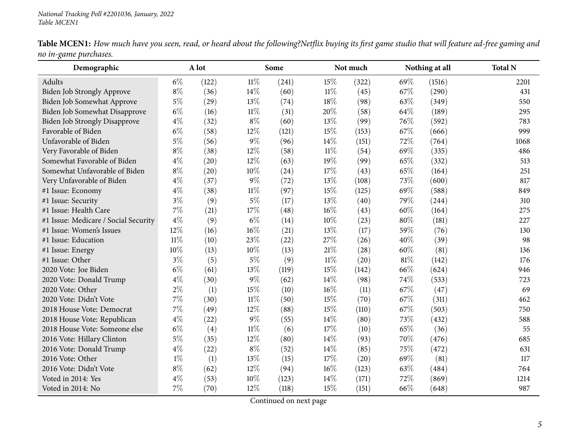| Demographic                          |        | A lot |        | Some  |        | Not much |        | Nothing at all | <b>Total N</b> |
|--------------------------------------|--------|-------|--------|-------|--------|----------|--------|----------------|----------------|
| Adults                               | $6\%$  | (122) | $11\%$ | (241) | 15%    | (322)    | 69%    | (1516)         | 2201           |
| Biden Job Strongly Approve           | $8\%$  | (36)  | 14\%   | (60)  | 11%    | (45)     | 67%    | (290)          | 431            |
| Biden Job Somewhat Approve           | $5\%$  | (29)  | 13%    | (74)  | 18%    | (98)     | 63%    | (349)          | 550            |
| Biden Job Somewhat Disapprove        | $6\%$  | (16)  | $11\%$ | (31)  | 20%    | (58)     | 64%    | (189)          | 295            |
| <b>Biden Job Strongly Disapprove</b> | $4\%$  | (32)  | $8\%$  | (60)  | 13%    | (99)     | 76%    | (592)          | 783            |
| Favorable of Biden                   | $6\%$  | (58)  | 12%    | (121) | 15%    | (153)    | 67%    | (666)          | 999            |
| Unfavorable of Biden                 | $5\%$  | (56)  | $9\%$  | (96)  | 14%    | (151)    | 72%    | (764)          | 1068           |
| Very Favorable of Biden              | $8\%$  | (38)  | 12%    | (58)  | $11\%$ | (54)     | 69%    | (335)          | 486            |
| Somewhat Favorable of Biden          | $4\%$  | (20)  | 12%    | (63)  | 19%    | (99)     | 65%    | (332)          | 513            |
| Somewhat Unfavorable of Biden        | $8\%$  | (20)  | 10%    | (24)  | 17%    | (43)     | 65%    | (164)          | 251            |
| Very Unfavorable of Biden            | $4\%$  | (37)  | $9\%$  | (72)  | 13%    | (108)    | 73%    | (600)          | 817            |
| #1 Issue: Economy                    | $4\%$  | (38)  | $11\%$ | (97)  | 15%    | (125)    | 69%    | (588)          | 849            |
| #1 Issue: Security                   | $3\%$  | (9)   | $5\%$  | (17)  | 13%    | (40)     | 79%    | (244)          | 310            |
| #1 Issue: Health Care                | $7\%$  | (21)  | 17%    | (48)  | 16%    | (43)     | 60%    | (164)          | 275            |
| #1 Issue: Medicare / Social Security | $4\%$  | (9)   | $6\%$  | (14)  | 10%    | (23)     | 80%    | (181)          | 227            |
| #1 Issue: Women's Issues             | 12%    | (16)  | $16\%$ | (21)  | 13%    | (17)     | 59%    | (76)           | 130            |
| #1 Issue: Education                  | $11\%$ | (10)  | 23%    | (22)  | 27%    | (26)     | 40%    | (39)           | 98             |
| #1 Issue: Energy                     | 10%    | (13)  | $10\%$ | (13)  | 21%    | (28)     | 60%    | (81)           | 136            |
| #1 Issue: Other                      | $3\%$  | (5)   | $5\%$  | (9)   | $11\%$ | (20)     | $81\%$ | (142)          | 176            |
| 2020 Vote: Joe Biden                 | $6\%$  | (61)  | 13%    | (119) | 15%    | (142)    | 66%    | (624)          | 946            |
| 2020 Vote: Donald Trump              | $4\%$  | (30)  | 9%     | (62)  | 14%    | (98)     | 74%    | (533)          | 723            |
| 2020 Vote: Other                     | $2\%$  | (1)   | 15%    | (10)  | 16%    | (11)     | 67%    | (47)           | 69             |
| 2020 Vote: Didn't Vote               | 7%     | (30)  | $11\%$ | (50)  | 15%    | (70)     | 67%    | (311)          | 462            |
| 2018 House Vote: Democrat            | 7%     | (49)  | $12\%$ | (88)  | 15%    | (110)    | 67\%   | (503)          | 750            |
| 2018 House Vote: Republican          | $4\%$  | (22)  | $9\%$  | (55)  | 14%    | (80)     | 73%    | (432)          | 588            |
| 2018 House Vote: Someone else        | $6\%$  | (4)   | $11\%$ | (6)   | 17%    | (10)     | 65%    | (36)           | 55             |
| 2016 Vote: Hillary Clinton           | $5\%$  | (35)  | 12%    | (80)  | 14%    | (93)     | 70%    | (476)          | 685            |
| 2016 Vote: Donald Trump              | $4\%$  | (22)  | $8\%$  | (52)  | 14%    | (85)     | 75%    | (472)          | 631            |
| 2016 Vote: Other                     | $1\%$  | (1)   | 13%    | (15)  | 17%    | (20)     | 69%    | (81)           | 117            |
| 2016 Vote: Didn't Vote               | $8\%$  | (62)  | 12%    | (94)  | 16%    | (123)    | 63%    | (484)          | 764            |
| Voted in 2014: Yes                   | $4\%$  | (53)  | 10%    | (123) | 14%    | (171)    | 72%    | (869)          | 1214           |
| Voted in 2014: No                    | 7%     | (70)  | 12%    | (118) | 15%    | (151)    | 66%    | (648)          | 987            |

Table MCEN1: How much have you seen, read, or heard about the following?Netflix buying its first game studio that will feature ad-free gaming and *no in-game purchases.*  $\overline{\phantom{0}}$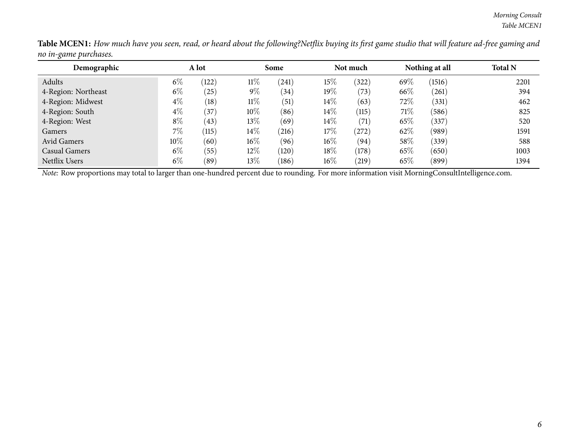| Demographic          | A lot  |       |        | Some       |        | Not much   |        | Nothing at all | <b>Total N</b> |
|----------------------|--------|-------|--------|------------|--------|------------|--------|----------------|----------------|
| Adults               | $6\%$  | (122) | $11\%$ | (241)      | 15%    | (322)      | 69%    | (1516)         | 2201           |
| 4-Region: Northeast  | $6\%$  | (25)  | $9\%$  | (34)       | $19\%$ | (73)       | 66\%   | (261)          | 394            |
| 4-Region: Midwest    | $4\%$  | (18)  | $11\%$ | (51)       | $14\%$ | (63)       | 72%    | (331)          | 462            |
| 4-Region: South      | $4\%$  | (37)  | $10\%$ | (86)       | $14\%$ | (115)      | 71\%   | (586)          | 825            |
| 4-Region: West       | $8\%$  | (43)  | 13\%   | (69)       | $14\%$ | (71)       | 65%    | (337)          | 520            |
| Gamers               | $7\%$  | (115) | $14\%$ | $^{(216)}$ | $17\%$ | $^{'}272)$ | 62%    | (989)          | 1591           |
| Avid Gamers          | $10\%$ | (60)  | $16\%$ | (96)       | $16\%$ | (94)       | 58\%   | (339)          | 588            |
| <b>Casual Gamers</b> | $6\%$  | (55)  | 12\%   | (120)      | $18\%$ | (178)      | 65%    | (650)          | 1003           |
| Netflix Users        | $6\%$  | (89)  | 13\%   | (186)      | $16\%$ | (219)      | $65\%$ | (899)          | 1394           |

Table MCEN1: How much have you seen, read, or heard about the following?Netflix buying its first game studio that will feature ad-free gaming and *no in-game purchases.*  $\overline{\phantom{0}}$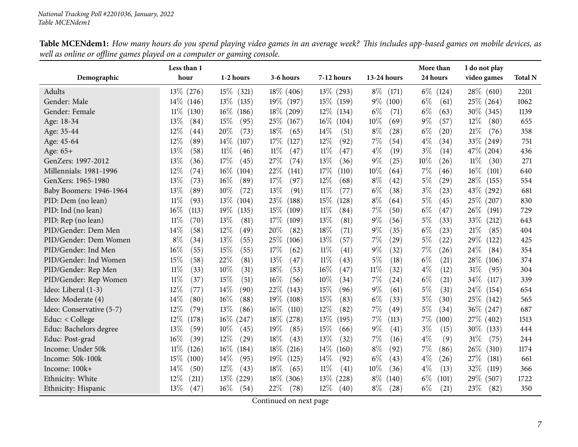<span id="page-6-0"></span>

|                          | Less than 1     |                 |                 |                 |                | More than                   | I do not play   |                |
|--------------------------|-----------------|-----------------|-----------------|-----------------|----------------|-----------------------------|-----------------|----------------|
| Demographic              | hour            | 1-2 hours       | 3-6 hours       | 7-12 hours      | 13-24 hours    | 24 hours                    | video games     | <b>Total N</b> |
| Adults                   | $13\%$ (276)    | $15\%$<br>(321) | $18\%$ (406)    | $13\%$<br>(293) | $8\%$<br>(171) | $6\%$<br>(124)              | $28\%$ (610)    | 2201           |
| Gender: Male             | $14\%$<br>(146) | $13\%$<br>(135) | 19\% (197)      | $15\%$<br>(159) | $9\%$<br>(100) | $6\%$<br>(61)               | $25\%$ (264)    | 1062           |
| Gender: Female           | $11\%$<br>(130) | $16\%$<br>(186) | $18\%$ (209)    | $12\%$<br>(134) | $6\%$<br>(71)  | $6\%$<br>(63)               | 30\% (345)      | 1139           |
| Age: 18-34               | 13\%<br>(84)    | 15%<br>(95)     | $25\%$<br>(167) | $16\%$<br>(104) | 10%<br>(69)    | $9\%$<br>(57)               | $12\%$<br>(80)  | 655            |
| Age: 35-44               | 12%<br>(44)     | 20%<br>(73)     | 18%<br>(65)     | 14\%<br>(51)    | $8\%$<br>(28)  | $6\%$<br>$\left( 20\right)$ | 21%<br>(76)     | 358            |
| Age: 45-64               | 12%<br>(89)     | 14%<br>(107)    | 17%<br>(127)    | 12%<br>(92)     | 7%<br>(54)     | $4\%$<br>(34)               | 33\% (249)      | 751            |
| Age: 65+                 | 13%<br>(58)     | 11%<br>(46)     | 11%<br>(47)     | $11\%$<br>(47)  | $4\%$<br>(19)  | $3\%$<br>(14)               | 47\% (204)      | 436            |
| GenZers: 1997-2012       | 13%<br>(36)     | 17%<br>(45)     | 27\%<br>(74)    | 13%<br>(36)     | $9\%$<br>(25)  | 10%<br>(26)                 | 11%<br>(30)     | 271            |
| Millennials: 1981-1996   | 12%<br>(74)     | $16\%$<br>(104) | 22%<br>(141)    | 17%<br>(110)    | 10%<br>(64)    | 7%<br>(46)                  | 16%<br>(101)    | 640            |
| GenXers: 1965-1980       | 13%<br>(73)     | 16%<br>(89)     | 17\%<br>(97)    | 12%<br>(68)     | $8\%$<br>(42)  | $5\%$<br>(29)               | 28%<br>(155)    | 554            |
| Baby Boomers: 1946-1964  | 13%<br>(89)     | 10%<br>(72)     | 13\%<br>(91)    | $11\%$<br>(77)  | $6\%$<br>(38)  | $3\%$<br>(23)               | 43\%<br>(292)   | 681            |
| PID: Dem (no lean)       | $11\%$<br>(93)  | 13%<br>(104)    | 23%<br>(188)    | 15%<br>(128)    | $8\%$<br>(64)  | $5\%$<br>(45)               | 25\%<br>(207)   | 830            |
| PID: Ind (no lean)       | 16%<br>(113)    | 19%<br>(135)    | 15%<br>(109)    | $11\%$<br>(84)  | 7%<br>(50)     | $6\%$<br>(47)               | 26\%<br>(191)   | 729            |
| PID: Rep (no lean)       | 11%<br>(70)     | 13%<br>(81)     | 17%<br>(109)    | 13%<br>(81)     | $9\%$<br>(56)  | $5\%$<br>(33)               | 33\%<br>(212)   | 643            |
| PID/Gender: Dem Men      | 14\%<br>(58)    | 12%<br>(49)     | 20%<br>(82)     | 18%<br>(71)     | $9\%$<br>(35)  | $6\%$<br>(23)               | 21%<br>(85)     | 404            |
| PID/Gender: Dem Women    | $8\%$<br>(34)   | 13%<br>(55)     | 25%<br>(106)    | 13%<br>(57)     | 7%<br>(29)     | $5\%$<br>(22)               | 29%<br>(122)    | 425            |
| PID/Gender: Ind Men      | 16%<br>(55)     | 15%<br>(55)     | 17%<br>(62)     | $11\%$<br>(41)  | $9\%$<br>(32)  | 7%<br>(26)                  | 24\%<br>(84)    | 354            |
| PID/Gender: Ind Women    | 15%<br>(58)     | 22%<br>(81)     | 13%<br>(47)     | $11\%$<br>(43)  | 5%<br>(18)     | $6\%$<br>(21)               | 28\%<br>(106)   | 374            |
| PID/Gender: Rep Men      | $11\%$<br>(33)  | 10%<br>(31)     | 18%<br>(53)     | 16%<br>(47)     | $11\%$<br>(32) | $4\%$<br>(12)               | $31\%$<br>(95)  | 304            |
| PID/Gender: Rep Women    | $11\%$<br>(37)  | 15%<br>(51)     | 16%<br>(56)     | 10%<br>(34)     | 7%<br>(24)     | $6\%$<br>(21)               | 34%<br>(117)    | 339            |
| Ideo: Liberal (1-3)      | 12%<br>(77)     | 14%<br>(90)     | 22%<br>(143)    | 15%<br>(96)     | $9\%$<br>(61)  | $5\%$<br>(31)               | 24\%<br>(154)   | 654            |
| Ideo: Moderate (4)       | 14%<br>(80)     | 16%<br>(88)     | $19\%$<br>(108) | 15%<br>(83)     | $6\%$<br>(33)  | $5\%$<br>(30)               | 25\%<br>(142)   | 565            |
| Ideo: Conservative (5-7) | 12%<br>(79)     | 13%<br>(86)     | $16\%$<br>(110) | 12%<br>(82)     | 7%<br>(49)     | $5\%$<br>(34)               | $36\%$ (247)    | 687            |
| Educ: $<$ College        | $12\%$<br>(178) | $16\%$<br>(247) | $18\%$<br>(278) | 13%<br>(195)    | 7%<br>(113)    | $7\%$<br>(100)              | 27\% (402)      | 1513           |
| Educ: Bachelors degree   | 13%<br>(59)     | 10%<br>(45)     | 19%<br>(85)     | 15%<br>(66)     | $9\%$<br>(41)  | $3\%$<br>(15)               | $30\%$<br>(133) | 444            |
| Educ: Post-grad          | 16%<br>(39)     | 12%<br>(29)     | 18%<br>(43)     | 13%<br>(32)     | 7%<br>(16)     | $4\%$<br>(9)                | 31%<br>(75)     | 244            |
| Income: Under 50k        | $11\%$<br>(126) | $16\%$<br>(184) | $18\%$<br>(216) | 14%<br>(160)    | $8\%$<br>(92)  | 7%<br>(86)                  | 26\%<br>(310)   | 1174           |
| Income: 50k-100k         | 15%<br>(100)    | 14%<br>(95)     | $19\%$<br>(125) | 14\%<br>(92)    | $6\%$<br>(43)  | $4\%$<br>(26)               | 27\%<br>(181)   | 661            |
| Income: 100k+            | 14\%<br>(50)    | 12%<br>(43)     | 18%<br>(65)     | 11%<br>(41)     | 10%<br>(36)    | $4\%$<br>(13)               | 32%<br>(119)    | 366            |
| Ethnicity: White         | 12%<br>(211)    | 13\%<br>(229)   | 18\%<br>(306)   | 13%<br>(228)    | $8\%$<br>(140) | $6\%$<br>(101)              | 29%<br>(507)    | 1722           |
| Ethnicity: Hispanic      | $13\%$<br>(47)  | $16\%$<br>(54)  | 22%<br>(78)     | $12\%$<br>(40)  | $8\%$<br>(28)  | $6\%$<br>(21)               | 23%<br>(82)     | 350            |

Table MCENdem1: How many hours do you spend playing video games in an average week? This includes app-based games on mobile devices, as well as online or offline games played on a computer or gaming console.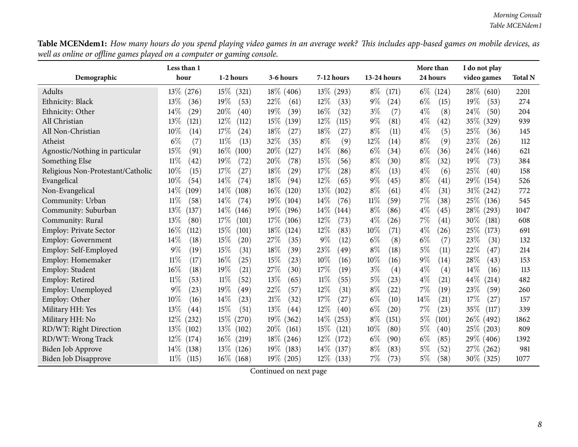Table MCENdem1: How many hours do you spend playing video games in an average week? This includes app-based games on mobile devices, as well as online or offline games played on a computer or gaming console.

|                                   | Less than 1     |                           |                 |                 |                | More than                   | I do not play             |                |
|-----------------------------------|-----------------|---------------------------|-----------------|-----------------|----------------|-----------------------------|---------------------------|----------------|
| Demographic                       | hour            | 1-2 hours                 | 3-6 hours       | 7-12 hours      | 13-24 hours    | 24 hours                    | video games               | <b>Total N</b> |
| Adults                            | 13\% (276)      | $15\%$<br>(321)           | $18\%$ (406)    | $13\%$<br>(293) | $8\%$<br>(171) | $6\%$<br>(124)              | $28\%$ (610)              | 2201           |
| Ethnicity: Black                  | 13%<br>(36)     | 19%<br>(53)               | 22%<br>(61)     | 12%<br>(33)     | $9\%$<br>(24)  | $6\%$<br>(15)               | 19%<br>(53)               | 274            |
| Ethnicity: Other                  | 14\%<br>(29)    | 20%<br>(40)               | $19\%$<br>(39)  | $16\%$<br>(32)  | $3\%$<br>(7)   | $4\%$<br>(8)                | 24%<br>(50)               | 204            |
| All Christian                     | 13%<br>(121)    | $12\%$<br>(112)           | 15%<br>(139)    | 12%<br>(115)    | $9\%$<br>(81)  | $4\%$<br>(42)               | 35\%<br>(329)             | 939            |
| All Non-Christian                 | 10%<br>(14)     | 17%<br>(24)               | $18\%$<br>(27)  | 18%<br>(27)     | $8\%$<br>(11)  | $4\%$<br>(5)                | 25%<br>(36)               | 145            |
| Atheist                           | $6\%$<br>(7)    | $11\%$<br>(13)            | 32%<br>(35)     | $8\%$<br>(9)    | 12%<br>(14)    | $8\%$<br>(9)                | 23%<br>(26)               | 112            |
| Agnostic/Nothing in particular    | 15%<br>(91)     | $16\%$<br>(100)           | 20%<br>(127)    | 14%<br>(86)     | $6\%$<br>(34)  | $6\%$<br>(36)               | $24\%$<br>(146)           | 621            |
| Something Else                    | $11\%$<br>(42)  | 19%<br>(72)               | 20%<br>(78)     | 15%<br>(56)     | $8\%$<br>(30)  | $8\%$<br>(32)               | 19%<br>(73)               | 384            |
| Religious Non-Protestant/Catholic | 10%<br>(15)     | 17%<br>(27)               | 18%<br>(29)     | 17%<br>(28)     | $8\%$<br>(13)  | $4\%$<br>(6)                | 25%<br>$\left( 40\right)$ | 158            |
| Evangelical                       | 10%<br>(54)     | 14%<br>(74)               | 18\%<br>(94)    | 12%<br>(65)     | $9\%$<br>(45)  | $8\%$<br>(41)               | 29\%<br>(154)             | 526            |
| Non-Evangelical                   | 14%<br>(109)    | 14%<br>(108)              | $16\%$<br>(120) | 13\%<br>(102)   | $8\%$<br>(61)  | $4\%$<br>(31)               | $31\%$ (242)              | 772            |
| Community: Urban                  | 11%<br>(58)     | 14%<br>(74)               | $19\%$<br>(104) | 14%<br>(76)     | $11\%$<br>(59) | 7%<br>(38)                  | 25%<br>(136)              | 545            |
| Community: Suburban               | 13%<br>(137)    | 14%<br>(146)              | 19%<br>(196)    | 14%<br>(144)    | $8\%$<br>(86)  | $4\%$<br>(45)               | 28\%<br>(293)             | 1047           |
| Community: Rural                  | 13%<br>(80)     | 17%<br>(101)              | $17\%$<br>(106) | 12%<br>(73)     | $4\%$<br>(26)  | $7\%$<br>$\left( 41\right)$ | 30%<br>(181)              | 608            |
| Employ: Private Sector            | 16%<br>(112)    | 15%<br>(101)              | 18\%<br>(124)   | 12%<br>(83)     | 10%<br>(71)    | $4\%$<br>(26)               | 25\%<br>(173)             | 691            |
| Employ: Government                | 14%<br>(18)     | 15%<br>(20)               | 27\%<br>(35)    | 9%<br>(12)      | $6\%$<br>(8)   | $6\%$<br>(7)                | 23%<br>(31)               | 132            |
| Employ: Self-Employed             | $9\%$<br>(19)   | 15%<br>(31)               | 18%<br>(39)     | 23%<br>(49)     | $8\%$<br>(18)  | 5%<br>(11)                  | 22%<br>(47)               | 214            |
| Employ: Homemaker                 | 11%<br>(17)     | $16\%$<br>(25)            | 15%<br>(23)     | 10%<br>(16)     | 10%<br>(16)    | $9\%$<br>(14)               | 28%<br>(43)               | 153            |
| Employ: Student                   | 16%<br>(18)     | 19%<br>$\left( 21\right)$ | 27\%<br>(30)    | 17%<br>(19)     | $3\%$<br>(4)   | $4\%$<br>(4)                | 14%<br>(16)               | 113            |
| Employ: Retired                   | $11\%$<br>(53)  | $11\%$<br>(52)            | 13%<br>(65)     | $11\%$<br>(55)  | 5%<br>(23)     | $4\%$<br>(21)               | 44\%<br>(214)             | 482            |
| Employ: Unemployed                | $9\%$<br>(23)   | 19%<br>(49)               | 22%<br>(57)     | 12%<br>(31)     | $8\%$<br>(22)  | $7\%$<br>(19)               | 23%<br>(59)               | 260            |
| Employ: Other                     | 10%<br>(16)     | 14%<br>(23)               | 21%<br>(32)     | 17%<br>(27)     | $6\%$<br>(10)  | 14%<br>(21)                 | 17%<br>(27)               | 157            |
| Military HH: Yes                  | 13%<br>(44)     | 15%<br>(51)               | $13\%$<br>(44)  | 12%<br>(40)     | $6\%$<br>(20)  | $7\%$<br>(23)               | 35%<br>(117)              | 339            |
| Military HH: No                   | $12\%$<br>(232) | 15%<br>(270)              | $19\%$<br>(362) | 14%<br>(253)    | $8\%$<br>(151) | 5%<br>(101)                 | 26\% (492)                | 1862           |
| RD/WT: Right Direction            | 13\%<br>(102)   | $13\%$<br>(102)           | 20%<br>(161)    | 15%<br>(121)    | 10%<br>(80)    | $5\%$<br>(40)               | $25\%$ (203)              | 809            |
| RD/WT: Wrong Track                | $12\%$<br>(174) | $16\%$<br>(219)           | $18\%$ (246)    | $12\%$<br>(172) | $6\%$<br>(90)  | $6\%$<br>(85)               | 29\% (406)                | 1392           |
| Biden Job Approve                 | 14%<br>(138)    | 13\%<br>(126)             | $19\%$<br>(183) | 14%<br>(137)    | $8\%$<br>(83)  | 5%<br>(52)                  | $27\%$ (262)              | 981            |
| Biden Job Disapprove              | $11\%$<br>(115) | $16\%$<br>(168)           | 19\% (205)      | $12\%$<br>(133) | 7%<br>(73)     | 5%<br>(58)                  | $30\%$ (325)              | 1077           |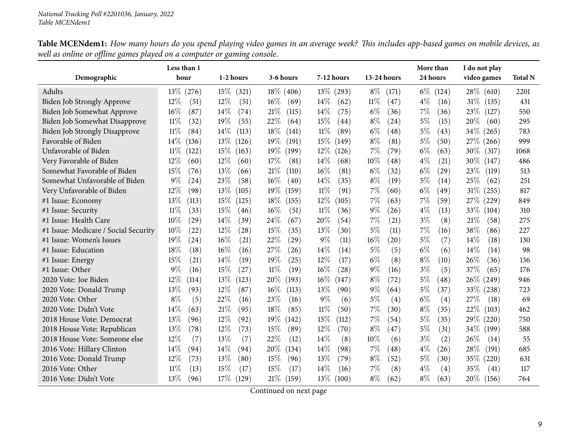|                                      | Less than 1     |                |                 |                 |                              | More than     | I do not play   |                |
|--------------------------------------|-----------------|----------------|-----------------|-----------------|------------------------------|---------------|-----------------|----------------|
| Demographic                          | hour            | 1-2 hours      | 3-6 hours       | 7-12 hours      | 13-24 hours                  | 24 hours      | video games     | <b>Total N</b> |
| Adults                               | $13\%$ (276)    | 15%<br>(321)   | $18\%$ (406)    | $13\%$ (293)    | $8\%$<br>(171)               | $6\%$ (124)   | $28\%$ (610)    | 2201           |
| Biden Job Strongly Approve           | $12\%$<br>(51)  | $12\%$<br>(51) | $16\%$<br>(69)  | 14%<br>(62)     | $11\%$<br>(47)               | $4\%$<br>(16) | $31\%$ (135)    | 431            |
| Biden Job Somewhat Approve           | 16%<br>(87)     | 14%<br>(74)    | 21%<br>(115)    | 14\%<br>(75)    | $6\%$<br>(36)                | 7%<br>(36)    | 23\%<br>(127)   | 550            |
| Biden Job Somewhat Disapprove        | 11%<br>(32)     | 19%<br>(55)    | 22%<br>(64)     | 15%<br>(44)     | $8\%$<br>(24)                | $5\%$<br>(15) | 20%<br>(60)     | 295            |
| <b>Biden Job Strongly Disapprove</b> | 11%<br>(84)     | 14\%<br>(113)  | $18\%$<br>(141) | 11%<br>(89)     | $6\%$<br>$\left( 48\right)$  | 5%<br>(43)    | $34\%$ (265)    | 783            |
| Favorable of Biden                   | $14\%$<br>(136) | 13%<br>(126)   | 19%<br>(191)    | 15%<br>(149)    | $8\%$<br>(81)                | 5%<br>(50)    | 27\% (266)      | 999            |
| Unfavorable of Biden                 | 11%<br>(122)    | 15%<br>(163)   | 19%<br>(199)    | $12\%$<br>(126) | 7%<br>(79)                   | $6\%$<br>(63) | 30\% (317)      | 1068           |
| Very Favorable of Biden              | $12\%$<br>(60)  | 12%<br>(60)    | 17%<br>(81)     | 14\%<br>(68)    | $10\%$<br>$\left( 48\right)$ | $4\%$<br>(21) | 30\% (147)      | 486            |
| Somewhat Favorable of Biden          | 15%<br>(76)     | 13%<br>(66)    | 21\%<br>(110)   | 16%<br>(81)     | $6\%$<br>(32)                | $6\%$<br>(29) | 23%<br>(119)    | 513            |
| Somewhat Unfavorable of Biden        | $9\%$<br>(24)   | 23%<br>(58)    | 16%<br>(40)     | 14%<br>(35)     | $8\%$<br>(19)                | $5\%$<br>(14) | 25%<br>(62)     | 251            |
| Very Unfavorable of Biden            | $12\%$<br>(98)  | 13%<br>(105)   | $19\%$<br>(159) | $11\%$<br>(91)  | $7\%$<br>(60)                | $6\%$<br>(49) | $31\%$<br>(255) | 817            |
| #1 Issue: Economy                    | 13%<br>(113)    | 15%<br>(125)   | 18%<br>(155)    | $12\%$<br>(105) | $7\%$<br>(63)                | 7%<br>(59)    | 27% (229)       | 849            |
| #1 Issue: Security                   | $11\%$<br>(33)  | 15%<br>(46)    | 16%<br>(51)     | $11\%$<br>(36)  | $9\%$<br>(26)                | $4\%$<br>(13) | 33%<br>(104)    | 310            |
| #1 Issue: Health Care                | 10%<br>(29)     | 14\%<br>(39)   | 24\%<br>(67)    | 20%<br>(54)     | 7%<br>(21)                   | $3\%$<br>(8)  | 21%<br>(58)     | 275            |
| #1 Issue: Medicare / Social Security | 10%<br>(22)     | 12%<br>(28)    | 15%<br>(35)     | 13%<br>(30)     | $5\%$<br>(11)                | 7%<br>(16)    | 38%<br>(86)     | 227            |
| #1 Issue: Women's Issues             | 19%<br>(24)     | 16%<br>(21)    | 22%<br>(29)     | $9\%$<br>(11)   | 16%<br>(20)                  | 5%<br>(7)     | 14%<br>(18)     | 130            |
| #1 Issue: Education                  | 18%<br>(18)     | 16%<br>(16)    | 27\%<br>(26)    | 14%<br>(14)     | $5\%$<br>(5)                 | $6\%$<br>(6)  | 14%<br>(14)     | 98             |
| #1 Issue: Energy                     | 15%<br>(21)     | 14%<br>(19)    | 19%<br>(25)     | 12%<br>(17)     | $6\%$<br>(8)                 | $8\%$<br>(10) | 26%<br>(36)     | 136            |
| #1 Issue: Other                      | $9\%$<br>(16)   | 15%<br>(27)    | $11\%$<br>(19)  | 16%<br>(28)     | $9\%$<br>(16)                | $3\%$<br>(5)  | 37%<br>(65)     | 176            |
| 2020 Vote: Joe Biden                 | 12%<br>(114)    | 13%<br>(123)   | 20%<br>(193)    | $16\%$<br>(147) | $8\%$<br>(72)                | $5\%$<br>(48) | 26\% (249)      | 946            |
| 2020 Vote: Donald Trump              | 13%<br>(93)     | 12%<br>(87)    | $16\%$<br>(113) | 13%<br>(90)     | $9\%$<br>(64)                | $5\%$<br>(37) | 33\% (238)      | 723            |
| 2020 Vote: Other                     | $8\%$<br>(5)    | 22%<br>(16)    | 23\%<br>(16)    | $9\%$<br>(6)    | $5\%$<br>(4)                 | $6\%$<br>(4)  | 27\%<br>(18)    | 69             |
| 2020 Vote: Didn't Vote               | 14%<br>(63)     | 21%<br>(95)    | 18%<br>(85)     | $11\%$<br>(50)  | 7%<br>(30)                   | $8\%$<br>(35) | 22%<br>(103)    | 462            |
| 2018 House Vote: Democrat            | 13%<br>(96)     | $12\%$<br>(92) | $19\%$<br>(142) | 15%<br>(112)    | $7\%$<br>(54)                | $5\%$<br>(35) | 29\% (220)      | 750            |
| 2018 House Vote: Republican          | 13%<br>(78)     | 12%<br>(73)    | 15%<br>(89)     | 12%<br>(70)     | $8\%$<br>$\left( 47\right)$  | 5%<br>(31)    | 34\% (199)      | 588            |
| 2018 House Vote: Someone else        | 12%<br>(7)      | 13%<br>(7)     | 22%<br>(12)     | 14%<br>(8)      | 10%<br>(6)                   | $3\%$<br>(2)  | 26%<br>(14)     | 55             |
| 2016 Vote: Hillary Clinton           | 14%<br>(94)     | 14\%<br>(94)   | 20%<br>(134)    | 14%<br>(98)     | 7%<br>$\left( 48\right)$     | $4\%$<br>(26) | 28\%<br>(191)   | 685            |
| 2016 Vote: Donald Trump              | 12%<br>(73)     | 13%<br>(80)    | 15%<br>(96)     | 13%<br>(79)     | $8\%$<br>(52)                | 5%<br>(30)    | 35\% (220)      | 631            |
| 2016 Vote: Other                     | 11%<br>(13)     | 15%<br>(17)    | 15%<br>(17)     | 14%<br>(16)     | $7\%$<br>(8)                 | $4\%$<br>(4)  | 35%<br>(41)     | 117            |
| 2016 Vote: Didn't Vote               | 13\%<br>(96)    | 17%<br>(129)   | 21%<br>(159)    | 13\%<br>(100)   | $8\%$<br>(62)                | $8\%$<br>(63) | 20\% (156)      | 764            |

Table MCENdem1: How many hours do you spend playing video games in an average week? This includes app-based games on mobile devices, as well as online or offline games played on a computer or gaming console.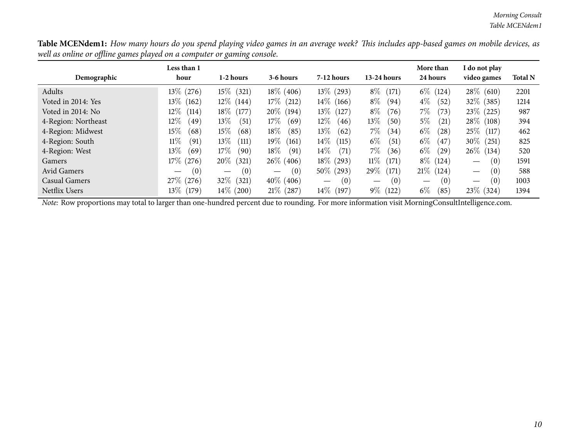Table MCENdem1: How many hours do you spend playing video games in an average week? This includes app-based games on mobile devices, as well as online or offline games played on a computer or gaming console.

| Demographic         | Less than 1<br>hour                   | 1-2 hours                              | 3-6 hours                              | $7-12$ hours    | $13-24$ hours                          | More than<br>24 hours                  | I do not play<br>video games           | <b>Total N</b> |
|---------------------|---------------------------------------|----------------------------------------|----------------------------------------|-----------------|----------------------------------------|----------------------------------------|----------------------------------------|----------------|
| Adults              | 13\% (276)                            | $15\%$ (321)                           | $18\%$ (406)                           | $13\%$<br>(293) | $8\%$<br>$^{\prime}171^{\prime}$       | $6\%$<br>(124)                         | $28\%$ (610)                           | 2201           |
| Voted in 2014: Yes  | $13\%$<br>(162)                       | $12\%$ (144)                           | $17\%$ (212)                           | $14\%$<br>(166) | $8\%$<br>(94)                          | $4\%$<br>(52)                          | $32\%$<br>(385)                        | 1214           |
| Voted in 2014: No   | $12\%$<br>(114)                       | 18\% (177)                             | $20\%$ (194)                           | $13\%$<br>(127) | $8\%$<br>(76)                          | $7\%$<br>(73)                          | 23\%<br>(225)                          | 987            |
| 4-Region: Northeast | $12\%$<br>(49)                        | $13\%$<br>(51)                         | $17\%$<br>(69)                         | $12\%$<br>(46)  | $13\%$<br>(50)                         | $5\%$<br>(21)                          | $28\%$ (108)                           | 394            |
| 4-Region: Midwest   | $15\%$<br>(68)                        | $15\%$<br>(68)                         | $18\%$<br>(85)                         | $13\%$<br>(62)  | $7\%$<br>(34)                          | $6\%$<br>(28)                          | $25\%$<br>(117)                        | 462            |
| 4-Region: South     | 11%<br>(91)                           | 13%<br>(111)                           | $19\%$<br>(161)                        | $14\%$<br>(115) | $6\%$<br>(51)                          | $6\%$<br>(47)                          | $30\%$<br>(251)                        | 825            |
| 4-Region: West      | $13\%$<br>(69)                        | 17%<br>(90)                            | $18\%$<br>(91)                         | $14\%$<br>(71)  | $7\%$<br>(36)                          | $6\%$<br>(29)                          | $26\%$ (134)                           | 520            |
| Gamers              | $17\%$ (276)                          | $20\%$<br>(321)                        | $26\%$ (406)                           | $18\%$<br>(293) | $11\%$<br>(171)                        | $8\%$<br>(124)                         | (0)<br>$\hspace{0.1mm}-\hspace{0.1mm}$ | 1591           |
| <b>Avid Gamers</b>  | (0)<br>$\qquad \qquad \longleftarrow$ | (0)<br>$\hspace{0.1mm}-\hspace{0.1mm}$ | (0)<br>$\hspace{0.1mm}-\hspace{0.1mm}$ | $50\%$<br>(293) | 29\%<br>(171)                          | $21\%$<br>(124)                        | (0)<br>$\hspace{0.1mm}-\hspace{0.1mm}$ | 588            |
| Casual Gamers       | $27\%$ (276)                          | $32\%$ (321)                           | $40\%$ (406)                           | (0)             | (0)<br>$\hspace{0.1mm}-\hspace{0.1mm}$ | (0)<br>$\hspace{0.1mm}-\hspace{0.1mm}$ | (0)<br>$\hspace{0.1mm}-\hspace{0.1mm}$ | 1003           |
| Netflix Users       | $13\%$ (179)                          | $14\%$ (200)                           | $21\%$ (287)                           | $14\%$<br>(197) | $9\%$<br>(122)                         | $6\%$<br>(85)                          | 23\% (324)                             | 1394           |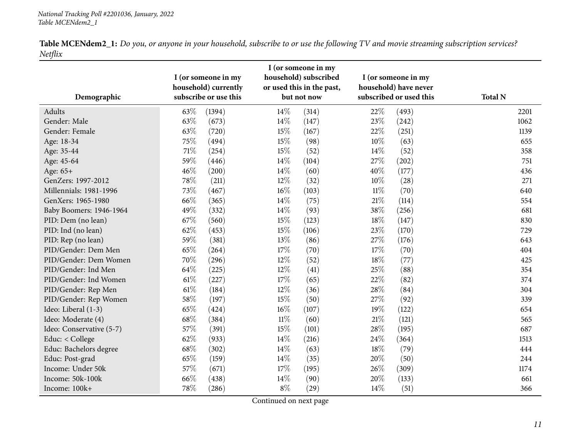<span id="page-10-0"></span>

| Demographic              |        | I (or someone in my<br>household) currently<br>subscribe or use this |        | I (or someone in my<br>household) subscribed<br>or used this in the past,<br>but not now |        | I (or someone in my<br>household) have never<br>subscribed or used this | <b>Total N</b> |
|--------------------------|--------|----------------------------------------------------------------------|--------|------------------------------------------------------------------------------------------|--------|-------------------------------------------------------------------------|----------------|
| Adults                   | 63\%   | (1394)                                                               | 14\%   | (314)                                                                                    | 22%    | (493)                                                                   | 2201           |
| Gender: Male             | 63%    | (673)                                                                | 14\%   | (147)                                                                                    | 23%    | (242)                                                                   | 1062           |
| Gender: Female           | 63%    | (720)                                                                | 15%    | (167)                                                                                    | 22%    | (251)                                                                   | 1139           |
| Age: 18-34               | 75%    | (494)                                                                | 15%    | (98)                                                                                     | 10%    | (63)                                                                    | 655            |
| Age: 35-44               | $71\%$ | (254)                                                                | 15%    | (52)                                                                                     | 14\%   | (52)                                                                    | 358            |
| Age: 45-64               | 59%    | (446)                                                                | 14\%   | (104)                                                                                    | 27%    | (202)                                                                   | 751            |
| Age: 65+                 | 46%    | (200)                                                                | 14\%   | (60)                                                                                     | 40%    | (177)                                                                   | 436            |
| GenZers: 1997-2012       | 78%    | (211)                                                                | 12%    | (32)                                                                                     | 10%    | (28)                                                                    | 271            |
| Millennials: 1981-1996   | 73%    | (467)                                                                | 16%    | (103)                                                                                    | $11\%$ | (70)                                                                    | 640            |
| GenXers: 1965-1980       | 66%    | (365)                                                                | 14\%   | (75)                                                                                     | $21\%$ | (114)                                                                   | 554            |
| Baby Boomers: 1946-1964  | 49%    | (332)                                                                | 14\%   | (93)                                                                                     | 38%    | (256)                                                                   | 681            |
| PID: Dem (no lean)       | 67%    | (560)                                                                | 15%    | (123)                                                                                    | 18%    | (147)                                                                   | 830            |
| PID: Ind (no lean)       | 62%    | (453)                                                                | 15%    | (106)                                                                                    | 23%    | (170)                                                                   | 729            |
| PID: Rep (no lean)       | 59%    | (381)                                                                | 13%    | (86)                                                                                     | 27%    | (176)                                                                   | 643            |
| PID/Gender: Dem Men      | 65%    | (264)                                                                | 17%    | (70)                                                                                     | 17%    | (70)                                                                    | 404            |
| PID/Gender: Dem Women    | 70%    | (296)                                                                | 12%    | (52)                                                                                     | 18%    | (77)                                                                    | 425            |
| PID/Gender: Ind Men      | 64%    | (225)                                                                | 12%    | (41)                                                                                     | 25%    | (88)                                                                    | 354            |
| PID/Gender: Ind Women    | $61\%$ | (227)                                                                | 17%    | (65)                                                                                     | 22%    | (82)                                                                    | 374            |
| PID/Gender: Rep Men      | $61\%$ | (184)                                                                | 12%    | (36)                                                                                     | 28%    | (84)                                                                    | 304            |
| PID/Gender: Rep Women    | 58%    | (197)                                                                | 15%    | (50)                                                                                     | 27%    | (92)                                                                    | 339            |
| Ideo: Liberal (1-3)      | 65%    | (424)                                                                | $16\%$ | (107)                                                                                    | $19\%$ | (122)                                                                   | 654            |
| Ideo: Moderate (4)       | 68%    | (384)                                                                | $11\%$ | (60)                                                                                     | $21\%$ | (121)                                                                   | 565            |
| Ideo: Conservative (5-7) | 57%    | (391)                                                                | 15%    | (101)                                                                                    | 28\%   | (195)                                                                   | 687            |
| Educ: < College          | 62%    | (933)                                                                | 14\%   | (216)                                                                                    | 24\%   | (364)                                                                   | 1513           |
| Educ: Bachelors degree   | 68%    | (302)                                                                | 14\%   | (63)                                                                                     | 18%    | (79)                                                                    | 444            |
| Educ: Post-grad          | 65%    | (159)                                                                | 14\%   | (35)                                                                                     | 20%    | (50)                                                                    | 244            |
| Income: Under 50k        | 57%    | (671)                                                                | 17%    | (195)                                                                                    | 26%    | (309)                                                                   | 1174           |
| Income: 50k-100k         | 66%    | (438)                                                                | 14\%   | (90)                                                                                     | 20%    | (133)                                                                   | 661            |
| Income: 100k+            | 78%    | (286)                                                                | $8\%$  | (29)                                                                                     | 14%    | (51)                                                                    | 366            |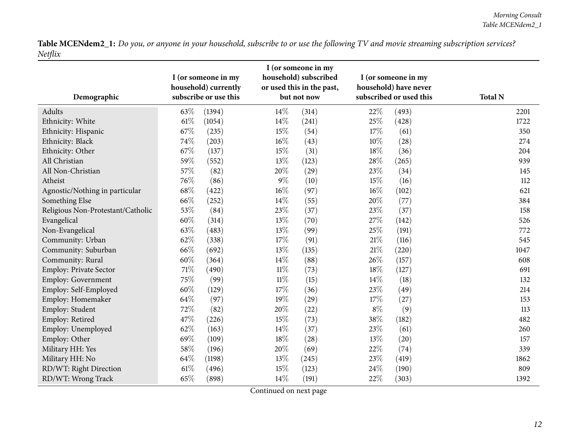| Demographic                       |        | I (or someone in my<br>household) currently<br>subscribe or use this |        | I (or someone in my<br>household) subscribed<br>or used this in the past,<br>but not now |        | I (or someone in my<br>household) have never<br>subscribed or used this | <b>Total N</b> |
|-----------------------------------|--------|----------------------------------------------------------------------|--------|------------------------------------------------------------------------------------------|--------|-------------------------------------------------------------------------|----------------|
| Adults                            | 63%    | (1394)                                                               | 14%    | (314)                                                                                    | 22%    | (493)                                                                   | 2201           |
| Ethnicity: White                  | 61%    | (1054)                                                               | 14%    | (241)                                                                                    | 25%    | (428)                                                                   | 1722           |
| Ethnicity: Hispanic               | 67%    | (235)                                                                | 15%    | (54)                                                                                     | 17%    | (61)                                                                    | 350            |
| Ethnicity: Black                  | 74%    | (203)                                                                | 16%    | (43)                                                                                     | 10%    | (28)                                                                    | 274            |
| Ethnicity: Other                  | 67%    | (137)                                                                | 15%    | (31)                                                                                     | 18%    | (36)                                                                    | 204            |
| All Christian                     | 59%    | (552)                                                                | 13%    | (123)                                                                                    | 28\%   | (265)                                                                   | 939            |
| All Non-Christian                 | 57%    | (82)                                                                 | 20%    | (29)                                                                                     | 23\%   | (34)                                                                    | 145            |
| Atheist                           | 76%    | (86)                                                                 | $9\%$  | (10)                                                                                     | 15%    | (16)                                                                    | 112            |
| Agnostic/Nothing in particular    | 68%    | (422)                                                                | 16%    | (97)                                                                                     | 16%    | (102)                                                                   | 621            |
| Something Else                    | 66%    | (252)                                                                | 14%    | (55)                                                                                     | 20%    | (77)                                                                    | 384            |
| Religious Non-Protestant/Catholic | 53%    | (84)                                                                 | 23%    | (37)                                                                                     | 23\%   | (37)                                                                    | 158            |
| Evangelical                       | 60%    | (314)                                                                | 13%    | (70)                                                                                     | 27%    | (142)                                                                   | 526            |
| Non-Evangelical                   | 63%    | (483)                                                                | 13%    | (99)                                                                                     | 25%    | (191)                                                                   | 772            |
| Community: Urban                  | 62%    | (338)                                                                | 17%    | (91)                                                                                     | $21\%$ | (116)                                                                   | 545            |
| Community: Suburban               | 66%    | (692)                                                                | 13%    | (135)                                                                                    | $21\%$ | (220)                                                                   | 1047           |
| Community: Rural                  | 60%    | (364)                                                                | 14%    | (88)                                                                                     | 26%    | (157)                                                                   | 608            |
| Employ: Private Sector            | 71%    | (490)                                                                | $11\%$ | (73)                                                                                     | $18\%$ | (127)                                                                   | 691            |
| Employ: Government                | 75%    | (99)                                                                 | $11\%$ | (15)                                                                                     | 14%    | (18)                                                                    | 132            |
| Employ: Self-Employed             | $60\%$ | (129)                                                                | 17%    | (36)                                                                                     | 23%    | (49)                                                                    | 214            |
| Employ: Homemaker                 | 64%    | (97)                                                                 | 19%    | (29)                                                                                     | 17%    | (27)                                                                    | 153            |
| Employ: Student                   | 72%    | (82)                                                                 | 20%    | (22)                                                                                     | $8\%$  | (9)                                                                     | 113            |
| Employ: Retired                   | 47%    | (226)                                                                | 15%    | (73)                                                                                     | 38%    | (182)                                                                   | 482            |
| Employ: Unemployed                | 62%    | (163)                                                                | 14%    | (37)                                                                                     | 23%    | (61)                                                                    | 260            |
| Employ: Other                     | 69%    | (109)                                                                | 18%    | (28)                                                                                     | 13%    | (20)                                                                    | 157            |
| Military HH: Yes                  | 58%    | (196)                                                                | 20%    | (69)                                                                                     | 22%    | (74)                                                                    | 339            |
| Military HH: No                   | 64%    | (1198)                                                               | 13%    | (245)                                                                                    | 23%    | (419)                                                                   | 1862           |
| RD/WT: Right Direction            | 61%    | (496)                                                                | 15%    | (123)                                                                                    | 24\%   | (190)                                                                   | 809            |
| RD/WT: Wrong Track                | 65%    | (898)                                                                | 14%    | (191)                                                                                    | 22%    | (303)                                                                   | 1392           |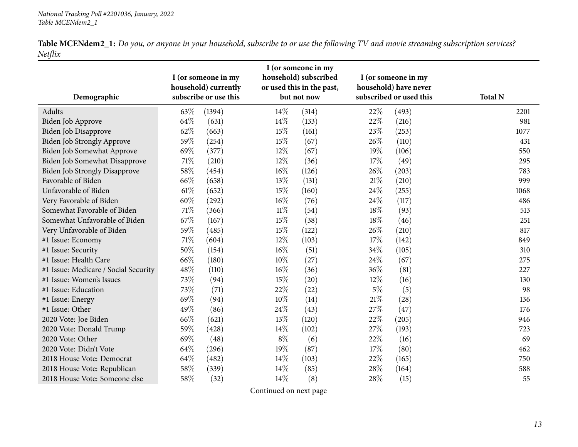| Table MCENdem2_1: Do you, or anyone in your household, subscribe to or use the following TV and movie streaming subscription services? |  |  |  |  |  |
|----------------------------------------------------------------------------------------------------------------------------------------|--|--|--|--|--|
| Netflix                                                                                                                                |  |  |  |  |  |

| Demographic                          |        | I (or someone in my<br>household) currently<br>subscribe or use this |        | I (or someone in my<br>household) subscribed<br>or used this in the past,<br>but not now |       | I (or someone in my<br>household) have never<br>subscribed or used this | <b>Total N</b> |
|--------------------------------------|--------|----------------------------------------------------------------------|--------|------------------------------------------------------------------------------------------|-------|-------------------------------------------------------------------------|----------------|
| Adults                               | 63\%   | (1394)                                                               | $14\%$ | (314)                                                                                    | 22%   | (493)                                                                   | 2201           |
| Biden Job Approve                    | 64%    | (631)                                                                | 14%    | (133)                                                                                    | 22%   | (216)                                                                   | 981            |
| <b>Biden Job Disapprove</b>          | 62%    | (663)                                                                | 15%    | (161)                                                                                    | 23%   | (253)                                                                   | 1077           |
| Biden Job Strongly Approve           | 59%    | (254)                                                                | 15%    | (67)                                                                                     | 26%   | (110)                                                                   | 431            |
| Biden Job Somewhat Approve           | 69%    | (377)                                                                | $12\%$ | (67)                                                                                     | 19%   | (106)                                                                   | 550            |
| Biden Job Somewhat Disapprove        | $71\%$ | (210)                                                                | 12%    | (36)                                                                                     | 17%   | (49)                                                                    | 295            |
| <b>Biden Job Strongly Disapprove</b> | 58%    | (454)                                                                | 16%    | (126)                                                                                    | 26%   | (203)                                                                   | 783            |
| Favorable of Biden                   | 66%    | (658)                                                                | 13%    | (131)                                                                                    | 21%   | (210)                                                                   | 999            |
| Unfavorable of Biden                 | 61%    | (652)                                                                | 15%    | (160)                                                                                    | 24%   | (255)                                                                   | 1068           |
| Very Favorable of Biden              | 60%    | (292)                                                                | $16\%$ | (76)                                                                                     | 24%   | (117)                                                                   | 486            |
| Somewhat Favorable of Biden          | $71\%$ | (366)                                                                | $11\%$ | (54)                                                                                     | 18%   | (93)                                                                    | 513            |
| Somewhat Unfavorable of Biden        | 67\%   | (167)                                                                | 15%    | (38)                                                                                     | 18%   | (46)                                                                    | 251            |
| Very Unfavorable of Biden            | 59%    | (485)                                                                | 15%    | (122)                                                                                    | 26%   | (210)                                                                   | 817            |
| #1 Issue: Economy                    | 71%    | (604)                                                                | $12\%$ | (103)                                                                                    | 17%   | (142)                                                                   | 849            |
| #1 Issue: Security                   | 50%    | (154)                                                                | $16\%$ | (51)                                                                                     | 34%   | (105)                                                                   | 310            |
| #1 Issue: Health Care                | 66%    | (180)                                                                | 10%    | (27)                                                                                     | 24\%  | (67)                                                                    | 275            |
| #1 Issue: Medicare / Social Security | 48%    | (110)                                                                | $16\%$ | (36)                                                                                     | 36%   | (81)                                                                    | 227            |
| #1 Issue: Women's Issues             | 73%    | (94)                                                                 | 15%    | (20)                                                                                     | 12%   | (16)                                                                    | 130            |
| #1 Issue: Education                  | 73%    | (71)                                                                 | 22%    | (22)                                                                                     | $5\%$ | (5)                                                                     | 98             |
| #1 Issue: Energy                     | 69%    | (94)                                                                 | 10%    | (14)                                                                                     | 21%   | (28)                                                                    | 136            |
| #1 Issue: Other                      | 49%    | (86)                                                                 | 24\%   | (43)                                                                                     | 27%   | (47)                                                                    | 176            |
| 2020 Vote: Joe Biden                 | 66%    | (621)                                                                | 13%    | (120)                                                                                    | 22%   | (205)                                                                   | 946            |
| 2020 Vote: Donald Trump              | 59%    | (428)                                                                | 14%    | (102)                                                                                    | 27%   | (193)                                                                   | 723            |
| 2020 Vote: Other                     | 69%    | (48)                                                                 | $8\%$  | (6)                                                                                      | 22%   | (16)                                                                    | 69             |
| 2020 Vote: Didn't Vote               | 64%    | (296)                                                                | 19%    | (87)                                                                                     | 17%   | (80)                                                                    | 462            |
| 2018 House Vote: Democrat            | 64\%   | (482)                                                                | 14%    | (103)                                                                                    | 22%   | (165)                                                                   | 750            |
| 2018 House Vote: Republican          | 58%    | (339)                                                                | $14\%$ | (85)                                                                                     | 28\%  | (164)                                                                   | 588            |
| 2018 House Vote: Someone else        | 58%    | (32)                                                                 | $14\%$ | (8)                                                                                      | 28%   | (15)                                                                    | 55             |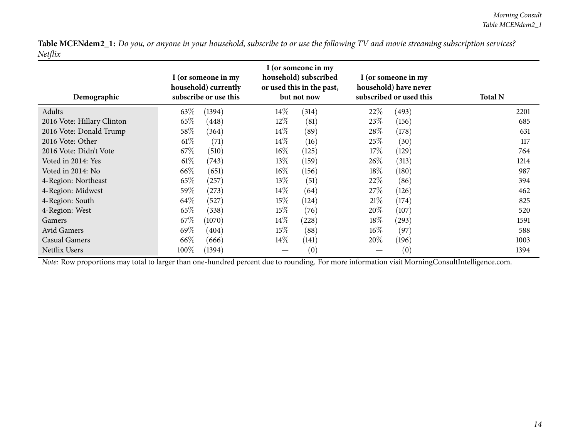| Demographic                                                                                                                                    | I (or someone in my<br>household) currently<br>subscribe or use this |        | I (or someone in my<br>household) subscribed<br>or used this in the past,<br>but not now |       | I (or someone in my<br>household) have never<br>subscribed or used this |       | <b>Total N</b> |
|------------------------------------------------------------------------------------------------------------------------------------------------|----------------------------------------------------------------------|--------|------------------------------------------------------------------------------------------|-------|-------------------------------------------------------------------------|-------|----------------|
| Adults                                                                                                                                         | 63\%                                                                 | (1394) | $14\%$                                                                                   | (314) | 22\%                                                                    | (493) | 2201           |
| 2016 Vote: Hillary Clinton                                                                                                                     | 65\%                                                                 | (448)  | $12\%$                                                                                   | (81)  | 23\%                                                                    | (156) | 685            |
| 2016 Vote: Donald Trump                                                                                                                        | $58\%$                                                               | (364)  | $14\%$                                                                                   | (89)  | 28\%                                                                    | (178) | 631            |
| 2016 Vote: Other                                                                                                                               | $61\%$                                                               | (71)   | $14\%$                                                                                   | (16)  | 25%                                                                     | (30)  | 117            |
| 2016 Vote: Didn't Vote                                                                                                                         | 67\%                                                                 | (510)  | $16\%$                                                                                   | (125) | 17%                                                                     | (129) | 764            |
| Voted in 2014: Yes                                                                                                                             | $61\%$                                                               | (743)  | $13\%$                                                                                   | (159) | $26\%$                                                                  | (313) | 1214           |
| Voted in 2014: No                                                                                                                              | 66\%                                                                 | (651)  | $16\%$                                                                                   | (156) | 18%                                                                     | (180) | 987            |
| 4-Region: Northeast                                                                                                                            | 65\%                                                                 | (257)  | 13\%                                                                                     | (51)  | 22\%                                                                    | (86)  | 394            |
| 4-Region: Midwest                                                                                                                              | 59\%                                                                 | (273)  | $14\%$                                                                                   | (64)  | 27%                                                                     | (126) | 462            |
| 4-Region: South                                                                                                                                | 64\%                                                                 | (527)  | 15%                                                                                      | (124) | 21%                                                                     | (174) | 825            |
| 4-Region: West                                                                                                                                 | 65\%                                                                 | (338)  | 15%                                                                                      | (76)  | $20\%$                                                                  | (107) | 520            |
| Gamers                                                                                                                                         | 67%                                                                  | (1070) | $14\%$                                                                                   | (228) | 18%                                                                     | (293) | 1591           |
| <b>Avid Gamers</b>                                                                                                                             | 69%                                                                  | (404)  | $15\%$                                                                                   | (88)  | $16\%$                                                                  | (97)  | 588            |
| Casual Gamers                                                                                                                                  | 66\%                                                                 | (666)  | $14\%$                                                                                   | (141) | $20\%$                                                                  | (196) | 1003           |
| Netflix Users                                                                                                                                  | $100\%$                                                              | (1394) |                                                                                          | (0)   |                                                                         | (0)   | 1394           |
| Note: Row proportions may total to larger than one-hundred percent due to rounding. For more information visit MorningConsultIntelligence.com. |                                                                      |        |                                                                                          |       |                                                                         |       |                |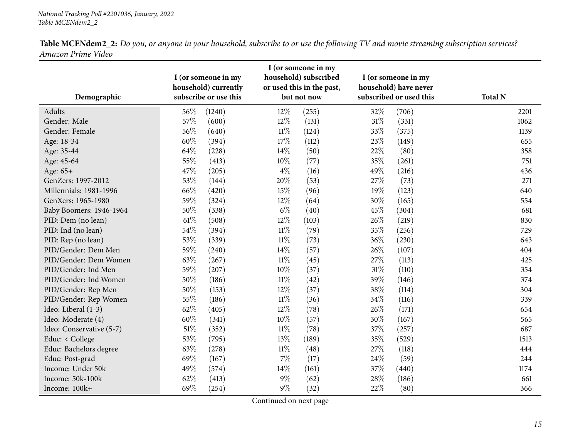<span id="page-14-0"></span>

| Demographic              |        | I (or someone in my<br>household) currently<br>subscribe or use this |        | I (or someone in my<br>household) subscribed<br>or used this in the past,<br>but not now |        | I (or someone in my<br>household) have never<br>subscribed or used this | <b>Total N</b> |
|--------------------------|--------|----------------------------------------------------------------------|--------|------------------------------------------------------------------------------------------|--------|-------------------------------------------------------------------------|----------------|
| Adults                   | 56\%   | (1240)                                                               | 12%    | (255)                                                                                    | 32%    | (706)                                                                   | 2201           |
| Gender: Male             | 57%    | (600)                                                                | 12%    | (131)                                                                                    | $31\%$ | (331)                                                                   | 1062           |
| Gender: Female           | 56%    | (640)                                                                | $11\%$ | (124)                                                                                    | 33%    | (375)                                                                   | 1139           |
| Age: 18-34               | 60%    | (394)                                                                | 17%    | (112)                                                                                    | 23%    | (149)                                                                   | 655            |
| Age: 35-44               | 64\%   | (228)                                                                | 14%    | (50)                                                                                     | 22%    | (80)                                                                    | 358            |
| Age: 45-64               | 55%    | (413)                                                                | 10%    | (77)                                                                                     | 35%    | (261)                                                                   | 751            |
| Age: 65+                 | 47%    | (205)                                                                | $4\%$  | (16)                                                                                     | 49%    | (216)                                                                   | 436            |
| GenZers: 1997-2012       | 53%    | (144)                                                                | 20%    | (53)                                                                                     | 27%    | (73)                                                                    | 271            |
| Millennials: 1981-1996   | 66%    | (420)                                                                | 15%    | (96)                                                                                     | 19%    | (123)                                                                   | 640            |
| GenXers: 1965-1980       | 59%    | (324)                                                                | $12\%$ | (64)                                                                                     | 30%    | (165)                                                                   | 554            |
| Baby Boomers: 1946-1964  | 50%    | (338)                                                                | $6\%$  | (40)                                                                                     | 45%    | (304)                                                                   | 681            |
| PID: Dem (no lean)       | $61\%$ | (508)                                                                | 12%    | (103)                                                                                    | 26%    | (219)                                                                   | 830            |
| PID: Ind (no lean)       | 54\%   | (394)                                                                | $11\%$ | (79)                                                                                     | 35%    | (256)                                                                   | 729            |
| PID: Rep (no lean)       | 53%    | (339)                                                                | $11\%$ | (73)                                                                                     | 36%    | (230)                                                                   | 643            |
| PID/Gender: Dem Men      | 59%    | (240)                                                                | 14%    | (57)                                                                                     | 26%    | (107)                                                                   | 404            |
| PID/Gender: Dem Women    | 63%    | (267)                                                                | $11\%$ | (45)                                                                                     | 27\%   | (113)                                                                   | 425            |
| PID/Gender: Ind Men      | 59%    | (207)                                                                | 10%    | (37)                                                                                     | $31\%$ | (110)                                                                   | 354            |
| PID/Gender: Ind Women    | $50\%$ | (186)                                                                | $11\%$ | (42)                                                                                     | 39%    | (146)                                                                   | 374            |
| PID/Gender: Rep Men      | 50%    | (153)                                                                | 12%    | (37)                                                                                     | 38%    | (114)                                                                   | 304            |
| PID/Gender: Rep Women    | 55%    | (186)                                                                | $11\%$ | (36)                                                                                     | 34\%   | (116)                                                                   | 339            |
| Ideo: Liberal (1-3)      | 62%    | (405)                                                                | 12%    | (78)                                                                                     | 26%    | (171)                                                                   | 654            |
| Ideo: Moderate (4)       | 60%    | (341)                                                                | 10%    | (57)                                                                                     | 30%    | (167)                                                                   | 565            |
| Ideo: Conservative (5-7) | $51\%$ | (352)                                                                | $11\%$ | (78)                                                                                     | 37%    | (257)                                                                   | 687            |
| Educ: < College          | 53%    | (795)                                                                | 13%    | (189)                                                                                    | 35%    | (529)                                                                   | 1513           |
| Educ: Bachelors degree   | 63%    | (278)                                                                | $11\%$ | (48)                                                                                     | 27%    | (118)                                                                   | 444            |
| Educ: Post-grad          | 69%    | (167)                                                                | 7%     | (17)                                                                                     | 24\%   | (59)                                                                    | 244            |
| Income: Under 50k        | 49%    | (574)                                                                | 14%    | (161)                                                                                    | 37\%   | (440)                                                                   | 1174           |
| Income: 50k-100k         | 62%    | (413)                                                                | $9\%$  | (62)                                                                                     | 28%    | (186)                                                                   | 661            |
| Income: 100k+            | 69%    | (254)                                                                | $9\%$  | (32)                                                                                     | 22%    | (80)                                                                    | 366            |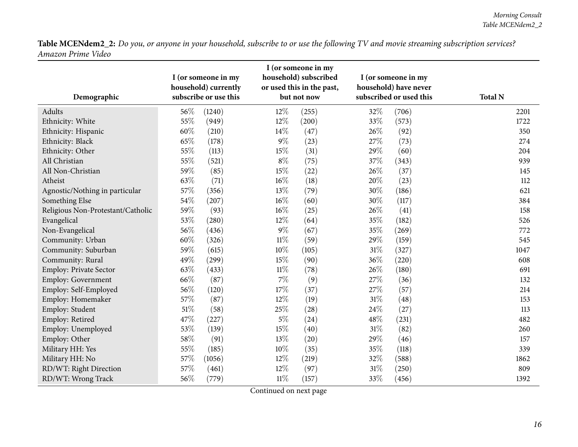| Demographic                       |        | I (or someone in my<br>household) currently<br>subscribe or use this |        | I (or someone in my<br>household) subscribed<br>or used this in the past,<br>but not now |        | I (or someone in my<br>household) have never<br>subscribed or used this | <b>Total N</b> |
|-----------------------------------|--------|----------------------------------------------------------------------|--------|------------------------------------------------------------------------------------------|--------|-------------------------------------------------------------------------|----------------|
| Adults                            | 56\%   | (1240)                                                               | 12%    | (255)                                                                                    | 32%    | (706)                                                                   | 2201           |
| Ethnicity: White                  | 55%    | (949)                                                                | 12%    | (200)                                                                                    | 33%    | (573)                                                                   | 1722           |
| Ethnicity: Hispanic               | 60%    | (210)                                                                | 14%    | (47)                                                                                     | 26\%   | (92)                                                                    | 350            |
| Ethnicity: Black                  | 65%    | (178)                                                                | $9\%$  | (23)                                                                                     | 27\%   | (73)                                                                    | 274            |
| Ethnicity: Other                  | 55%    | (113)                                                                | 15%    | (31)                                                                                     | 29%    | (60)                                                                    | 204            |
| All Christian                     | 55%    | (521)                                                                | $8\%$  | (75)                                                                                     | 37%    | (343)                                                                   | 939            |
| All Non-Christian                 | 59%    | (85)                                                                 | 15%    | (22)                                                                                     | 26%    | (37)                                                                    | 145            |
| Atheist                           | 63%    | (71)                                                                 | 16%    | (18)                                                                                     | 20%    | (23)                                                                    | 112            |
| Agnostic/Nothing in particular    | 57%    | (356)                                                                | 13%    | (79)                                                                                     | 30%    | (186)                                                                   | 621            |
| Something Else                    | 54%    | (207)                                                                | 16%    | (60)                                                                                     | 30%    | (117)                                                                   | 384            |
| Religious Non-Protestant/Catholic | 59%    | (93)                                                                 | 16%    | (25)                                                                                     | 26%    | (41)                                                                    | 158            |
| Evangelical                       | 53%    | (280)                                                                | 12%    | (64)                                                                                     | 35%    | (182)                                                                   | 526            |
| Non-Evangelical                   | 56%    | (436)                                                                | $9\%$  | (67)                                                                                     | 35%    | (269)                                                                   | 772            |
| Community: Urban                  | 60%    | (326)                                                                | $11\%$ | (59)                                                                                     | 29%    | (159)                                                                   | 545            |
| Community: Suburban               | 59%    | (615)                                                                | $10\%$ | (105)                                                                                    | $31\%$ | (327)                                                                   | 1047           |
| Community: Rural                  | 49%    | (299)                                                                | 15%    | (90)                                                                                     | 36%    | (220)                                                                   | 608            |
| Employ: Private Sector            | 63%    | (433)                                                                | $11\%$ | (78)                                                                                     | 26\%   | (180)                                                                   | 691            |
| Employ: Government                | 66%    | (87)                                                                 | $7\%$  | (9)                                                                                      | 27\%   | (36)                                                                    | 132            |
| Employ: Self-Employed             | 56%    | (120)                                                                | 17%    | (37)                                                                                     | 27%    | (57)                                                                    | 214            |
| Employ: Homemaker                 | 57%    | (87)                                                                 | 12%    | (19)                                                                                     | 31%    | (48)                                                                    | 153            |
| Employ: Student                   | 51%    | (58)                                                                 | 25%    | (28)                                                                                     | 24\%   | (27)                                                                    | 113            |
| Employ: Retired                   | 47%    | (227)                                                                | $5\%$  | (24)                                                                                     | 48%    | (231)                                                                   | 482            |
| Employ: Unemployed                | 53%    | (139)                                                                | 15%    | (40)                                                                                     | 31%    | (82)                                                                    | 260            |
| Employ: Other                     | 58%    | (91)                                                                 | 13%    | (20)                                                                                     | 29%    | (46)                                                                    | 157            |
| Military HH: Yes                  | 55%    | (185)                                                                | 10%    | (35)                                                                                     | 35%    | (118)                                                                   | 339            |
| Military HH: No                   | 57%    | (1056)                                                               | 12%    | (219)                                                                                    | 32%    | (588)                                                                   | 1862           |
| RD/WT: Right Direction            | 57%    | (461)                                                                | 12%    | (97)                                                                                     | $31\%$ | (250)                                                                   | 809            |
| RD/WT: Wrong Track                | $56\%$ | (779)                                                                | $11\%$ | (157)                                                                                    | 33%    | (456)                                                                   | 1392           |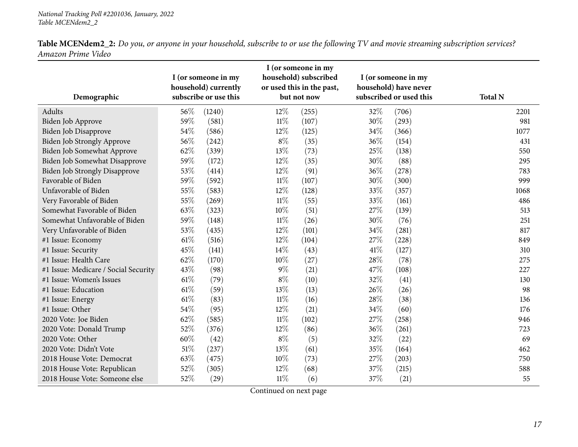| Demographic                          |        | I (or someone in my<br>household) currently<br>subscribe or use this |        | I (or someone in my<br>household) subscribed<br>or used this in the past,<br>but not now |        | I (or someone in my<br>household) have never<br>subscribed or used this | <b>Total N</b> |
|--------------------------------------|--------|----------------------------------------------------------------------|--------|------------------------------------------------------------------------------------------|--------|-------------------------------------------------------------------------|----------------|
| Adults                               | 56%    | (1240)                                                               | 12%    | (255)                                                                                    | 32%    | (706)                                                                   | 2201           |
| Biden Job Approve                    | 59%    | (581)                                                                | $11\%$ | (107)                                                                                    | 30%    | (293)                                                                   | 981            |
| Biden Job Disapprove                 | 54%    | (586)                                                                | 12%    | (125)                                                                                    | 34\%   | (366)                                                                   | 1077           |
| Biden Job Strongly Approve           | 56%    | (242)                                                                | $8\%$  | (35)                                                                                     | $36\%$ | (154)                                                                   | 431            |
| Biden Job Somewhat Approve           | 62%    | (339)                                                                | 13%    | (73)                                                                                     | 25%    | (138)                                                                   | 550            |
| Biden Job Somewhat Disapprove        | 59%    | (172)                                                                | 12%    | (35)                                                                                     | 30%    | (88)                                                                    | 295            |
| <b>Biden Job Strongly Disapprove</b> | 53%    | (414)                                                                | $12\%$ | (91)                                                                                     | 36\%   | (278)                                                                   | 783            |
| Favorable of Biden                   | 59%    | (592)                                                                | $11\%$ | (107)                                                                                    | 30%    | (300)                                                                   | 999            |
| Unfavorable of Biden                 | 55%    | (583)                                                                | 12%    | (128)                                                                                    | 33%    | (357)                                                                   | 1068           |
| Very Favorable of Biden              | 55%    | (269)                                                                | $11\%$ | (55)                                                                                     | 33%    | (161)                                                                   | 486            |
| Somewhat Favorable of Biden          | 63%    | (323)                                                                | $10\%$ | (51)                                                                                     | 27%    | (139)                                                                   | 513            |
| Somewhat Unfavorable of Biden        | 59%    | (148)                                                                | $11\%$ | (26)                                                                                     | 30%    | (76)                                                                    | 251            |
| Very Unfavorable of Biden            | 53%    | (435)                                                                | 12%    | (101)                                                                                    | 34\%   | (281)                                                                   | 817            |
| #1 Issue: Economy                    | $61\%$ | (516)                                                                | 12%    | (104)                                                                                    | 27%    | (228)                                                                   | 849            |
| #1 Issue: Security                   | 45%    | (141)                                                                | 14\%   | (43)                                                                                     | 41\%   | (127)                                                                   | 310            |
| #1 Issue: Health Care                | 62%    | (170)                                                                | $10\%$ | (27)                                                                                     | 28%    | (78)                                                                    | 275            |
| #1 Issue: Medicare / Social Security | 43%    | (98)                                                                 | $9\%$  | (21)                                                                                     | 47%    | (108)                                                                   | 227            |
| #1 Issue: Women's Issues             | $61\%$ | (79)                                                                 | $8\%$  | (10)                                                                                     | 32%    | (41)                                                                    | 130            |
| #1 Issue: Education                  | $61\%$ | (59)                                                                 | 13%    | (13)                                                                                     | 26\%   | (26)                                                                    | 98             |
| #1 Issue: Energy                     | $61\%$ | (83)                                                                 | $11\%$ | (16)                                                                                     | 28%    | (38)                                                                    | 136            |
| #1 Issue: Other                      | 54%    | (95)                                                                 | 12%    | (21)                                                                                     | 34%    | (60)                                                                    | 176            |
| 2020 Vote: Joe Biden                 | 62%    | (585)                                                                | $11\%$ | (102)                                                                                    | 27%    | (258)                                                                   | 946            |
| 2020 Vote: Donald Trump              | 52%    | (376)                                                                | 12%    | (86)                                                                                     | 36%    | (261)                                                                   | 723            |
| 2020 Vote: Other                     | 60%    | (42)                                                                 | $8\%$  | (5)                                                                                      | 32%    | (22)                                                                    | 69             |
| 2020 Vote: Didn't Vote               | $51\%$ | (237)                                                                | 13%    | (61)                                                                                     | 35%    | (164)                                                                   | 462            |
| 2018 House Vote: Democrat            | 63%    | (475)                                                                | 10%    | (73)                                                                                     | 27%    | (203)                                                                   | 750            |
| 2018 House Vote: Republican          | 52%    | (305)                                                                | $12\%$ | (68)                                                                                     | 37%    | (215)                                                                   | 588            |
| 2018 House Vote: Someone else        | 52%    | (29)                                                                 | $11\%$ | (6)                                                                                      | 37%    | (21)                                                                    | 55             |

Table MCENdem2\_2: Do you, or anyone in your household, subscribe to or use the following TV and movie streaming subscription services? *Amazon Prime Video*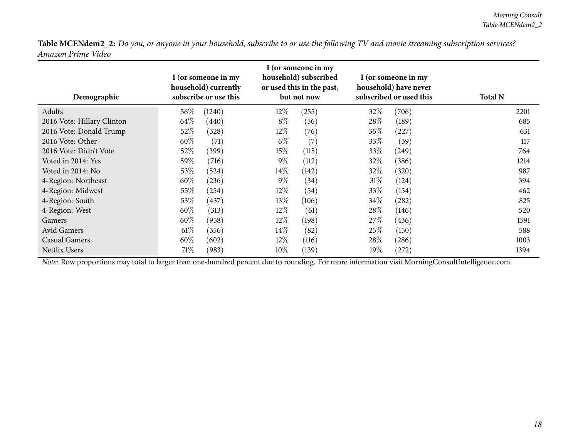| Demographic                | I (or someone in my<br>household) currently<br>subscribe or use this |        | I (or someone in my<br>household) subscribed<br>or used this in the past,<br>but not now |       | I (or someone in my<br>household) have never<br>subscribed or used this |       | <b>Total N</b> |
|----------------------------|----------------------------------------------------------------------|--------|------------------------------------------------------------------------------------------|-------|-------------------------------------------------------------------------|-------|----------------|
| Adults                     | 56\%                                                                 | (1240) | $12\%$                                                                                   | (255) | 32%                                                                     | (706) | 2201           |
| 2016 Vote: Hillary Clinton | 64\%                                                                 | (440)  | $8\%$                                                                                    | (56)  | 28\%                                                                    | (189) | 685            |
| 2016 Vote: Donald Trump    | 52\%                                                                 | (328)  | $12\%$                                                                                   | (76)  | 36\%                                                                    | (227) | 631            |
| 2016 Vote: Other           | $60\%$                                                               | (71)   | $6\%$                                                                                    | (7)   | 33\%                                                                    | (39)  | 117            |
| 2016 Vote: Didn't Vote     | 52\%                                                                 | (399)  | 15%                                                                                      | (115) | 33\%                                                                    | (249) | 764            |
| Voted in 2014: Yes         | 59%                                                                  | (716)  | $9\%$                                                                                    | (112) | 32%                                                                     | (386) | 1214           |
| Voted in 2014: No          | 53\%                                                                 | (524)  | 14\%                                                                                     | (142) | $32\%$                                                                  | (320) | 987            |
| 4-Region: Northeast        | 60\%                                                                 | (236)  | $9\%$                                                                                    | (34)  | $31\%$                                                                  | (124) | 394            |
| 4-Region: Midwest          | 55\%                                                                 | (254)  | $12\%$                                                                                   | (54)  | 33\%                                                                    | (154) | 462            |
| 4-Region: South            | 53\%                                                                 | (437)  | 13\%                                                                                     | (106) | 34\%                                                                    | (282) | 825            |
| 4-Region: West             | $60\%$                                                               | (313)  | $12\%$                                                                                   | (61)  | 28\%                                                                    | (146) | 520            |
| <b>Gamers</b>              | $60\%$                                                               | (958)  | $12\%$                                                                                   | (198) | 27%                                                                     | (436) | 1591           |
| Avid Gamers                | 61%                                                                  | (356)  | $14\%$                                                                                   | (82)  | 25\%                                                                    | (150) | 588            |
| Casual Gamers              | $60\%$                                                               | (602)  | $12\%$                                                                                   | (116) | 28\%                                                                    | (286) | 1003           |
| Netflix Users              | 71\%                                                                 | (983)  | $10\%$                                                                                   | (139) | 19%                                                                     | (272) | 1394           |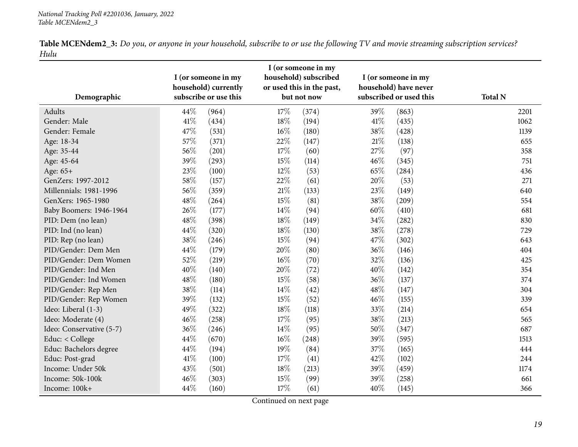| <b>Table MCENdem2_3:</b> Do you, or anyone in your household, subscribe to or use the following TV and movie streaming subscription services? |  |  |  |
|-----------------------------------------------------------------------------------------------------------------------------------------------|--|--|--|
| Hulu                                                                                                                                          |  |  |  |

<span id="page-18-0"></span>

|                          |        | I (or someone in my<br>household) currently |        | household) subscribed<br>or used this in the past, |        | I (or someone in my<br>household) have never |                |
|--------------------------|--------|---------------------------------------------|--------|----------------------------------------------------|--------|----------------------------------------------|----------------|
| Demographic              |        | subscribe or use this                       |        | but not now                                        |        | subscribed or used this                      | <b>Total N</b> |
| Adults                   | 44%    | (964)                                       | 17%    | (374)                                              | 39%    | (863)                                        | 2201           |
| Gender: Male             | $41\%$ | (434)                                       | 18%    | (194)                                              | $41\%$ | (435)                                        | 1062           |
| Gender: Female           | 47%    | (531)                                       | 16%    | (180)                                              | 38%    | (428)                                        | 1139           |
| Age: 18-34               | 57%    | (371)                                       | 22%    | (147)                                              | $21\%$ | (138)                                        | 655            |
| Age: 35-44               | 56%    | (201)                                       | 17%    | (60)                                               | 27%    | (97)                                         | 358            |
| Age: 45-64               | 39%    | (293)                                       | 15%    | (114)                                              | 46%    | (345)                                        | 751            |
| Age: 65+                 | 23%    | (100)                                       | $12\%$ | (53)                                               | 65%    | (284)                                        | 436            |
| GenZers: 1997-2012       | 58%    | (157)                                       | 22%    | (61)                                               | 20%    | (53)                                         | 271            |
| Millennials: 1981-1996   | 56%    | (359)                                       | $21\%$ | (133)                                              | 23%    | (149)                                        | 640            |
| GenXers: 1965-1980       | 48%    | (264)                                       | 15%    | (81)                                               | 38%    | (209)                                        | 554            |
| Baby Boomers: 1946-1964  | 26%    | (177)                                       | 14%    | (94)                                               | 60%    | (410)                                        | 681            |
| PID: Dem (no lean)       | 48%    | (398)                                       | 18%    | (149)                                              | 34\%   | (282)                                        | 830            |
| PID: Ind (no lean)       | 44%    | (320)                                       | 18%    | (130)                                              | 38%    | (278)                                        | 729            |
| PID: Rep (no lean)       | 38%    | (246)                                       | 15%    | (94)                                               | 47\%   | (302)                                        | 643            |
| PID/Gender: Dem Men      | 44%    | (179)                                       | 20%    | (80)                                               | 36%    | (146)                                        | 404            |
| PID/Gender: Dem Women    | 52%    | (219)                                       | 16%    | (70)                                               | 32%    | (136)                                        | 425            |
| PID/Gender: Ind Men      | 40%    | (140)                                       | 20%    | (72)                                               | 40%    | (142)                                        | 354            |
| PID/Gender: Ind Women    | 48%    | (180)                                       | 15%    | (58)                                               | 36%    | (137)                                        | 374            |
| PID/Gender: Rep Men      | 38%    | (114)                                       | 14\%   | (42)                                               | 48\%   | (147)                                        | 304            |
| PID/Gender: Rep Women    | 39%    | (132)                                       | 15%    | (52)                                               | 46%    | (155)                                        | 339            |
| Ideo: Liberal (1-3)      | 49%    | (322)                                       | 18%    | (118)                                              | 33%    | (214)                                        | 654            |
| Ideo: Moderate (4)       | 46%    | (258)                                       | 17%    | (95)                                               | 38%    | (213)                                        | 565            |
| Ideo: Conservative (5-7) | 36%    | (246)                                       | 14\%   | (95)                                               | 50%    | (347)                                        | 687            |
| Educ: < College          | 44%    | (670)                                       | 16%    | (248)                                              | 39%    | (595)                                        | 1513           |
| Educ: Bachelors degree   | 44%    | (194)                                       | 19%    | (84)                                               | 37%    | (165)                                        | 444            |
| Educ: Post-grad          | $41\%$ | (100)                                       | 17%    | (41)                                               | 42\%   | (102)                                        | 244            |
| Income: Under 50k        | 43%    | (501)                                       | 18%    | (213)                                              | 39%    | (459)                                        | 1174           |
| Income: 50k-100k         | 46%    | (303)                                       | 15%    | (99)                                               | 39%    | (258)                                        | 661            |
| Income: 100k+            | 44%    | (160)                                       | $17\%$ | (61)                                               | 40%    | (145)                                        | 366            |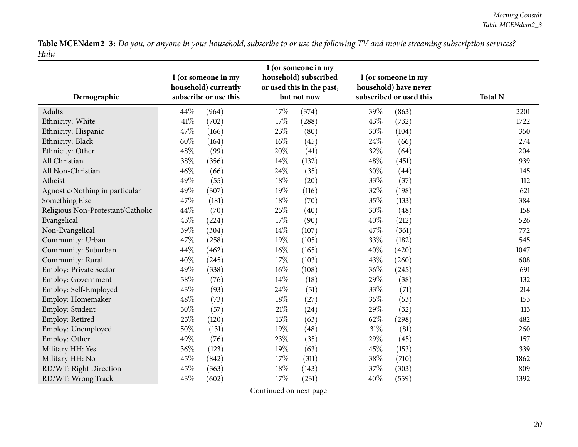| Demographic                       |      | I (or someone in my<br>household) currently<br>subscribe or use this |        | I (or someone in my<br>household) subscribed<br>or used this in the past,<br>but not now |        | I (or someone in my<br>household) have never<br>subscribed or used this | <b>Total N</b> |
|-----------------------------------|------|----------------------------------------------------------------------|--------|------------------------------------------------------------------------------------------|--------|-------------------------------------------------------------------------|----------------|
| Adults                            | 44%  | (964)                                                                | 17%    | (374)                                                                                    | 39%    | (863)                                                                   | 2201           |
| Ethnicity: White                  | 41\% | (702)                                                                | 17%    | (288)                                                                                    | 43%    | (732)                                                                   | 1722           |
| Ethnicity: Hispanic               | 47%  | (166)                                                                | 23%    | (80)                                                                                     | 30%    | (104)                                                                   | 350            |
| Ethnicity: Black                  | 60%  | (164)                                                                | 16%    | (45)                                                                                     | 24\%   | (66)                                                                    | 274            |
| Ethnicity: Other                  | 48%  | (99)                                                                 | 20%    | (41)                                                                                     | 32%    | (64)                                                                    | 204            |
| All Christian                     | 38%  | (356)                                                                | 14%    | (132)                                                                                    | 48%    | (451)                                                                   | 939            |
| All Non-Christian                 | 46%  | (66)                                                                 | 24\%   | (35)                                                                                     | 30%    | (44)                                                                    | 145            |
| Atheist                           | 49%  | (55)                                                                 | 18%    | (20)                                                                                     | 33%    | (37)                                                                    | 112            |
| Agnostic/Nothing in particular    | 49%  | (307)                                                                | 19%    | (116)                                                                                    | 32%    | (198)                                                                   | 621            |
| Something Else                    | 47%  | (181)                                                                | 18%    | (70)                                                                                     | 35%    | (133)                                                                   | 384            |
| Religious Non-Protestant/Catholic | 44%  | (70)                                                                 | 25%    | (40)                                                                                     | 30%    | (48)                                                                    | 158            |
| Evangelical                       | 43%  | (224)                                                                | 17%    | (90)                                                                                     | 40%    | (212)                                                                   | 526            |
| Non-Evangelical                   | 39%  | (304)                                                                | 14%    | (107)                                                                                    | 47%    | (361)                                                                   | 772            |
| Community: Urban                  | 47%  | (258)                                                                | 19%    | (105)                                                                                    | 33%    | (182)                                                                   | 545            |
| Community: Suburban               | 44%  | (462)                                                                | 16%    | (165)                                                                                    | 40%    | (420)                                                                   | 1047           |
| Community: Rural                  | 40%  | (245)                                                                | 17%    | (103)                                                                                    | 43%    | (260)                                                                   | 608            |
| Employ: Private Sector            | 49%  | (338)                                                                | $16\%$ | (108)                                                                                    | 36%    | (245)                                                                   | 691            |
| Employ: Government                | 58%  | (76)                                                                 | 14\%   | (18)                                                                                     | 29%    | (38)                                                                    | 132            |
| Employ: Self-Employed             | 43%  | (93)                                                                 | 24\%   | (51)                                                                                     | 33%    | (71)                                                                    | 214            |
| Employ: Homemaker                 | 48%  | (73)                                                                 | 18%    | (27)                                                                                     | 35%    | (53)                                                                    | 153            |
| Employ: Student                   | 50%  | (57)                                                                 | $21\%$ | (24)                                                                                     | 29%    | (32)                                                                    | 113            |
| Employ: Retired                   | 25%  | (120)                                                                | 13%    | (63)                                                                                     | 62%    | (298)                                                                   | 482            |
| Employ: Unemployed                | 50%  | (131)                                                                | 19%    | (48)                                                                                     | $31\%$ | (81)                                                                    | 260            |
| Employ: Other                     | 49%  | (76)                                                                 | 23%    | (35)                                                                                     | 29%    | (45)                                                                    | 157            |
| Military HH: Yes                  | 36%  | (123)                                                                | 19%    | (63)                                                                                     | 45%    | (153)                                                                   | 339            |
| Military HH: No                   | 45%  | (842)                                                                | 17%    | (311)                                                                                    | 38%    | (710)                                                                   | 1862           |
| RD/WT: Right Direction            | 45%  | (363)                                                                | 18%    | (143)                                                                                    | 37%    | (303)                                                                   | 809            |
| RD/WT: Wrong Track                | 43%  | (602)                                                                | 17%    | (231)                                                                                    | 40%    | (559)                                                                   | 1392           |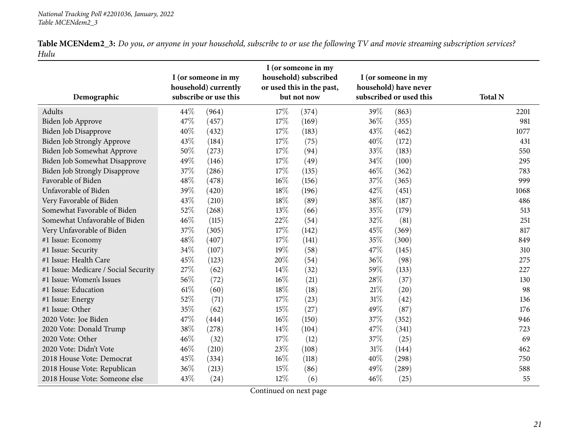| <b>Table MCENdem2_3:</b> Do you, or anyone in your household, subscribe to or use the following TV and movie streaming subscription services? |  |  |
|-----------------------------------------------------------------------------------------------------------------------------------------------|--|--|
| Hulu                                                                                                                                          |  |  |

| Demographic                          | I (or someone in my<br>household) currently<br>subscribe or use this |       |        | I (or someone in my<br>household) subscribed<br>or used this in the past,<br>but not now |        | I (or someone in my<br>household) have never<br>subscribed or used this | <b>Total N</b> |
|--------------------------------------|----------------------------------------------------------------------|-------|--------|------------------------------------------------------------------------------------------|--------|-------------------------------------------------------------------------|----------------|
| Adults                               | 44\%                                                                 | (964) | 17\%   | (374)                                                                                    | 39%    | (863)                                                                   | 2201           |
| Biden Job Approve                    | 47%                                                                  | (457) | 17%    | (169)                                                                                    | 36%    | (355)                                                                   | 981            |
| Biden Job Disapprove                 | 40%                                                                  | (432) | 17%    | (183)                                                                                    | 43%    | (462)                                                                   | 1077           |
| Biden Job Strongly Approve           | 43%                                                                  | (184) | 17%    | (75)                                                                                     | 40%    | (172)                                                                   | 431            |
| Biden Job Somewhat Approve           | 50%                                                                  | (273) | 17%    | (94)                                                                                     | 33%    | (183)                                                                   | 550            |
| Biden Job Somewhat Disapprove        | 49%                                                                  | (146) | 17%    | (49)                                                                                     | 34%    | (100)                                                                   | 295            |
| <b>Biden Job Strongly Disapprove</b> | 37%                                                                  | (286) | 17%    | (135)                                                                                    | 46%    | (362)                                                                   | 783            |
| Favorable of Biden                   | 48%                                                                  | (478) | $16\%$ | (156)                                                                                    | 37%    | (365)                                                                   | 999            |
| Unfavorable of Biden                 | 39%                                                                  | (420) | 18%    | (196)                                                                                    | 42%    | (451)                                                                   | 1068           |
| Very Favorable of Biden              | 43%                                                                  | (210) | 18%    | (89)                                                                                     | 38%    | (187)                                                                   | 486            |
| Somewhat Favorable of Biden          | 52%                                                                  | (268) | 13%    | (66)                                                                                     | 35%    | (179)                                                                   | 513            |
| Somewhat Unfavorable of Biden        | 46%                                                                  | (115) | 22%    | (54)                                                                                     | 32%    | (81)                                                                    | 251            |
| Very Unfavorable of Biden            | 37%                                                                  | (305) | 17%    | (142)                                                                                    | 45%    | (369)                                                                   | 817            |
| #1 Issue: Economy                    | 48%                                                                  | (407) | 17%    | (141)                                                                                    | 35%    | (300)                                                                   | 849            |
| #1 Issue: Security                   | 34%                                                                  | (107) | 19%    | (58)                                                                                     | 47%    | (145)                                                                   | 310            |
| #1 Issue: Health Care                | 45%                                                                  | (123) | 20%    | (54)                                                                                     | 36%    | (98)                                                                    | 275            |
| #1 Issue: Medicare / Social Security | 27%                                                                  | (62)  | 14%    | (32)                                                                                     | 59%    | (133)                                                                   | 227            |
| #1 Issue: Women's Issues             | 56%                                                                  | (72)  | $16\%$ | (21)                                                                                     | 28%    | (37)                                                                    | 130            |
| #1 Issue: Education                  | 61\%                                                                 | (60)  | 18%    | (18)                                                                                     | 21\%   | (20)                                                                    | 98             |
| #1 Issue: Energy                     | 52%                                                                  | (71)  | 17%    | (23)                                                                                     | $31\%$ | (42)                                                                    | 136            |
| #1 Issue: Other                      | 35%                                                                  | (62)  | 15%    | (27)                                                                                     | 49%    | (87)                                                                    | 176            |
| 2020 Vote: Joe Biden                 | 47%                                                                  | (444) | $16\%$ | (150)                                                                                    | 37%    | (352)                                                                   | 946            |
| 2020 Vote: Donald Trump              | 38%                                                                  | (278) | $14\%$ | (104)                                                                                    | 47%    | (341)                                                                   | 723            |
| 2020 Vote: Other                     | 46%                                                                  | (32)  | 17%    | (12)                                                                                     | 37%    | (25)                                                                    | 69             |
| 2020 Vote: Didn't Vote               | 46%                                                                  | (210) | 23%    | (108)                                                                                    | 31%    | (144)                                                                   | 462            |
| 2018 House Vote: Democrat            | 45%                                                                  | (334) | $16\%$ | (118)                                                                                    | 40%    | (298)                                                                   | 750            |
| 2018 House Vote: Republican          | 36%                                                                  | (213) | 15%    | (86)                                                                                     | 49%    | (289)                                                                   | 588            |
| 2018 House Vote: Someone else        | 43%                                                                  | (24)  | 12%    | (6)                                                                                      | 46%    | (25)                                                                    | 55             |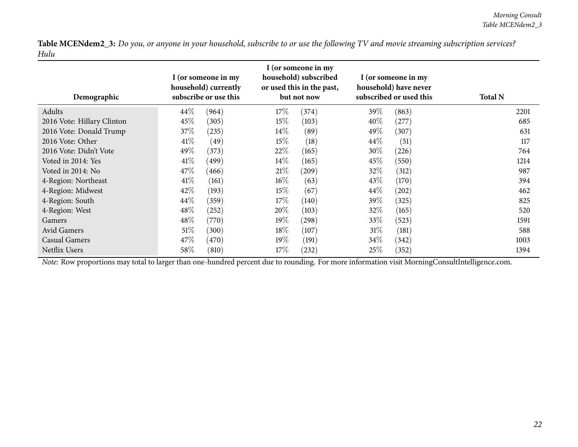| Demographic                | I (or someone in my<br>household) currently<br>subscribe or use this |       | I (or someone in my<br>household) subscribed<br>or used this in the past,<br>but not now |       | I (or someone in my<br>household) have never<br>subscribed or used this |       | <b>Total N</b> |
|----------------------------|----------------------------------------------------------------------|-------|------------------------------------------------------------------------------------------|-------|-------------------------------------------------------------------------|-------|----------------|
| Adults                     | 44\%                                                                 | (964) | 17%                                                                                      | (374) | 39\%                                                                    | (863) | 2201           |
| 2016 Vote: Hillary Clinton | 45%                                                                  | (305) | $15\%$                                                                                   | (103) | $40\%$                                                                  | (277) | 685            |
| 2016 Vote: Donald Trump    | $37\%$                                                               | (235) | 14\%                                                                                     | (89)  | 49\%                                                                    | (307) | 631            |
| 2016 Vote: Other           | 41%                                                                  | (49)  | 15%                                                                                      | (18)  | $44\%$                                                                  | (51)  | 117            |
| 2016 Vote: Didn't Vote     | 49\%                                                                 | (373) | 22\%                                                                                     | (165) | 30\%                                                                    | (226) | 764            |
| Voted in 2014: Yes         | 41%                                                                  | (499) | $14\%$                                                                                   | (165) | $45\%$                                                                  | (550) | 1214           |
| Voted in 2014: No          | 47\%                                                                 | (466) | 21%                                                                                      | (209) | 32\%                                                                    | (312) | 987            |
| 4-Region: Northeast        | 41%                                                                  | (161) | $16\%$                                                                                   | (63)  | 43\%                                                                    | (170) | 394            |
| 4-Region: Midwest          | 42\%                                                                 | (193) | 15%                                                                                      | (67)  | 44\%                                                                    | (202) | 462            |
| 4-Region: South            | 44\%                                                                 | (359) | 17%                                                                                      | (140) | 39\%                                                                    | (325) | 825            |
| 4-Region: West             | $48\%$                                                               | (252) | $20\%$                                                                                   | (103) | 32\%                                                                    | (165) | 520            |
| Gamers                     | $48\%$                                                               | (770) | $19\%$                                                                                   | (298) | $33\%$                                                                  | (523) | 1591           |
| Avid Gamers                | 51%                                                                  | (300) | 18%                                                                                      | (107) | 31%                                                                     | (181) | 588            |
| Casual Gamers              | 47\%                                                                 | (470) | $19\%$                                                                                   | (191) | 34\%                                                                    | (342) | 1003           |
| Netflix Users              | 58\%                                                                 | (810) | 17%                                                                                      | (232) | 25%                                                                     | (352) | 1394           |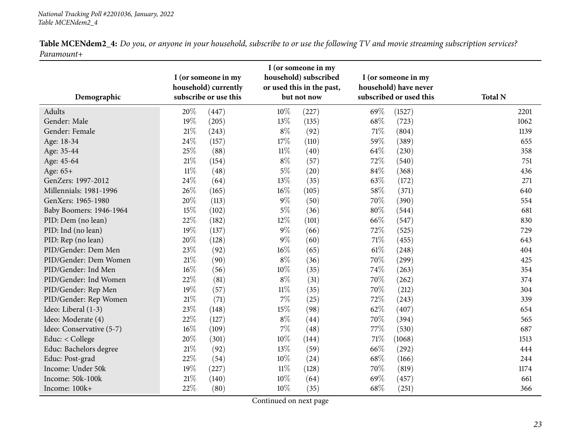|            |  | <b>Table MCENdem2_4:</b> Do you, or anyone in your household, subscribe to or use the following TV and movie streaming subscription services? |
|------------|--|-----------------------------------------------------------------------------------------------------------------------------------------------|
| Paramount+ |  |                                                                                                                                               |

<span id="page-22-0"></span>

|                          |        | I (or someone in my<br>household) currently |        | household) subscribed<br>or used this in the past, |        | I (or someone in my<br>household) have never |                |
|--------------------------|--------|---------------------------------------------|--------|----------------------------------------------------|--------|----------------------------------------------|----------------|
| Demographic              |        | subscribe or use this                       |        | but not now                                        |        | subscribed or used this                      | <b>Total N</b> |
| Adults                   | 20%    | (447)                                       | 10%    | (227)                                              | 69%    | (1527)                                       | 2201           |
| Gender: Male             | 19%    | (205)                                       | 13%    | (135)                                              | 68%    | (723)                                        | 1062           |
| Gender: Female           | $21\%$ | (243)                                       | $8\%$  | (92)                                               | $71\%$ | (804)                                        | 1139           |
| Age: 18-34               | 24%    | (157)                                       | 17%    | (110)                                              | 59%    | (389)                                        | 655            |
| Age: 35-44               | 25%    | (88)                                        | $11\%$ | (40)                                               | 64%    | (230)                                        | 358            |
| Age: 45-64               | $21\%$ | (154)                                       | $8\%$  | (57)                                               | 72%    | (540)                                        | 751            |
| Age: 65+                 | $11\%$ | (48)                                        | $5\%$  | (20)                                               | 84%    | (368)                                        | 436            |
| GenZers: 1997-2012       | 24\%   | (64)                                        | $13\%$ | (35)                                               | 63%    | (172)                                        | 271            |
| Millennials: 1981-1996   | 26%    | (165)                                       | 16%    | (105)                                              | 58%    | (371)                                        | 640            |
| GenXers: 1965-1980       | 20%    | (113)                                       | $9\%$  | (50)                                               | 70%    | (390)                                        | 554            |
| Baby Boomers: 1946-1964  | 15%    | (102)                                       | $5\%$  | (36)                                               | 80%    | (544)                                        | 681            |
| PID: Dem (no lean)       | 22%    | (182)                                       | $12\%$ | (101)                                              | 66%    | (547)                                        | 830            |
| PID: Ind (no lean)       | 19%    | (137)                                       | $9\%$  | (66)                                               | 72%    | (525)                                        | 729            |
| PID: Rep (no lean)       | 20%    | (128)                                       | $9\%$  | (60)                                               | $71\%$ | (455)                                        | 643            |
| PID/Gender: Dem Men      | 23%    | (92)                                        | 16%    | (65)                                               | $61\%$ | (248)                                        | 404            |
| PID/Gender: Dem Women    | $21\%$ | (90)                                        | $8\%$  | (36)                                               | 70%    | (299)                                        | 425            |
| PID/Gender: Ind Men      | $16\%$ | (56)                                        | 10%    | (35)                                               | 74%    | (263)                                        | 354            |
| PID/Gender: Ind Women    | 22%    | (81)                                        | $8\%$  | (31)                                               | 70%    | (262)                                        | 374            |
| PID/Gender: Rep Men      | 19%    | (57)                                        | $11\%$ | (35)                                               | 70%    | (212)                                        | 304            |
| PID/Gender: Rep Women    | $21\%$ | (71)                                        | $7\%$  | (25)                                               | 72%    | (243)                                        | 339            |
| Ideo: Liberal (1-3)      | 23%    | (148)                                       | 15%    | (98)                                               | 62%    | (407)                                        | 654            |
| Ideo: Moderate (4)       | 22%    | (127)                                       | $8\%$  | (44)                                               | 70%    | (394)                                        | 565            |
| Ideo: Conservative (5-7) | $16\%$ | (109)                                       | $7\%$  | (48)                                               | 77%    | (530)                                        | 687            |
| Educ: < College          | 20%    | (301)                                       | $10\%$ | (144)                                              | $71\%$ | (1068)                                       | 1513           |
| Educ: Bachelors degree   | $21\%$ | (92)                                        | 13%    | (59)                                               | 66%    | (292)                                        | 444            |
| Educ: Post-grad          | 22\%   | (54)                                        | $10\%$ | (24)                                               | 68\%   | (166)                                        | 244            |
| Income: Under 50k        | 19%    | (227)                                       | $11\%$ | (128)                                              | 70%    | (819)                                        | 1174           |
| Income: 50k-100k         | 21\%   | (140)                                       | 10%    | (64)                                               | 69%    | (457)                                        | 661            |
| Income: 100k+            | 22%    | (80)                                        | 10%    | (35)                                               | 68\%   | (251)                                        | 366            |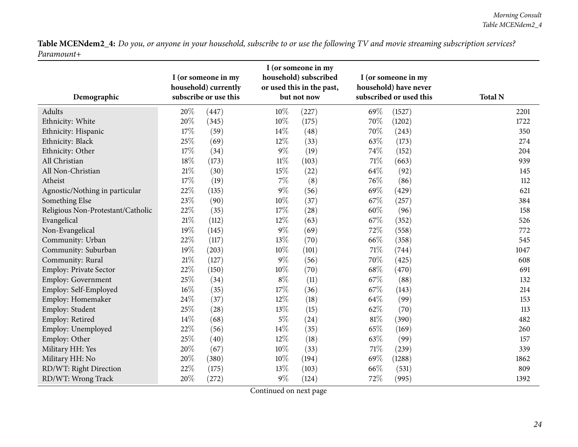| Demographic                       | I (or someone in my<br>household) subscribed<br>I (or someone in my<br>household) currently<br>or used this in the past,<br>subscribe or use this<br>but not now |       |        | I (or someone in my<br>household) have never<br>subscribed or used this | <b>Total N</b> |        |      |
|-----------------------------------|------------------------------------------------------------------------------------------------------------------------------------------------------------------|-------|--------|-------------------------------------------------------------------------|----------------|--------|------|
| Adults                            | $20\%$                                                                                                                                                           | (447) | $10\%$ | (227)                                                                   | 69%            | (1527) | 2201 |
| Ethnicity: White                  | $20\%$                                                                                                                                                           | (345) | 10%    | (175)                                                                   | 70%            | (1202) | 1722 |
| Ethnicity: Hispanic               | 17%                                                                                                                                                              | (59)  | 14%    | (48)                                                                    | 70%            | (243)  | 350  |
| Ethnicity: Black                  | 25%                                                                                                                                                              | (69)  | 12%    | (33)                                                                    | 63%            | (173)  | 274  |
| Ethnicity: Other                  | 17%                                                                                                                                                              | (34)  | $9\%$  | (19)                                                                    | 74%            | (152)  | 204  |
| All Christian                     | 18%                                                                                                                                                              | (173) | $11\%$ | (103)                                                                   | 71\%           | (663)  | 939  |
| All Non-Christian                 | $21\%$                                                                                                                                                           | (30)  | 15%    | (22)                                                                    | 64%            | (92)   | 145  |
| Atheist                           | 17%                                                                                                                                                              | (19)  | $7\%$  | (8)                                                                     | 76%            | (86)   | 112  |
| Agnostic/Nothing in particular    | 22%                                                                                                                                                              | (135) | $9\%$  | (56)                                                                    | 69%            | (429)  | 621  |
| Something Else                    | 23%                                                                                                                                                              | (90)  | $10\%$ | (37)                                                                    | 67%            | (257)  | 384  |
| Religious Non-Protestant/Catholic | 22%                                                                                                                                                              | (35)  | 17%    | (28)                                                                    | 60%            | (96)   | 158  |
| Evangelical                       | $21\%$                                                                                                                                                           | (112) | 12%    | (63)                                                                    | 67%            | (352)  | 526  |
| Non-Evangelical                   | 19%                                                                                                                                                              | (145) | $9\%$  | (69)                                                                    | 72\%           | (558)  | 772  |
| Community: Urban                  | 22%                                                                                                                                                              | (117) | 13%    | (70)                                                                    | 66\%           | (358)  | 545  |
| Community: Suburban               | 19%                                                                                                                                                              | (203) | $10\%$ | (101)                                                                   | $71\%$         | (744)  | 1047 |
| Community: Rural                  | $21\%$                                                                                                                                                           | (127) | $9\%$  | (56)                                                                    | 70%            | (425)  | 608  |
| Employ: Private Sector            | 22%                                                                                                                                                              | (150) | $10\%$ | (70)                                                                    | 68\%           | (470)  | 691  |
| Employ: Government                | 25%                                                                                                                                                              | (34)  | $8\%$  | (11)                                                                    | 67\%           | (88)   | 132  |
| Employ: Self-Employed             | $16\%$                                                                                                                                                           | (35)  | 17%    | (36)                                                                    | 67\%           | (143)  | 214  |
| Employ: Homemaker                 | 24%                                                                                                                                                              | (37)  | 12%    | (18)                                                                    | 64\%           | (99)   | 153  |
| Employ: Student                   | 25%                                                                                                                                                              | (28)  | 13%    | (15)                                                                    | 62%            | (70)   | 113  |
| Employ: Retired                   | 14\%                                                                                                                                                             | (68)  | $5\%$  | (24)                                                                    | 81%            | (390)  | 482  |
| Employ: Unemployed                | 22%                                                                                                                                                              | (56)  | 14%    | (35)                                                                    | 65%            | (169)  | 260  |
| Employ: Other                     | 25%                                                                                                                                                              | (40)  | 12%    | (18)                                                                    | 63%            | (99)   | 157  |
| Military HH: Yes                  | 20%                                                                                                                                                              | (67)  | 10%    | (33)                                                                    | 71%            | (239)  | 339  |
| Military HH: No                   | 20%                                                                                                                                                              | (380) | 10%    | (194)                                                                   | 69%            | (1288) | 1862 |
| RD/WT: Right Direction            | 22%                                                                                                                                                              | (175) | 13%    | (103)                                                                   | 66%            | (531)  | 809  |
| RD/WT: Wrong Track                | 20%                                                                                                                                                              | (272) | $9\%$  | (124)                                                                   | 72%            | (995)  | 1392 |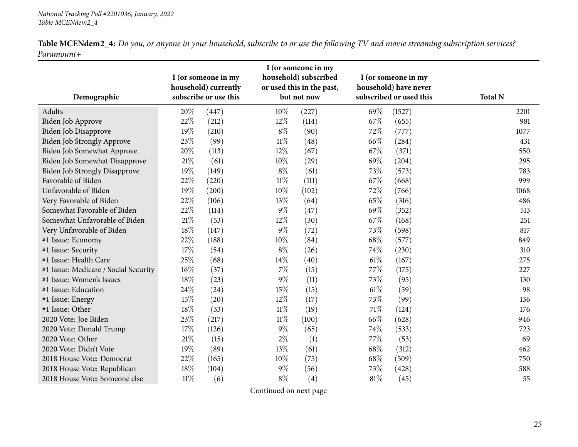| <b>Table MCENdem2_4:</b> Do you, or anyone in your household, subscribe to or use the following TV and movie streaming subscription services? |  |  |
|-----------------------------------------------------------------------------------------------------------------------------------------------|--|--|
| Paramount+                                                                                                                                    |  |  |

| Demographic                          |        | I (or someone in my<br>household) currently<br>subscribe or use this |        | I (or someone in my<br>household) subscribed<br>or used this in the past,<br>but not now |        | I (or someone in my<br>household) have never<br>subscribed or used this | <b>Total N</b> |
|--------------------------------------|--------|----------------------------------------------------------------------|--------|------------------------------------------------------------------------------------------|--------|-------------------------------------------------------------------------|----------------|
| Adults                               | 20%    | (447)                                                                | $10\%$ | (227)                                                                                    | 69%    | (1527)                                                                  | 2201           |
| Biden Job Approve                    | 22%    | (212)                                                                | 12%    | (114)                                                                                    | 67%    | (655)                                                                   | 981            |
| Biden Job Disapprove                 | 19%    | (210)                                                                | $8\%$  | (90)                                                                                     | 72%    | (777)                                                                   | 1077           |
| Biden Job Strongly Approve           | 23%    | (99)                                                                 | $11\%$ | (48)                                                                                     | 66%    | (284)                                                                   | 431            |
| Biden Job Somewhat Approve           | 20%    | (113)                                                                | 12%    | (67)                                                                                     | 67%    | (371)                                                                   | 550            |
| Biden Job Somewhat Disapprove        | $21\%$ | (61)                                                                 | $10\%$ | (29)                                                                                     | 69%    | (204)                                                                   | 295            |
| <b>Biden Job Strongly Disapprove</b> | 19%    | (149)                                                                | $8\%$  | (61)                                                                                     | 73%    | (573)                                                                   | 783            |
| Favorable of Biden                   | 22%    | (220)                                                                | $11\%$ | (111)                                                                                    | 67%    | (668)                                                                   | 999            |
| Unfavorable of Biden                 | 19%    | (200)                                                                | 10%    | (102)                                                                                    | 72%    | (766)                                                                   | 1068           |
| Very Favorable of Biden              | 22%    | (106)                                                                | 13%    | (64)                                                                                     | 65%    | (316)                                                                   | 486            |
| Somewhat Favorable of Biden          | 22%    | (114)                                                                | $9\%$  | (47)                                                                                     | 69%    | (352)                                                                   | 513            |
| Somewhat Unfavorable of Biden        | $21\%$ | (53)                                                                 | 12%    | (30)                                                                                     | 67%    | (168)                                                                   | 251            |
| Very Unfavorable of Biden            | 18%    | (147)                                                                | $9\%$  | (72)                                                                                     | 73%    | (598)                                                                   | 817            |
| #1 Issue: Economy                    | 22%    | (188)                                                                | $10\%$ | (84)                                                                                     | 68%    | (577)                                                                   | 849            |
| #1 Issue: Security                   | 17%    | (54)                                                                 | $8\%$  | (26)                                                                                     | 74%    | (230)                                                                   | 310            |
| #1 Issue: Health Care                | 25%    | (68)                                                                 | 14%    | (40)                                                                                     | $61\%$ | (167)                                                                   | 275            |
| #1 Issue: Medicare / Social Security | 16%    | (37)                                                                 | $7\%$  | (15)                                                                                     | 77%    | (175)                                                                   | 227            |
| #1 Issue: Women's Issues             | 18%    | (23)                                                                 | $9\%$  | (11)                                                                                     | 73%    | (95)                                                                    | 130            |
| #1 Issue: Education                  | 24\%   | (24)                                                                 | 15%    | (15)                                                                                     | 61\%   | (59)                                                                    | 98             |
| #1 Issue: Energy                     | 15%    | (20)                                                                 | 12%    | (17)                                                                                     | 73%    | (99)                                                                    | 136            |
| #1 Issue: Other                      | 18%    | (33)                                                                 | $11\%$ | (19)                                                                                     | $71\%$ | (124)                                                                   | 176            |
| 2020 Vote: Joe Biden                 | 23%    | (217)                                                                | $11\%$ | (100)                                                                                    | 66%    | (628)                                                                   | 946            |
| 2020 Vote: Donald Trump              | 17%    | (126)                                                                | $9\%$  | (65)                                                                                     | 74\%   | (533)                                                                   | 723            |
| 2020 Vote: Other                     | 21\%   | (15)                                                                 | $2\%$  | (1)                                                                                      | 77%    | (53)                                                                    | 69             |
| 2020 Vote: Didn't Vote               | 19%    | (89)                                                                 | 13%    | (61)                                                                                     | 68%    | (312)                                                                   | 462            |
| 2018 House Vote: Democrat            | 22%    | (165)                                                                | $10\%$ | (75)                                                                                     | 68\%   | (509)                                                                   | 750            |
| 2018 House Vote: Republican          | 18%    | (104)                                                                | $9\%$  | (56)                                                                                     | 73\%   | (428)                                                                   | 588            |
| 2018 House Vote: Someone else        | $11\%$ | (6)                                                                  | $8\%$  | (4)                                                                                      | $81\%$ | (45)                                                                    | 55             |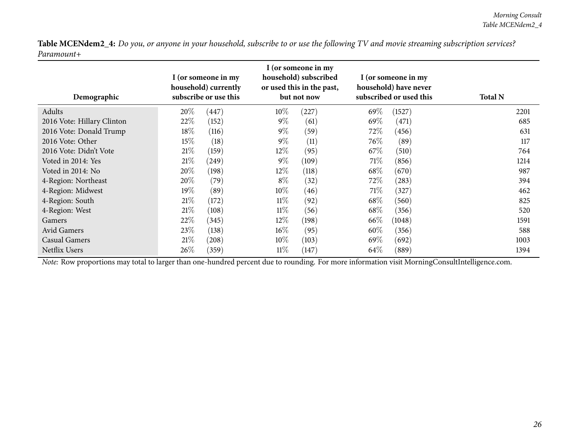| Demographic                | I (or someone in my<br>household) currently<br>subscribe or use this |            | I (or someone in my<br>household) subscribed<br>or used this in the past,<br>but not now |       | I (or someone in my<br>household) have never<br>subscribed or used this |                     | <b>Total N</b> |
|----------------------------|----------------------------------------------------------------------|------------|------------------------------------------------------------------------------------------|-------|-------------------------------------------------------------------------|---------------------|----------------|
| Adults                     | 20%                                                                  | (447)      | $10\%$                                                                                   | (227) | 69%                                                                     | (1527)              | 2201           |
| 2016 Vote: Hillary Clinton | 22%                                                                  | (152)      | $9\%$                                                                                    | (61)  | $69\%$                                                                  | (471)               | 685            |
| 2016 Vote: Donald Trump    | $18\%$                                                               | (116)      | $9\%$                                                                                    | (59)  | 72%                                                                     | (456)               | 631            |
| 2016 Vote: Other           | 15%                                                                  | (18)       | $9\%$                                                                                    | (11)  | 76\%                                                                    | (89)                | 117            |
| 2016 Vote: Didn't Vote     | 21%                                                                  | (159)      | $12\%$                                                                                   | (95)  | 67\%                                                                    | (510)               | 764            |
| Voted in 2014: Yes         | 21%                                                                  | (249)      | $9\%$                                                                                    | (109) | 71%                                                                     | (856)               | 1214           |
| Voted in 2014: No          | 20%                                                                  | (198)      | $12\%$                                                                                   | (118) | 68\%                                                                    | (670)               | 987            |
| 4-Region: Northeast        | 20%                                                                  | (79)       | $8\%$                                                                                    | (32)  | 72\%                                                                    | (283)               | 394            |
| 4-Region: Midwest          | 19%                                                                  | (89)       | $10\%$                                                                                   | (46)  | 71\%                                                                    | (327)               | 462            |
| 4-Region: South            | 21%                                                                  | (172)      | $11\%$                                                                                   | (92)  | 68\%                                                                    | (560)               | 825            |
| 4-Region: West             | 21%                                                                  | (108)      | $11\%$                                                                                   | (56)  | 68\%                                                                    | (356)               | 520            |
| Gamers                     | 22%                                                                  | (345)      | $12\%$                                                                                   | (198) | 66\%                                                                    | (1048)              | 1591           |
| Avid Gamers                | 23\%                                                                 | (138)      | $16\%$                                                                                   | (95)  | $60\%$                                                                  | (356)               | 588            |
| <b>Casual Gamers</b>       | 21%                                                                  | $^{'}208)$ | $10\%$                                                                                   | (103) | $69\%$                                                                  | (692)               | 1003           |
| Netflix Users              | 26\%                                                                 | (359)      | $11\%$                                                                                   | (147) | 64\%                                                                    | $\left( 889\right)$ | 1394           |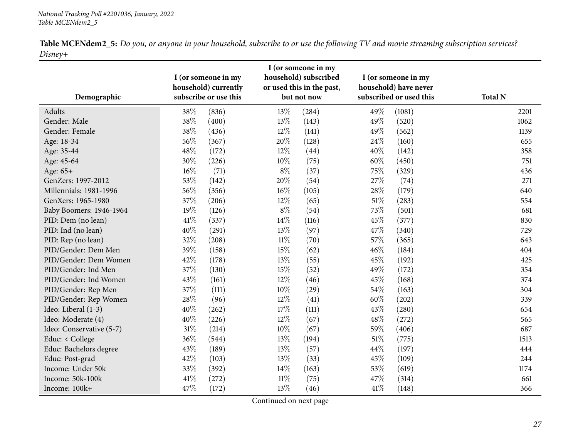<span id="page-26-0"></span>

| Demographic              | I (or someone in my<br>household) currently<br>subscribe or use this |       | I (or someone in my<br>household) subscribed<br>or used this in the past,<br>but not now |       | I (or someone in my<br>household) have never<br>subscribed or used this |        | <b>Total N</b> |
|--------------------------|----------------------------------------------------------------------|-------|------------------------------------------------------------------------------------------|-------|-------------------------------------------------------------------------|--------|----------------|
| Adults                   | 38%                                                                  | (836) | 13%                                                                                      | (284) | 49%                                                                     | (1081) | 2201           |
| Gender: Male             | 38%                                                                  | (400) | 13%                                                                                      | (143) | 49%                                                                     | (520)  | 1062           |
| Gender: Female           | 38%                                                                  | (436) | 12%                                                                                      | (141) | 49%                                                                     | (562)  | 1139           |
| Age: 18-34               | 56%                                                                  | (367) | 20%                                                                                      | (128) | 24\%                                                                    | (160)  | 655            |
| Age: 35-44               | 48\%                                                                 | (172) | 12%                                                                                      | (44)  | 40%                                                                     | (142)  | 358            |
| Age: 45-64               | $30\%$                                                               | (226) | 10%                                                                                      | (75)  | 60%                                                                     | (450)  | 751            |
| Age: 65+                 | $16\%$                                                               | (71)  | $8\%$                                                                                    | (37)  | 75%                                                                     | (329)  | 436            |
| GenZers: 1997-2012       | 53%                                                                  | (142) | 20%                                                                                      | (54)  | 27%                                                                     | (74)   | 271            |
| Millennials: 1981-1996   | 56%                                                                  | (356) | 16%                                                                                      | (105) | 28%                                                                     | (179)  | 640            |
| GenXers: 1965-1980       | 37%                                                                  | (206) | 12%                                                                                      | (65)  | $51\%$                                                                  | (283)  | 554            |
| Baby Boomers: 1946-1964  | 19%                                                                  | (126) | $8\%$                                                                                    | (54)  | 73%                                                                     | (501)  | 681            |
| PID: Dem (no lean)       | $41\%$                                                               | (337) | 14%                                                                                      | (116) | 45%                                                                     | (377)  | 830            |
| PID: Ind (no lean)       | 40%                                                                  | (291) | 13%                                                                                      | (97)  | 47%                                                                     | (340)  | 729            |
| PID: Rep (no lean)       | 32%                                                                  | (208) | $11\%$                                                                                   | (70)  | 57%                                                                     | (365)  | 643            |
| PID/Gender: Dem Men      | 39%                                                                  | (158) | 15%                                                                                      | (62)  | 46%                                                                     | (184)  | 404            |
| PID/Gender: Dem Women    | 42%                                                                  | (178) | 13%                                                                                      | (55)  | 45%                                                                     | (192)  | 425            |
| PID/Gender: Ind Men      | 37%                                                                  | (130) | 15%                                                                                      | (52)  | 49%                                                                     | (172)  | 354            |
| PID/Gender: Ind Women    | 43%                                                                  | (161) | 12%                                                                                      | (46)  | 45%                                                                     | (168)  | 374            |
| PID/Gender: Rep Men      | 37%                                                                  | (111) | 10%                                                                                      | (29)  | 54%                                                                     | (163)  | 304            |
| PID/Gender: Rep Women    | 28%                                                                  | (96)  | 12%                                                                                      | (41)  | 60%                                                                     | (202)  | 339            |
| Ideo: Liberal (1-3)      | 40%                                                                  | (262) | 17%                                                                                      | (111) | 43%                                                                     | (280)  | 654            |
| Ideo: Moderate (4)       | 40%                                                                  | (226) | 12%                                                                                      | (67)  | 48%                                                                     | (272)  | 565            |
| Ideo: Conservative (5-7) | $31\%$                                                               | (214) | 10%                                                                                      | (67)  | 59%                                                                     | (406)  | 687            |
| Educ: < College          | 36%                                                                  | (544) | 13%                                                                                      | (194) | 51\%                                                                    | (775)  | 1513           |
| Educ: Bachelors degree   | 43%                                                                  | (189) | 13%                                                                                      | (57)  | 44%                                                                     | (197)  | 444            |
| Educ: Post-grad          | 42%                                                                  | (103) | 13%                                                                                      | (33)  | 45%                                                                     | (109)  | 244            |
| Income: Under 50k        | 33%                                                                  | (392) | 14\%                                                                                     | (163) | 53%                                                                     | (619)  | 1174           |
| Income: 50k-100k         | 41\%                                                                 | (272) | $11\%$                                                                                   | (75)  | 47%                                                                     | (314)  | 661            |
| Income: 100k+            | 47%                                                                  | (172) | 13%                                                                                      | (46)  | 41\%                                                                    | (148)  | 366            |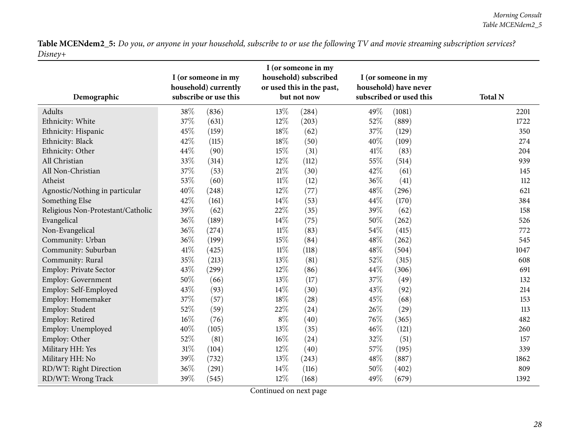| Demographic                       |        | I (or someone in my<br>household) currently<br>subscribe or use this |        | I (or someone in my<br>household) subscribed<br>or used this in the past,<br>but not now |      | I (or someone in my<br>household) have never<br>subscribed or used this | <b>Total N</b> |
|-----------------------------------|--------|----------------------------------------------------------------------|--------|------------------------------------------------------------------------------------------|------|-------------------------------------------------------------------------|----------------|
| Adults                            | 38%    | (836)                                                                | 13%    | (284)                                                                                    | 49%  | (1081)                                                                  | 2201           |
| Ethnicity: White                  | 37%    | (631)                                                                | 12%    | (203)                                                                                    | 52%  | (889)                                                                   | 1722           |
| Ethnicity: Hispanic               | 45%    | (159)                                                                | 18%    | (62)                                                                                     | 37%  | (129)                                                                   | 350            |
| Ethnicity: Black                  | 42%    | (115)                                                                | 18%    | (50)                                                                                     | 40%  | (109)                                                                   | 274            |
| Ethnicity: Other                  | 44%    | (90)                                                                 | 15%    | (31)                                                                                     | 41\% | (83)                                                                    | 204            |
| All Christian                     | 33%    | (314)                                                                | 12%    | (112)                                                                                    | 55%  | (514)                                                                   | 939            |
| All Non-Christian                 | 37%    | (53)                                                                 | 21\%   | (30)                                                                                     | 42%  | (61)                                                                    | 145            |
| Atheist                           | 53%    | (60)                                                                 | $11\%$ | (12)                                                                                     | 36\% | (41)                                                                    | 112            |
| Agnostic/Nothing in particular    | 40%    | (248)                                                                | 12%    | (77)                                                                                     | 48%  | (296)                                                                   | 621            |
| Something Else                    | 42%    | (161)                                                                | 14%    | (53)                                                                                     | 44\% | (170)                                                                   | 384            |
| Religious Non-Protestant/Catholic | 39%    | (62)                                                                 | 22%    | (35)                                                                                     | 39%  | (62)                                                                    | 158            |
| Evangelical                       | 36%    | (189)                                                                | 14\%   | (75)                                                                                     | 50%  | (262)                                                                   | 526            |
| Non-Evangelical                   | 36%    | (274)                                                                | $11\%$ | (83)                                                                                     | 54%  | (415)                                                                   | 772            |
| Community: Urban                  | 36%    | (199)                                                                | 15%    | (84)                                                                                     | 48%  | (262)                                                                   | 545            |
| Community: Suburban               | 41\%   | (425)                                                                | $11\%$ | (118)                                                                                    | 48%  | (504)                                                                   | 1047           |
| Community: Rural                  | 35%    | (213)                                                                | 13%    | (81)                                                                                     | 52%  | (315)                                                                   | 608            |
| Employ: Private Sector            | 43%    | (299)                                                                | 12%    | (86)                                                                                     | 44%  | (306)                                                                   | 691            |
| <b>Employ: Government</b>         | 50%    | (66)                                                                 | 13%    | (17)                                                                                     | 37%  | (49)                                                                    | 132            |
| Employ: Self-Employed             | 43%    | (93)                                                                 | 14%    | (30)                                                                                     | 43\% | (92)                                                                    | 214            |
| Employ: Homemaker                 | 37%    | (57)                                                                 | 18%    | (28)                                                                                     | 45%  | (68)                                                                    | 153            |
| Employ: Student                   | 52%    | (59)                                                                 | 22%    | (24)                                                                                     | 26%  | (29)                                                                    | 113            |
| Employ: Retired                   | $16\%$ | (76)                                                                 | $8\%$  | (40)                                                                                     | 76%  | (365)                                                                   | 482            |
| Employ: Unemployed                | 40%    | (105)                                                                | 13%    | (35)                                                                                     | 46%  | (121)                                                                   | 260            |
| Employ: Other                     | 52%    | (81)                                                                 | 16%    | (24)                                                                                     | 32%  | (51)                                                                    | 157            |
| Military HH: Yes                  | 31%    | (104)                                                                | 12%    | (40)                                                                                     | 57%  | (195)                                                                   | 339            |
| Military HH: No                   | 39%    | (732)                                                                | 13%    | (243)                                                                                    | 48%  | (887)                                                                   | 1862           |
| RD/WT: Right Direction            | 36%    | (291)                                                                | 14%    | (116)                                                                                    | 50%  | (402)                                                                   | 809            |
| RD/WT: Wrong Track                | 39%    | (545)                                                                | 12%    | (168)                                                                                    | 49%  | (679)                                                                   | 1392           |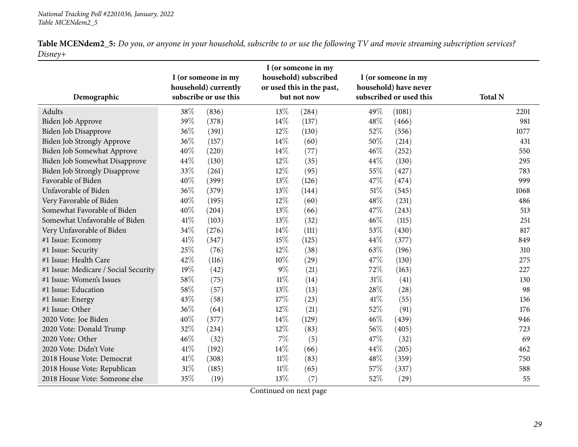| <b>Table MCENdem2_5:</b> Do you, or anyone in your household, subscribe to or use the following TV and movie streaming subscription services? |  |  |  |
|-----------------------------------------------------------------------------------------------------------------------------------------------|--|--|--|
| Disnev+                                                                                                                                       |  |  |  |

| Demographic                          |        | I (or someone in my<br>household) currently<br>subscribe or use this | I (or someone in my<br>household) subscribed<br>or used this in the past,<br>but not now |       | I (or someone in my<br>household) have never<br>subscribed or used this |        | <b>Total N</b> |
|--------------------------------------|--------|----------------------------------------------------------------------|------------------------------------------------------------------------------------------|-------|-------------------------------------------------------------------------|--------|----------------|
| Adults                               | 38%    | (836)                                                                | 13%                                                                                      | (284) | 49%                                                                     | (1081) | 2201           |
| Biden Job Approve                    | 39%    | (378)                                                                | 14%                                                                                      | (137) | 48%                                                                     | (466)  | 981            |
| Biden Job Disapprove                 | 36%    | (391)                                                                | $12\%$                                                                                   | (130) | 52%                                                                     | (556)  | 1077           |
| Biden Job Strongly Approve           | 36%    | (157)                                                                | 14%                                                                                      | (60)  | 50%                                                                     | (214)  | 431            |
| Biden Job Somewhat Approve           | 40%    | (220)                                                                | 14%                                                                                      | (77)  | 46%                                                                     | (252)  | 550            |
| <b>Biden Job Somewhat Disapprove</b> | 44\%   | (130)                                                                | 12%                                                                                      | (35)  | 44%                                                                     | (130)  | 295            |
| <b>Biden Job Strongly Disapprove</b> | 33%    | (261)                                                                | $12\%$                                                                                   | (95)  | 55%                                                                     | (427)  | 783            |
| Favorable of Biden                   | 40%    | (399)                                                                | 13%                                                                                      | (126) | 47%                                                                     | (474)  | 999            |
| Unfavorable of Biden                 | 36%    | (379)                                                                | 13%                                                                                      | (144) | $51\%$                                                                  | (545)  | 1068           |
| Very Favorable of Biden              | 40%    | (195)                                                                | $12\%$                                                                                   | (60)  | 48%                                                                     | (231)  | 486            |
| Somewhat Favorable of Biden          | 40%    | (204)                                                                | 13%                                                                                      | (66)  | 47%                                                                     | (243)  | 513            |
| Somewhat Unfavorable of Biden        | 41\%   | (103)                                                                | 13%                                                                                      | (32)  | 46%                                                                     | (115)  | 251            |
| Very Unfavorable of Biden            | 34%    | (276)                                                                | 14%                                                                                      | (111) | 53%                                                                     | (430)  | 817            |
| #1 Issue: Economy                    | 41\%   | (347)                                                                | 15%                                                                                      | (125) | 44%                                                                     | (377)  | 849            |
| #1 Issue: Security                   | 25%    | (76)                                                                 | $12\%$                                                                                   | (38)  | 63%                                                                     | (196)  | 310            |
| #1 Issue: Health Care                | 42%    | (116)                                                                | 10%                                                                                      | (29)  | 47%                                                                     | (130)  | 275            |
| #1 Issue: Medicare / Social Security | 19%    | (42)                                                                 | $9\%$                                                                                    | (21)  | 72%                                                                     | (163)  | 227            |
| #1 Issue: Women's Issues             | 58%    | (75)                                                                 | $11\%$                                                                                   | (14)  | $31\%$                                                                  | (41)   | 130            |
| #1 Issue: Education                  | 58%    | (57)                                                                 | 13%                                                                                      | (13)  | 28\%                                                                    | (28)   | 98             |
| #1 Issue: Energy                     | 43%    | (58)                                                                 | 17%                                                                                      | (23)  | 41\%                                                                    | (55)   | 136            |
| #1 Issue: Other                      | 36%    | (64)                                                                 | 12%                                                                                      | (21)  | 52%                                                                     | (91)   | 176            |
| 2020 Vote: Joe Biden                 | 40%    | (377)                                                                | 14%                                                                                      | (129) | 46%                                                                     | (439)  | 946            |
| 2020 Vote: Donald Trump              | 32%    | (234)                                                                | $12\%$                                                                                   | (83)  | 56%                                                                     | (405)  | 723            |
| 2020 Vote: Other                     | 46%    | (32)                                                                 | $7\%$                                                                                    | (5)   | 47\%                                                                    | (32)   | 69             |
| 2020 Vote: Didn't Vote               | $41\%$ | (192)                                                                | $14\%$                                                                                   | (66)  | 44%                                                                     | (205)  | 462            |
| 2018 House Vote: Democrat            | $41\%$ | (308)                                                                | $11\%$                                                                                   | (83)  | 48\%                                                                    | (359)  | 750            |
| 2018 House Vote: Republican          | $31\%$ | (185)                                                                | $11\%$                                                                                   | (65)  | 57%                                                                     | (337)  | 588            |
| 2018 House Vote: Someone else        | 35%    | (19)                                                                 | 13%                                                                                      | (7)   | 52%                                                                     | (29)   | 55             |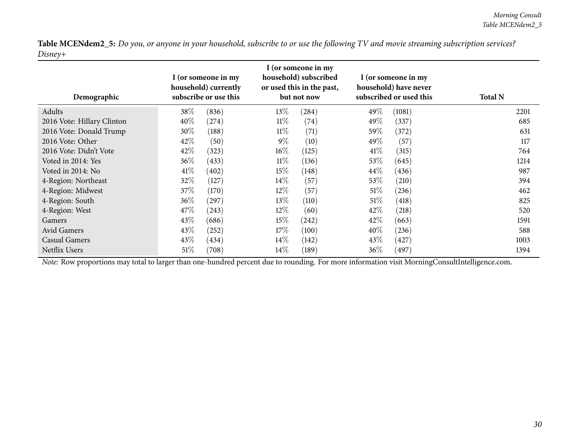| Demographic                | I (or someone in my<br>household) currently<br>subscribe or use this |            | I (or someone in my<br>household) subscribed<br>or used this in the past,<br>but not now |       | I (or someone in my<br>household) have never<br>subscribed or used this |        | <b>Total N</b> |
|----------------------------|----------------------------------------------------------------------|------------|------------------------------------------------------------------------------------------|-------|-------------------------------------------------------------------------|--------|----------------|
| Adults                     | 38\%                                                                 | (836)      | 13\%                                                                                     | (284) | 49\%                                                                    | (1081) | 2201           |
| 2016 Vote: Hillary Clinton | 40\%                                                                 | (274)      | $11\%$                                                                                   | (74)  | 49\%                                                                    | (337)  | 685            |
| 2016 Vote: Donald Trump    | 30\%                                                                 | (188)      | $11\%$                                                                                   | (71)  | 59\%                                                                    | (372)  | 631            |
| 2016 Vote: Other           | 42\%                                                                 | (50)       | $9\%$                                                                                    | (10)  | 49\%                                                                    | (57)   | 117            |
| 2016 Vote: Didn't Vote     | 42%                                                                  | (323)      | $16\%$                                                                                   | (125) | 41%                                                                     | (315)  | 764            |
| Voted in 2014: Yes         | 36\%                                                                 | (433)      | $11\%$                                                                                   | (136) | 53\%                                                                    | (645)  | 1214           |
| Voted in 2014: No          | 41\%                                                                 | (402)      | $15\%$                                                                                   | (148) | $44\%$                                                                  | (436)  | 987            |
| 4-Region: Northeast        | 32%                                                                  | (127)      | $14\%$                                                                                   | (57)  | 53\%                                                                    | (210)  | 394            |
| 4-Region: Midwest          | 37\%                                                                 | (170)      | $12\%$                                                                                   | (57)  | 51%                                                                     | (236)  | 462            |
| 4-Region: South            | 36\%                                                                 | $^{'}297)$ | 13\%                                                                                     | (110) | 51%                                                                     | (418)  | 825            |
| 4-Region: West             | 47\%                                                                 | (243)      | $12\%$                                                                                   | (60)  | 42\%                                                                    | (218)  | 520            |
| Gamers                     | 43\%                                                                 | (686)      | $15\%$                                                                                   | (242) | 42\%                                                                    | (663)  | 1591           |
| Avid Gamers                | 43\%                                                                 | (252)      | 17%                                                                                      | (100) | $40\%$                                                                  | (236)  | 588            |
| <b>Casual Gamers</b>       | 43\%                                                                 | (434)      | $14\%$                                                                                   | (142) | 43\%                                                                    | (427)  | 1003           |
| <b>Netflix Users</b>       | 51%                                                                  | (708)      | $14\%$                                                                                   | (189) | 36%                                                                     | (497)  | 1394           |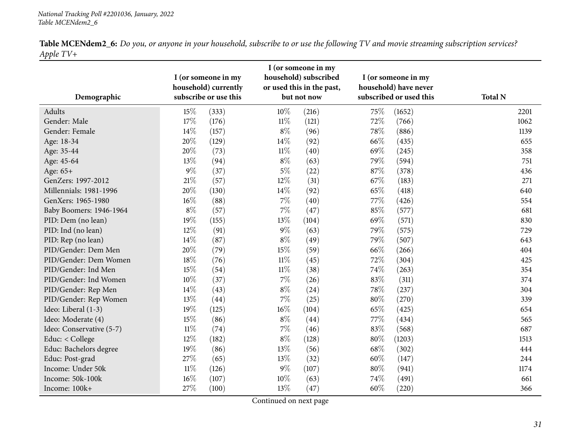|           |  | Table MCENdem2_6: Do you, or anyone in your household, subscribe to or use the following TV and movie streaming subscription services? |
|-----------|--|----------------------------------------------------------------------------------------------------------------------------------------|
| Apple TV+ |  |                                                                                                                                        |

<span id="page-30-0"></span>

|                          |        | I (or someone in my<br>household) currently |        | I (or someone in my<br>household) subscribed<br>or used this in the past, |        | I (or someone in my<br>household) have never |                |
|--------------------------|--------|---------------------------------------------|--------|---------------------------------------------------------------------------|--------|----------------------------------------------|----------------|
| Demographic              |        | subscribe or use this                       |        | but not now                                                               |        | subscribed or used this                      | <b>Total N</b> |
| Adults                   | 15%    | (333)                                       | 10%    | (216)                                                                     | 75%    | (1652)                                       | 2201           |
| Gender: Male             | $17\%$ | (176)                                       | $11\%$ | (121)                                                                     | 72%    | (766)                                        | 1062           |
| Gender: Female           | 14%    | (157)                                       | $8\%$  | (96)                                                                      | 78%    | (886)                                        | 1139           |
| Age: 18-34               | 20%    | (129)                                       | 14%    | (92)                                                                      | 66%    | (435)                                        | 655            |
| Age: 35-44               | 20%    | (73)                                        | $11\%$ | (40)                                                                      | 69%    | (245)                                        | 358            |
| Age: 45-64               | 13%    | (94)                                        | $8\%$  | (63)                                                                      | 79%    | (594)                                        | 751            |
| Age: 65+                 | $9\%$  | (37)                                        | $5\%$  | (22)                                                                      | $87\%$ | (378)                                        | 436            |
| GenZers: 1997-2012       | $21\%$ | (57)                                        | 12%    | (31)                                                                      | 67\%   | (183)                                        | 271            |
| Millennials: 1981-1996   | 20%    | (130)                                       | 14%    | (92)                                                                      | 65%    | (418)                                        | 640            |
| GenXers: 1965-1980       | 16%    | (88)                                        | 7%     | (40)                                                                      | 77%    | (426)                                        | 554            |
| Baby Boomers: 1946-1964  | $8\%$  | (57)                                        | $7\%$  | (47)                                                                      | 85%    | (577)                                        | 681            |
| PID: Dem (no lean)       | 19%    | (155)                                       | 13%    | (104)                                                                     | 69%    | (571)                                        | 830            |
| PID: Ind (no lean)       | 12%    | (91)                                        | $9\%$  | (63)                                                                      | 79%    | (575)                                        | 729            |
| PID: Rep (no lean)       | 14%    | (87)                                        | $8\%$  | (49)                                                                      | 79%    | (507)                                        | 643            |
| PID/Gender: Dem Men      | $20\%$ | (79)                                        | 15%    | (59)                                                                      | 66%    | (266)                                        | 404            |
| PID/Gender: Dem Women    | $18\%$ | (76)                                        | $11\%$ | (45)                                                                      | 72%    | (304)                                        | 425            |
| PID/Gender: Ind Men      | 15%    | (54)                                        | $11\%$ | (38)                                                                      | 74%    | (263)                                        | 354            |
| PID/Gender: Ind Women    | $10\%$ | (37)                                        | 7%     | (26)                                                                      | 83%    | (311)                                        | 374            |
| PID/Gender: Rep Men      | 14%    | (43)                                        | $8\%$  | (24)                                                                      | 78%    | (237)                                        | 304            |
| PID/Gender: Rep Women    | 13%    | (44)                                        | $7\%$  | (25)                                                                      | $80\%$ | (270)                                        | 339            |
| Ideo: Liberal (1-3)      | 19%    | (125)                                       | 16%    | (104)                                                                     | 65%    | (425)                                        | 654            |
| Ideo: Moderate (4)       | 15%    | (86)                                        | $8\%$  | (44)                                                                      | 77\%   | (434)                                        | 565            |
| Ideo: Conservative (5-7) | $11\%$ | (74)                                        | $7\%$  | (46)                                                                      | 83%    | (568)                                        | 687            |
| Educ: < College          | 12%    | (182)                                       | $8\%$  | (128)                                                                     | $80\%$ | (1203)                                       | 1513           |
| Educ: Bachelors degree   | 19%    | (86)                                        | 13%    | (56)                                                                      | 68%    | (302)                                        | 444            |
| Educ: Post-grad          | 27%    | (65)                                        | 13%    | (32)                                                                      | 60%    | (147)                                        | 244            |
| Income: Under 50k        | $11\%$ | (126)                                       | $9\%$  | (107)                                                                     | 80%    | (941)                                        | 1174           |
| Income: 50k-100k         | 16%    | (107)                                       | 10%    | (63)                                                                      | 74%    | (491)                                        | 661            |
| Income: 100k+            | 27%    | (100)                                       | 13%    | (47)                                                                      | 60%    | (220)                                        | 366            |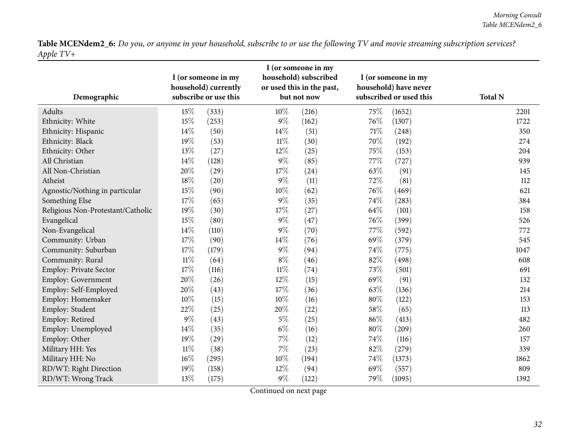| Demographic                       |        | I (or someone in my<br>household) currently<br>subscribe or use this |        | I (or someone in my<br>household) subscribed<br>or used this in the past,<br>but not now |      | I (or someone in my<br>household) have never<br>subscribed or used this | <b>Total N</b> |
|-----------------------------------|--------|----------------------------------------------------------------------|--------|------------------------------------------------------------------------------------------|------|-------------------------------------------------------------------------|----------------|
| Adults                            | 15%    | (333)                                                                | 10%    | (216)                                                                                    | 75%  | (1652)                                                                  | 2201           |
| Ethnicity: White                  | 15%    | (253)                                                                | $9\%$  | (162)                                                                                    | 76%  | (1307)                                                                  | 1722           |
| Ethnicity: Hispanic               | 14%    | (50)                                                                 | 14\%   | (51)                                                                                     | 71%  | (248)                                                                   | 350            |
| Ethnicity: Black                  | 19%    | (53)                                                                 | $11\%$ | (30)                                                                                     | 70%  | (192)                                                                   | 274            |
| Ethnicity: Other                  | 13%    | (27)                                                                 | 12%    | (25)                                                                                     | 75%  | (153)                                                                   | 204            |
| All Christian                     | $14\%$ | (128)                                                                | $9\%$  | (85)                                                                                     | 77\% | (727)                                                                   | 939            |
| All Non-Christian                 | 20%    | (29)                                                                 | 17%    | (24)                                                                                     | 63%  | (91)                                                                    | 145            |
| Atheist                           | 18%    | (20)                                                                 | $9\%$  | (11)                                                                                     | 72%  | (81)                                                                    | 112            |
| Agnostic/Nothing in particular    | 15%    | (90)                                                                 | 10%    | (62)                                                                                     | 76%  | (469)                                                                   | 621            |
| Something Else                    | 17%    | (65)                                                                 | $9\%$  | (35)                                                                                     | 74%  | (283)                                                                   | 384            |
| Religious Non-Protestant/Catholic | 19%    | (30)                                                                 | 17%    | (27)                                                                                     | 64\% | (101)                                                                   | 158            |
| Evangelical                       | 15%    | (80)                                                                 | $9\%$  | (47)                                                                                     | 76%  | (399)                                                                   | 526            |
| Non-Evangelical                   | 14%    | (110)                                                                | $9\%$  | (70)                                                                                     | 77%  | (592)                                                                   | 772            |
| Community: Urban                  | 17%    | (90)                                                                 | 14%    | (76)                                                                                     | 69%  | (379)                                                                   | 545            |
| Community: Suburban               | 17%    | (179)                                                                | $9\%$  | (94)                                                                                     | 74%  | (775)                                                                   | 1047           |
| Community: Rural                  | $11\%$ | (64)                                                                 | $8\%$  | (46)                                                                                     | 82%  | (498)                                                                   | 608            |
| Employ: Private Sector            | 17%    | (116)                                                                | $11\%$ | (74)                                                                                     | 73%  | (501)                                                                   | 691            |
| <b>Employ: Government</b>         | 20%    | (26)                                                                 | 12%    | (15)                                                                                     | 69%  | (91)                                                                    | 132            |
| Employ: Self-Employed             | 20%    | (43)                                                                 | 17%    | (36)                                                                                     | 63%  | (136)                                                                   | 214            |
| Employ: Homemaker                 | 10%    | (15)                                                                 | 10%    | (16)                                                                                     | 80%  | (122)                                                                   | 153            |
| Employ: Student                   | 22%    | (25)                                                                 | 20%    | (22)                                                                                     | 58\% | (65)                                                                    | 113            |
| Employ: Retired                   | $9\%$  | (43)                                                                 | $5\%$  | (25)                                                                                     | 86%  | (413)                                                                   | 482            |
| Employ: Unemployed                | 14%    | (35)                                                                 | $6\%$  | (16)                                                                                     | 80%  | (209)                                                                   | 260            |
| Employ: Other                     | 19%    | (29)                                                                 | $7\%$  | (12)                                                                                     | 74%  | (116)                                                                   | 157            |
| Military HH: Yes                  | $11\%$ | (38)                                                                 | $7\%$  | (23)                                                                                     | 82%  | (279)                                                                   | 339            |
| Military HH: No                   | $16\%$ | (295)                                                                | 10%    | (194)                                                                                    | 74%  | (1373)                                                                  | 1862           |
| RD/WT: Right Direction            | 19%    | (158)                                                                | 12%    | (94)                                                                                     | 69%  | (557)                                                                   | 809            |
| RD/WT: Wrong Track                | 13%    | (175)                                                                | $9\%$  | (122)                                                                                    | 79%  | (1095)                                                                  | 1392           |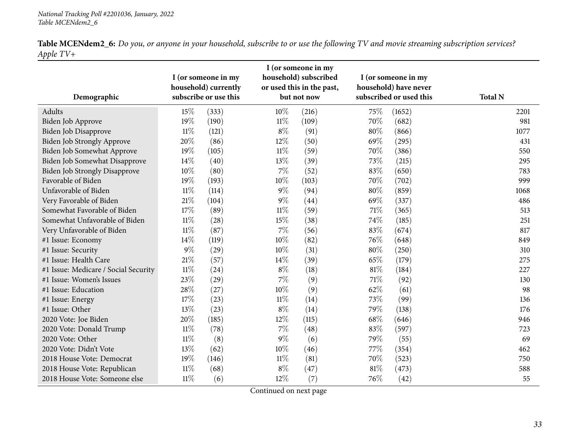| Demographic                          |        | I (or someone in my<br>household) currently<br>subscribe or use this |        | I (or someone in my<br>household) subscribed<br>or used this in the past,<br>but not now |        | I (or someone in my<br>household) have never<br>subscribed or used this | <b>Total N</b> |
|--------------------------------------|--------|----------------------------------------------------------------------|--------|------------------------------------------------------------------------------------------|--------|-------------------------------------------------------------------------|----------------|
| Adults                               | 15%    | (333)                                                                | $10\%$ | (216)                                                                                    | 75%    | (1652)                                                                  | 2201           |
| Biden Job Approve                    | 19%    | (190)                                                                | $11\%$ | (109)                                                                                    | 70%    | (682)                                                                   | 981            |
| Biden Job Disapprove                 | $11\%$ | (121)                                                                | $8\%$  | (91)                                                                                     | $80\%$ | (866)                                                                   | 1077           |
| Biden Job Strongly Approve           | 20%    | (86)                                                                 | $12\%$ | (50)                                                                                     | 69%    | (295)                                                                   | 431            |
| Biden Job Somewhat Approve           | 19%    | (105)                                                                | $11\%$ | (59)                                                                                     | 70%    | (386)                                                                   | 550            |
| <b>Biden Job Somewhat Disapprove</b> | 14%    | (40)                                                                 | 13%    | (39)                                                                                     | 73%    | (215)                                                                   | 295            |
| <b>Biden Job Strongly Disapprove</b> | 10%    | (80)                                                                 | $7\%$  | (52)                                                                                     | 83%    | (650)                                                                   | 783            |
| Favorable of Biden                   | 19%    | (193)                                                                | 10%    | (103)                                                                                    | 70%    | (702)                                                                   | 999            |
| Unfavorable of Biden                 | $11\%$ | (114)                                                                | $9\%$  | (94)                                                                                     | $80\%$ | (859)                                                                   | 1068           |
| Very Favorable of Biden              | $21\%$ | (104)                                                                | $9\%$  | (44)                                                                                     | 69%    | (337)                                                                   | 486            |
| Somewhat Favorable of Biden          | $17\%$ | (89)                                                                 | $11\%$ | (59)                                                                                     | 71%    | (365)                                                                   | 513            |
| Somewhat Unfavorable of Biden        | $11\%$ | (28)                                                                 | 15%    | (38)                                                                                     | 74%    | (185)                                                                   | 251            |
| Very Unfavorable of Biden            | $11\%$ | (87)                                                                 | $7\%$  | (56)                                                                                     | 83%    | (674)                                                                   | 817            |
| #1 Issue: Economy                    | 14%    | (119)                                                                | 10%    | (82)                                                                                     | 76%    | (648)                                                                   | 849            |
| #1 Issue: Security                   | $9\%$  | (29)                                                                 | 10%    | (31)                                                                                     | 80%    | (250)                                                                   | 310            |
| #1 Issue: Health Care                | $21\%$ | (57)                                                                 | 14%    | (39)                                                                                     | 65%    | (179)                                                                   | 275            |
| #1 Issue: Medicare / Social Security | $11\%$ | (24)                                                                 | $8\%$  | (18)                                                                                     | $81\%$ | (184)                                                                   | 227            |
| #1 Issue: Women's Issues             | 23%    | (29)                                                                 | $7\%$  | (9)                                                                                      | $71\%$ | (92)                                                                    | 130            |
| #1 Issue: Education                  | 28\%   | (27)                                                                 | $10\%$ | (9)                                                                                      | 62%    | (61)                                                                    | 98             |
| #1 Issue: Energy                     | 17%    | (23)                                                                 | $11\%$ | (14)                                                                                     | 73%    | (99)                                                                    | 136            |
| #1 Issue: Other                      | 13%    | (23)                                                                 | $8\%$  | (14)                                                                                     | 79%    | (138)                                                                   | 176            |
| 2020 Vote: Joe Biden                 | 20%    | (185)                                                                | 12%    | (115)                                                                                    | 68%    | (646)                                                                   | 946            |
| 2020 Vote: Donald Trump              | $11\%$ | (78)                                                                 | $7\%$  | (48)                                                                                     | 83%    | (597)                                                                   | 723            |
| 2020 Vote: Other                     | $11\%$ | (8)                                                                  | $9\%$  | (6)                                                                                      | 79%    | (55)                                                                    | 69             |
| 2020 Vote: Didn't Vote               | 13%    | (62)                                                                 | $10\%$ | (46)                                                                                     | 77%    | (354)                                                                   | 462            |
| 2018 House Vote: Democrat            | 19%    | (146)                                                                | $11\%$ | (81)                                                                                     | 70%    | (523)                                                                   | 750            |
| 2018 House Vote: Republican          | $11\%$ | (68)                                                                 | $8\%$  | (47)                                                                                     | $81\%$ | (473)                                                                   | 588            |
| 2018 House Vote: Someone else        | $11\%$ | (6)                                                                  | 12%    | (7)                                                                                      | 76%    | (42)                                                                    | 55             |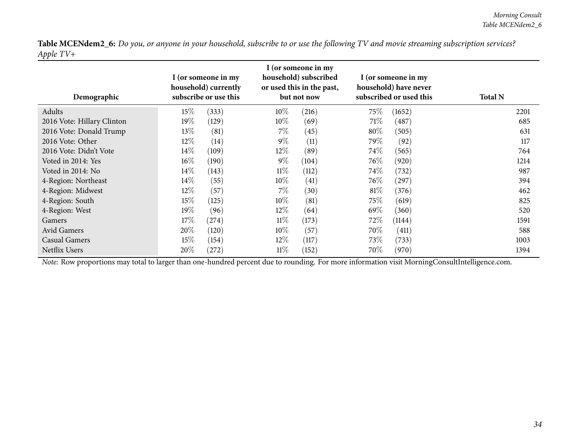| Demographic                |        | I (or someone in my<br>household) currently<br>subscribe or use this |        | I (or someone in my<br>household) subscribed<br>or used this in the past,<br>but not now |        | I (or someone in my<br>household) have never<br>subscribed or used this | <b>Total N</b> |
|----------------------------|--------|----------------------------------------------------------------------|--------|------------------------------------------------------------------------------------------|--------|-------------------------------------------------------------------------|----------------|
| Adults                     | $15\%$ | (333)                                                                | $10\%$ | (216)                                                                                    | 75\%   | (1652)                                                                  | 2201           |
| 2016 Vote: Hillary Clinton | $19\%$ | (129)                                                                | $10\%$ | (69)                                                                                     | 71%    | (487)                                                                   | 685            |
| 2016 Vote: Donald Trump    | $13\%$ | (81)                                                                 | 7%     | (45)                                                                                     | $80\%$ | (505)                                                                   | 631            |
| 2016 Vote: Other           | $12\%$ | (14)                                                                 | $9\%$  | (11)                                                                                     | 79\%   | (92)                                                                    | 117            |
| 2016 Vote: Didn't Vote     | $14\%$ | (109)                                                                | $12\%$ | (89)                                                                                     | $74\%$ | (565)                                                                   | 764            |
| Voted in 2014: Yes         | $16\%$ | (190)                                                                | $9\%$  | (104)                                                                                    | 76\%   | (920)                                                                   | 1214           |
| Voted in 2014: No          | $14\%$ | (143)                                                                | $11\%$ | (112)                                                                                    | 74\%   | (732)                                                                   | 987            |
| 4-Region: Northeast        | $14\%$ | (55)                                                                 | $10\%$ | (41)                                                                                     | $76\%$ | $^{'}297)$                                                              | 394            |
| 4-Region: Midwest          | $12\%$ | (57)                                                                 | $7\%$  | (30)                                                                                     | $81\%$ | (376)                                                                   | 462            |
| 4-Region: South            | $15\%$ | (125)                                                                | $10\%$ | (81)                                                                                     | 75\%   | (619)                                                                   | 825            |
| 4-Region: West             | $19\%$ | (96)                                                                 | $12\%$ | (64)                                                                                     | 69\%   | (360)                                                                   | 520            |
| Gamers                     | $17\%$ | (274)                                                                | $11\%$ | (173)                                                                                    | 72\%   | (1144)                                                                  | 1591           |
| Avid Gamers                | $20\%$ | (120)                                                                | $10\%$ | (57)                                                                                     | 70\%   | (411)                                                                   | 588            |
| Casual Gamers              | $15\%$ | (154)                                                                | $12\%$ | (117)                                                                                    | 73\%   | (733)                                                                   | 1003           |
| Netflix Users              | $20\%$ | (272)                                                                | $11\%$ | (152)                                                                                    | 70%    | (970)                                                                   | 1394           |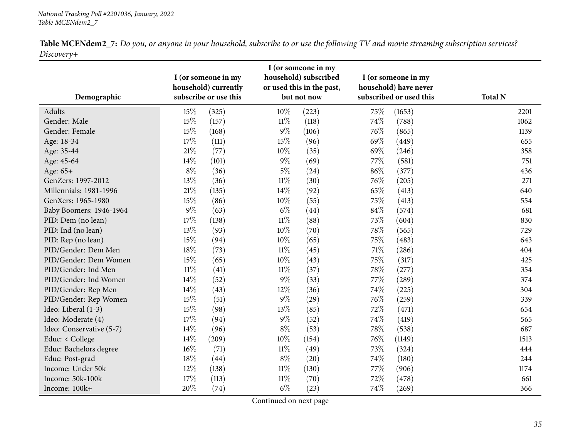| <b>Table MCENdem2_7:</b> Do you, or anyone in your household, subscribe to or use the following TV and movie streaming subscription services? |  |  |  |
|-----------------------------------------------------------------------------------------------------------------------------------------------|--|--|--|
| Discovery+                                                                                                                                    |  |  |  |

<span id="page-34-0"></span>

|                          |        | I (or someone in my                           |        | I (or someone in my<br>household) subscribed |        | I (or someone in my                              |                |
|--------------------------|--------|-----------------------------------------------|--------|----------------------------------------------|--------|--------------------------------------------------|----------------|
| Demographic              |        | household) currently<br>subscribe or use this |        | or used this in the past,<br>but not now     |        | household) have never<br>subscribed or used this | <b>Total N</b> |
| Adults                   | 15%    | (325)                                         | 10%    | (223)                                        | 75%    | (1653)                                           | 2201           |
| Gender: Male             | $15\%$ | (157)                                         | $11\%$ | (118)                                        | 74%    | (788)                                            | 1062           |
| Gender: Female           | 15%    | (168)                                         | $9\%$  | (106)                                        | 76%    | (865)                                            | 1139           |
| Age: 18-34               | 17%    | (111)                                         | 15%    | (96)                                         | 69%    | (449)                                            | 655            |
| Age: 35-44               | 21%    | (77)                                          | 10%    | (35)                                         | 69%    | (246)                                            | 358            |
| Age: 45-64               | $14\%$ | (101)                                         | $9\%$  | (69)                                         | 77%    | (581)                                            | 751            |
| Age: 65+                 | $8\%$  | (36)                                          | $5\%$  | (24)                                         | $86\%$ | (377)                                            | 436            |
| GenZers: 1997-2012       | $13\%$ | (36)                                          | $11\%$ | (30)                                         | 76%    | (205)                                            | 271            |
| Millennials: 1981-1996   | 21%    | (135)                                         | 14%    | (92)                                         | 65%    | (413)                                            | 640            |
| GenXers: 1965-1980       | 15%    | (86)                                          | 10%    | (55)                                         | 75%    | (413)                                            | 554            |
| Baby Boomers: 1946-1964  | $9\%$  | (63)                                          | $6\%$  | (44)                                         | 84\%   | (574)                                            | 681            |
| PID: Dem (no lean)       | $17\%$ | (138)                                         | $11\%$ | (88)                                         | 73%    | (604)                                            | 830            |
| PID: Ind (no lean)       | 13%    | (93)                                          | 10%    | (70)                                         | 78%    | (565)                                            | 729            |
| PID: Rep (no lean)       | 15%    | (94)                                          | 10%    | (65)                                         | 75%    | (483)                                            | 643            |
| PID/Gender: Dem Men      | $18\%$ | (73)                                          | $11\%$ | (45)                                         | $71\%$ | (286)                                            | 404            |
| PID/Gender: Dem Women    | 15%    | (65)                                          | 10%    | (43)                                         | 75%    | (317)                                            | 425            |
| PID/Gender: Ind Men      | $11\%$ | (41)                                          | $11\%$ | (37)                                         | 78%    | (277)                                            | 354            |
| PID/Gender: Ind Women    | 14%    | (52)                                          | $9\%$  | (33)                                         | 77%    | (289)                                            | 374            |
| PID/Gender: Rep Men      | 14%    | (43)                                          | 12%    | (36)                                         | 74%    | (225)                                            | 304            |
| PID/Gender: Rep Women    | 15%    | (51)                                          | $9\%$  | (29)                                         | 76%    | (259)                                            | 339            |
| Ideo: Liberal (1-3)      | 15%    | (98)                                          | 13%    | (85)                                         | 72%    | (471)                                            | 654            |
| Ideo: Moderate (4)       | 17%    | (94)                                          | $9\%$  | (52)                                         | 74%    | (419)                                            | 565            |
| Ideo: Conservative (5-7) | 14%    | (96)                                          | $8\%$  | (53)                                         | 78%    | (538)                                            | 687            |
| Educ: < College          | 14%    | (209)                                         | 10%    | (154)                                        | 76%    | (1149)                                           | 1513           |
| Educ: Bachelors degree   | $16\%$ | (71)                                          | $11\%$ | (49)                                         | 73%    | (324)                                            | 444            |
| Educ: Post-grad          | $18\%$ | (44)                                          | $8\%$  | (20)                                         | 74\%   | (180)                                            | 244            |
| Income: Under 50k        | 12%    | (138)                                         | $11\%$ | (130)                                        | 77%    | (906)                                            | 1174           |
| Income: 50k-100k         | 17%    | (113)                                         | $11\%$ | (70)                                         | 72%    | (478)                                            | 661            |
| Income: 100k+            | 20%    | (74)                                          | $6\%$  | (23)                                         | 74%    | (269)                                            | 366            |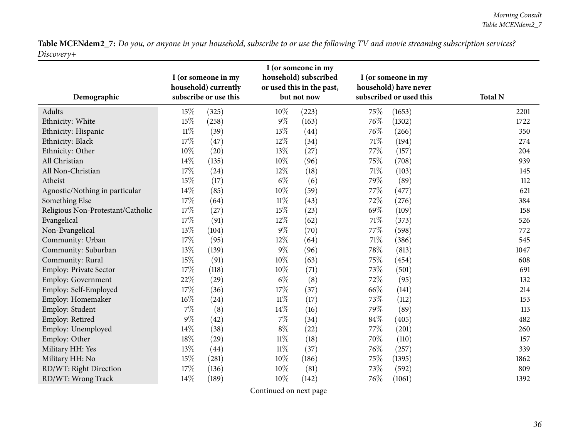| Demographic                       |        | I (or someone in my<br>household) currently<br>subscribe or use this |        | I (or someone in my<br>household) subscribed<br>or used this in the past,<br>but not now |        | I (or someone in my<br>household) have never<br>subscribed or used this | <b>Total N</b> |
|-----------------------------------|--------|----------------------------------------------------------------------|--------|------------------------------------------------------------------------------------------|--------|-------------------------------------------------------------------------|----------------|
| Adults                            | 15%    | (325)                                                                | 10%    | (223)                                                                                    | 75%    | (1653)                                                                  | 2201           |
| Ethnicity: White                  | 15%    | (258)                                                                | $9\%$  | (163)                                                                                    | 76%    | (1302)                                                                  | 1722           |
| Ethnicity: Hispanic               | $11\%$ | (39)                                                                 | 13%    | (44)                                                                                     | 76%    | (266)                                                                   | 350            |
| Ethnicity: Black                  | 17%    | (47)                                                                 | 12%    | (34)                                                                                     | 71\%   | (194)                                                                   | 274            |
| Ethnicity: Other                  | $10\%$ | (20)                                                                 | 13%    | (27)                                                                                     | 77%    | (157)                                                                   | 204            |
| All Christian                     | 14%    | (135)                                                                | $10\%$ | (96)                                                                                     | 75%    | (708)                                                                   | 939            |
| All Non-Christian                 | 17%    | (24)                                                                 | $12\%$ | (18)                                                                                     | 71\%   | (103)                                                                   | 145            |
| Atheist                           | 15%    | (17)                                                                 | $6\%$  | (6)                                                                                      | 79%    | (89)                                                                    | 112            |
| Agnostic/Nothing in particular    | 14%    | (85)                                                                 | 10%    | (59)                                                                                     | 77%    | (477)                                                                   | 621            |
| Something Else                    | 17%    | (64)                                                                 | $11\%$ | (43)                                                                                     | 72%    | (276)                                                                   | 384            |
| Religious Non-Protestant/Catholic | 17%    | (27)                                                                 | 15%    | (23)                                                                                     | 69%    | (109)                                                                   | 158            |
| Evangelical                       | 17%    | (91)                                                                 | 12%    | (62)                                                                                     | 71\%   | (373)                                                                   | 526            |
| Non-Evangelical                   | 13%    | (104)                                                                | $9\%$  | (70)                                                                                     | 77%    | (598)                                                                   | 772            |
| Community: Urban                  | 17%    | (95)                                                                 | 12%    | (64)                                                                                     | $71\%$ | (386)                                                                   | 545            |
| Community: Suburban               | 13%    | (139)                                                                | $9\%$  | (96)                                                                                     | 78\%   | (813)                                                                   | 1047           |
| Community: Rural                  | 15%    | (91)                                                                 | 10%    | (63)                                                                                     | 75%    | (454)                                                                   | 608            |
| Employ: Private Sector            | 17%    | (118)                                                                | 10%    | (71)                                                                                     | 73%    | (501)                                                                   | 691            |
| <b>Employ: Government</b>         | 22%    | (29)                                                                 | $6\%$  | (8)                                                                                      | 72\%   | (95)                                                                    | 132            |
| Employ: Self-Employed             | 17%    | (36)                                                                 | 17%    | (37)                                                                                     | 66%    | (141)                                                                   | 214            |
| Employ: Homemaker                 | $16\%$ | (24)                                                                 | $11\%$ | (17)                                                                                     | 73%    | (112)                                                                   | 153            |
| Employ: Student                   | $7\%$  | (8)                                                                  | 14\%   | (16)                                                                                     | 79%    | (89)                                                                    | 113            |
| Employ: Retired                   | $9\%$  | (42)                                                                 | $7\%$  | (34)                                                                                     | $84\%$ | (405)                                                                   | 482            |
| Employ: Unemployed                | 14%    | (38)                                                                 | $8\%$  | (22)                                                                                     | 77%    | (201)                                                                   | 260            |
| Employ: Other                     | 18%    | (29)                                                                 | $11\%$ | (18)                                                                                     | 70%    | (110)                                                                   | 157            |
| Military HH: Yes                  | 13%    | (44)                                                                 | $11\%$ | (37)                                                                                     | 76%    | (257)                                                                   | 339            |
| Military HH: No                   | 15%    | (281)                                                                | 10%    | (186)                                                                                    | 75%    | (1395)                                                                  | 1862           |
| RD/WT: Right Direction            | 17%    | (136)                                                                | 10%    | (81)                                                                                     | 73%    | (592)                                                                   | 809            |
| RD/WT: Wrong Track                | 14%    | (189)                                                                | $10\%$ | (142)                                                                                    | 76%    | (1061)                                                                  | 1392           |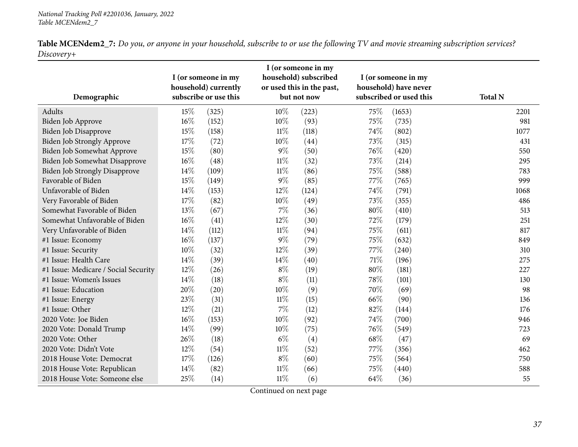|            | <b>Table MCENdem2_7:</b> Do you, or anyone in your household, subscribe to or use the following TV and movie streaming subscription services? |  |  |
|------------|-----------------------------------------------------------------------------------------------------------------------------------------------|--|--|
| Discoverv+ |                                                                                                                                               |  |  |

| Demographic                          |        | I (or someone in my<br>household) currently<br>subscribe or use this |        | I (or someone in my<br>household) subscribed<br>or used this in the past,<br>but not now |      | I (or someone in my<br>household) have never<br>subscribed or used this | <b>Total N</b> |
|--------------------------------------|--------|----------------------------------------------------------------------|--------|------------------------------------------------------------------------------------------|------|-------------------------------------------------------------------------|----------------|
| Adults                               | 15%    | (325)                                                                | 10%    | (223)                                                                                    | 75%  | (1653)                                                                  | 2201           |
| Biden Job Approve                    | $16\%$ | (152)                                                                | 10%    | (93)                                                                                     | 75%  | (735)                                                                   | 981            |
| Biden Job Disapprove                 | 15%    | (158)                                                                | $11\%$ | (118)                                                                                    | 74%  | (802)                                                                   | 1077           |
| Biden Job Strongly Approve           | 17%    | (72)                                                                 | $10\%$ | (44)                                                                                     | 73%  | (315)                                                                   | 431            |
| Biden Job Somewhat Approve           | 15%    | (80)                                                                 | $9\%$  | (50)                                                                                     | 76%  | (420)                                                                   | 550            |
| <b>Biden Job Somewhat Disapprove</b> | $16\%$ | (48)                                                                 | $11\%$ | (32)                                                                                     | 73%  | (214)                                                                   | 295            |
| <b>Biden Job Strongly Disapprove</b> | 14%    | (109)                                                                | $11\%$ | (86)                                                                                     | 75%  | (588)                                                                   | 783            |
| Favorable of Biden                   | 15%    | (149)                                                                | $9\%$  | (85)                                                                                     | 77%  | (765)                                                                   | 999            |
| Unfavorable of Biden                 | 14%    | (153)                                                                | 12%    | (124)                                                                                    | 74%  | (791)                                                                   | 1068           |
| Very Favorable of Biden              | 17%    | (82)                                                                 | $10\%$ | (49)                                                                                     | 73%  | (355)                                                                   | 486            |
| Somewhat Favorable of Biden          | 13%    | (67)                                                                 | $7\%$  | (36)                                                                                     | 80%  | (410)                                                                   | 513            |
| Somewhat Unfavorable of Biden        | $16\%$ | (41)                                                                 | 12%    | (30)                                                                                     | 72%  | (179)                                                                   | 251            |
| Very Unfavorable of Biden            | 14%    | (112)                                                                | $11\%$ | (94)                                                                                     | 75%  | (611)                                                                   | 817            |
| #1 Issue: Economy                    | $16\%$ | (137)                                                                | $9\%$  | (79)                                                                                     | 75%  | (632)                                                                   | 849            |
| #1 Issue: Security                   | 10%    | (32)                                                                 | 12%    | (39)                                                                                     | 77%  | (240)                                                                   | 310            |
| #1 Issue: Health Care                | 14%    | (39)                                                                 | 14%    | (40)                                                                                     | 71%  | (196)                                                                   | 275            |
| #1 Issue: Medicare / Social Security | 12%    | (26)                                                                 | $8\%$  | (19)                                                                                     | 80%  | (181)                                                                   | 227            |
| #1 Issue: Women's Issues             | 14\%   | (18)                                                                 | $8\%$  | (11)                                                                                     | 78%  | (101)                                                                   | 130            |
| #1 Issue: Education                  | 20%    | (20)                                                                 | 10%    | (9)                                                                                      | 70%  | (69)                                                                    | 98             |
| #1 Issue: Energy                     | 23%    | (31)                                                                 | $11\%$ | (15)                                                                                     | 66%  | (90)                                                                    | 136            |
| #1 Issue: Other                      | 12%    | (21)                                                                 | $7\%$  | (12)                                                                                     | 82%  | (144)                                                                   | 176            |
| 2020 Vote: Joe Biden                 | $16\%$ | (153)                                                                | 10%    | (92)                                                                                     | 74%  | (700)                                                                   | 946            |
| 2020 Vote: Donald Trump              | 14%    | (99)                                                                 | 10%    | (75)                                                                                     | 76%  | (549)                                                                   | 723            |
| 2020 Vote: Other                     | 26%    | (18)                                                                 | $6\%$  | (4)                                                                                      | 68\% | (47)                                                                    | 69             |
| 2020 Vote: Didn't Vote               | 12%    | (54)                                                                 | $11\%$ | (52)                                                                                     | 77%  | (356)                                                                   | 462            |
| 2018 House Vote: Democrat            | 17%    | (126)                                                                | $8\%$  | (60)                                                                                     | 75%  | (564)                                                                   | 750            |
| 2018 House Vote: Republican          | 14%    | (82)                                                                 | $11\%$ | (66)                                                                                     | 75%  | (440)                                                                   | 588            |
| 2018 House Vote: Someone else        | 25%    | (14)                                                                 | $11\%$ | (6)                                                                                      | 64%  | (36)                                                                    | 55             |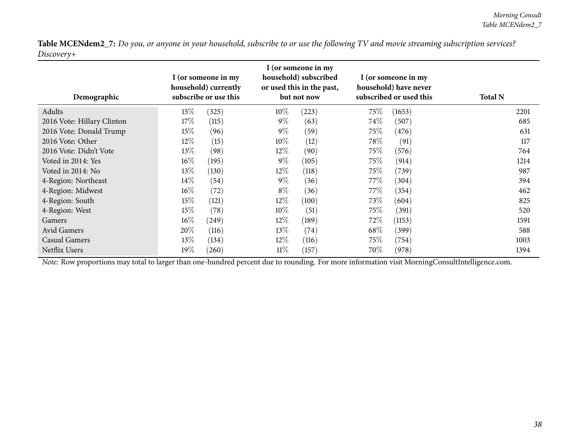| Demographic                |        | I (or someone in my<br>household) currently<br>subscribe or use this |        | I (or someone in my<br>household) subscribed<br>or used this in the past,<br>but not now |      | I (or someone in my<br>household) have never<br>subscribed or used this | <b>Total N</b> |
|----------------------------|--------|----------------------------------------------------------------------|--------|------------------------------------------------------------------------------------------|------|-------------------------------------------------------------------------|----------------|
| Adults                     | 15\%   | (325)                                                                | $10\%$ | (223)                                                                                    | 75\% | (1653)                                                                  | 2201           |
| 2016 Vote: Hillary Clinton | 17\%   | (115)                                                                | $9\%$  | (63)                                                                                     | 74\% | (507)                                                                   | 685            |
| 2016 Vote: Donald Trump    | 15\%   | (96)                                                                 | $9\%$  | (59)                                                                                     | 75\% | (476)                                                                   | 631            |
| 2016 Vote: Other           | 12\%   | (15)                                                                 | 10%    | (12)                                                                                     | 78\% | (91)                                                                    | 117            |
| 2016 Vote: Didn't Vote     | $13\%$ | (98)                                                                 | $12\%$ | (90)                                                                                     | 75\% | (576)                                                                   | 764            |
| Voted in 2014: Yes         | $16\%$ | (195)                                                                | $9\%$  | (105)                                                                                    | 75\% | (914)                                                                   | 1214           |
| Voted in 2014: No          | 13\%   | (130)                                                                | $12\%$ | (118)                                                                                    | 75\% | (739)                                                                   | 987            |
| 4-Region: Northeast        | $14\%$ | (54)                                                                 | $9\%$  | (36)                                                                                     | 77%  | (304)                                                                   | 394            |
| 4-Region: Midwest          | $16\%$ | (72)                                                                 | $8\%$  | (36)                                                                                     | 77%  | (354)                                                                   | 462            |
| 4-Region: South            | 15\%   | (121)                                                                | $12\%$ | (100)                                                                                    | 73\% | (604)                                                                   | 825            |
| 4-Region: West             | 15%    | (78)                                                                 | $10\%$ | (51)                                                                                     | 75\% | (391)                                                                   | 520            |
| Gamers                     | $16\%$ | (249)                                                                | $12\%$ | (189)                                                                                    | 72%  | (1153)                                                                  | 1591           |
| Avid Gamers                | 20%    | (116)                                                                | $13\%$ | (74)                                                                                     | 68\% | (399)                                                                   | 588            |
| <b>Casual Gamers</b>       | 13\%   | (134)                                                                | $12\%$ | (116)                                                                                    | 75\% | (754)                                                                   | 1003           |
| Netflix Users              | 19%    | (260)                                                                | $11\%$ | (157)                                                                                    | 70\% | (978)                                                                   | 1394           |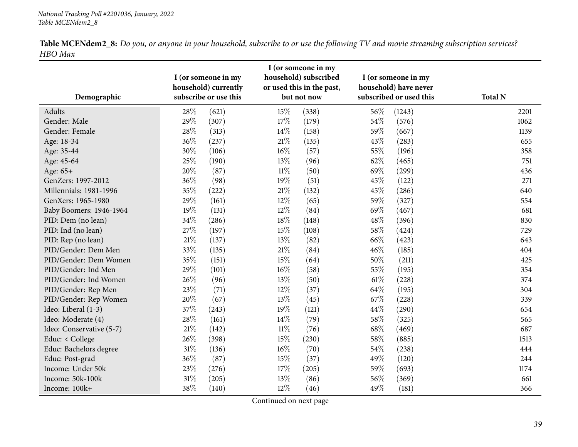|         |  | <b>Table MCENdem2_8:</b> Do you, or anyone in your household, subscribe to or use the following TV and movie streaming subscription services? |
|---------|--|-----------------------------------------------------------------------------------------------------------------------------------------------|
| HBO Max |  |                                                                                                                                               |

<span id="page-38-0"></span>

|                          |        | I (or someone in my<br>household) currently |        | I (or someone in my<br>household) subscribed<br>or used this in the past, |        | I (or someone in my<br>household) have never |                |
|--------------------------|--------|---------------------------------------------|--------|---------------------------------------------------------------------------|--------|----------------------------------------------|----------------|
| Demographic              |        | subscribe or use this                       |        | but not now                                                               |        | subscribed or used this                      | <b>Total N</b> |
| Adults                   | 28%    | (621)                                       | 15%    | (338)                                                                     | 56%    | (1243)                                       | 2201           |
| Gender: Male             | 29%    | (307)                                       | 17%    | (179)                                                                     | 54%    | (576)                                        | 1062           |
| Gender: Female           | 28%    | (313)                                       | 14\%   | (158)                                                                     | 59%    | (667)                                        | 1139           |
| Age: 18-34               | 36%    | (237)                                       | $21\%$ | (135)                                                                     | 43%    | (283)                                        | 655            |
| Age: 35-44               | 30%    | (106)                                       | 16%    | (57)                                                                      | 55%    | (196)                                        | 358            |
| Age: 45-64               | 25%    | (190)                                       | 13%    | (96)                                                                      | 62%    | (465)                                        | 751            |
| Age: 65+                 | 20%    | (87)                                        | $11\%$ | (50)                                                                      | 69%    | (299)                                        | 436            |
| GenZers: 1997-2012       | 36%    | (98)                                        | 19%    | (51)                                                                      | 45%    | (122)                                        | 271            |
| Millennials: 1981-1996   | 35%    | (222)                                       | $21\%$ | (132)                                                                     | 45%    | (286)                                        | 640            |
| GenXers: 1965-1980       | 29%    | (161)                                       | 12%    | (65)                                                                      | 59%    | (327)                                        | 554            |
| Baby Boomers: 1946-1964  | 19%    | (131)                                       | 12%    | (84)                                                                      | 69%    | (467)                                        | 681            |
| PID: Dem (no lean)       | 34%    | (286)                                       | 18%    | (148)                                                                     | 48%    | (396)                                        | 830            |
| PID: Ind (no lean)       | 27%    | (197)                                       | 15%    | (108)                                                                     | 58%    | (424)                                        | 729            |
| PID: Rep (no lean)       | $21\%$ | (137)                                       | 13%    | (82)                                                                      | 66%    | (423)                                        | 643            |
| PID/Gender: Dem Men      | 33%    | (135)                                       | $21\%$ | (84)                                                                      | 46%    | (185)                                        | 404            |
| PID/Gender: Dem Women    | 35%    | (151)                                       | $15\%$ | (64)                                                                      | 50%    | (211)                                        | 425            |
| PID/Gender: Ind Men      | 29%    | (101)                                       | $16\%$ | (58)                                                                      | 55%    | (195)                                        | 354            |
| PID/Gender: Ind Women    | 26%    | (96)                                        | 13%    | (50)                                                                      | $61\%$ | (228)                                        | 374            |
| PID/Gender: Rep Men      | 23%    | (71)                                        | 12%    | (37)                                                                      | 64\%   | (195)                                        | 304            |
| PID/Gender: Rep Women    | 20%    | (67)                                        | 13%    | (45)                                                                      | 67\%   | (228)                                        | 339            |
| Ideo: Liberal (1-3)      | 37%    | (243)                                       | 19%    | (121)                                                                     | 44\%   | (290)                                        | 654            |
| Ideo: Moderate (4)       | 28%    | (161)                                       | 14%    | (79)                                                                      | 58%    | (325)                                        | 565            |
| Ideo: Conservative (5-7) | $21\%$ | (142)                                       | $11\%$ | (76)                                                                      | 68\%   | (469)                                        | 687            |
| Educ: < College          | 26%    | (398)                                       | 15%    | (230)                                                                     | 58%    | (885)                                        | 1513           |
| Educ: Bachelors degree   | $31\%$ | (136)                                       | 16%    | (70)                                                                      | 54%    | (238)                                        | 444            |
| Educ: Post-grad          | 36%    | (87)                                        | 15%    | (37)                                                                      | 49%    | (120)                                        | 244            |
| Income: Under 50k        | 23%    | (276)                                       | 17%    | (205)                                                                     | 59%    | (693)                                        | 1174           |
| Income: 50k-100k         | $31\%$ | (205)                                       | 13%    | (86)                                                                      | 56%    | (369)                                        | 661            |
| Income: 100k+            | 38%    | (140)                                       | 12%    | (46)                                                                      | 49%    | (181)                                        | 366            |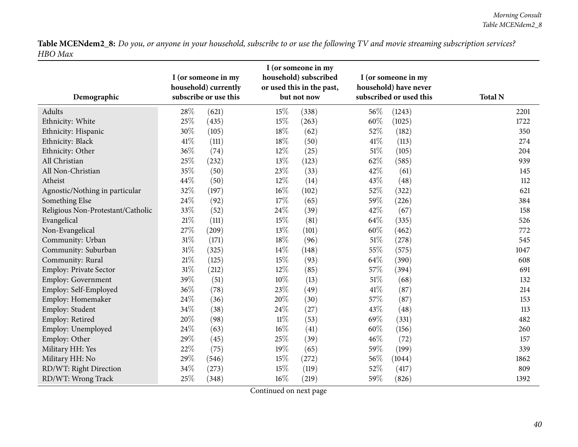| Demographic                       |        | I (or someone in my<br>household) currently<br>subscribe or use this |        | I (or someone in my<br>household) subscribed<br>or used this in the past,<br>but not now |        | I (or someone in my<br>household) have never<br>subscribed or used this | <b>Total N</b> |
|-----------------------------------|--------|----------------------------------------------------------------------|--------|------------------------------------------------------------------------------------------|--------|-------------------------------------------------------------------------|----------------|
| Adults                            | 28\%   | (621)                                                                | 15%    | (338)                                                                                    | 56\%   | (1243)                                                                  | 2201           |
| Ethnicity: White                  | 25%    | (435)                                                                | 15%    | (263)                                                                                    | 60%    | (1025)                                                                  | 1722           |
| Ethnicity: Hispanic               | 30%    | (105)                                                                | 18%    | (62)                                                                                     | 52%    | (182)                                                                   | 350            |
| Ethnicity: Black                  | 41\%   | (111)                                                                | 18%    | (50)                                                                                     | 41\%   | (113)                                                                   | 274            |
| Ethnicity: Other                  | 36%    | (74)                                                                 | 12%    | (25)                                                                                     | $51\%$ | (105)                                                                   | 204            |
| All Christian                     | 25%    | (232)                                                                | 13%    | (123)                                                                                    | 62%    | (585)                                                                   | 939            |
| All Non-Christian                 | 35%    | (50)                                                                 | 23\%   | (33)                                                                                     | 42%    | (61)                                                                    | 145            |
| Atheist                           | 44%    | (50)                                                                 | 12%    | (14)                                                                                     | 43%    | (48)                                                                    | 112            |
| Agnostic/Nothing in particular    | 32%    | (197)                                                                | $16\%$ | (102)                                                                                    | 52%    | (322)                                                                   | 621            |
| Something Else                    | 24\%   | (92)                                                                 | 17%    | (65)                                                                                     | 59%    | (226)                                                                   | 384            |
| Religious Non-Protestant/Catholic | 33%    | (52)                                                                 | 24\%   | (39)                                                                                     | 42%    | (67)                                                                    | 158            |
| Evangelical                       | $21\%$ | (111)                                                                | 15%    | (81)                                                                                     | 64\%   | (335)                                                                   | 526            |
| Non-Evangelical                   | 27%    | (209)                                                                | 13%    | (101)                                                                                    | 60%    | (462)                                                                   | 772            |
| Community: Urban                  | 31%    | (171)                                                                | 18%    | (96)                                                                                     | 51\%   | (278)                                                                   | 545            |
| Community: Suburban               | $31\%$ | (325)                                                                | 14\%   | (148)                                                                                    | 55%    | (575)                                                                   | 1047           |
| Community: Rural                  | $21\%$ | (125)                                                                | 15%    | (93)                                                                                     | 64\%   | (390)                                                                   | 608            |
| Employ: Private Sector            | $31\%$ | (212)                                                                | $12\%$ | (85)                                                                                     | 57%    | (394)                                                                   | 691            |
| Employ: Government                | 39%    | (51)                                                                 | $10\%$ | (13)                                                                                     | 51\%   | (68)                                                                    | 132            |
| Employ: Self-Employed             | 36%    | (78)                                                                 | 23%    | (49)                                                                                     | 41\%   | (87)                                                                    | 214            |
| Employ: Homemaker                 | 24%    | (36)                                                                 | 20%    | (30)                                                                                     | 57%    | (87)                                                                    | 153            |
| Employ: Student                   | 34%    | (38)                                                                 | 24\%   | (27)                                                                                     | 43\%   | (48)                                                                    | 113            |
| Employ: Retired                   | 20%    | (98)                                                                 | $11\%$ | (53)                                                                                     | 69%    | (331)                                                                   | 482            |
| Employ: Unemployed                | 24%    | (63)                                                                 | $16\%$ | (41)                                                                                     | 60%    | (156)                                                                   | 260            |
| Employ: Other                     | 29%    | (45)                                                                 | 25%    | (39)                                                                                     | 46%    | (72)                                                                    | 157            |
| Military HH: Yes                  | 22%    | (75)                                                                 | 19%    | (65)                                                                                     | 59%    | (199)                                                                   | 339            |
| Military HH: No                   | 29%    | (546)                                                                | 15%    | (272)                                                                                    | 56%    | (1044)                                                                  | 1862           |
| RD/WT: Right Direction            | 34%    | (273)                                                                | 15%    | (119)                                                                                    | 52%    | (417)                                                                   | 809            |
| RD/WT: Wrong Track                | 25%    | (348)                                                                | 16%    | (219)                                                                                    | 59%    | (826)                                                                   | 1392           |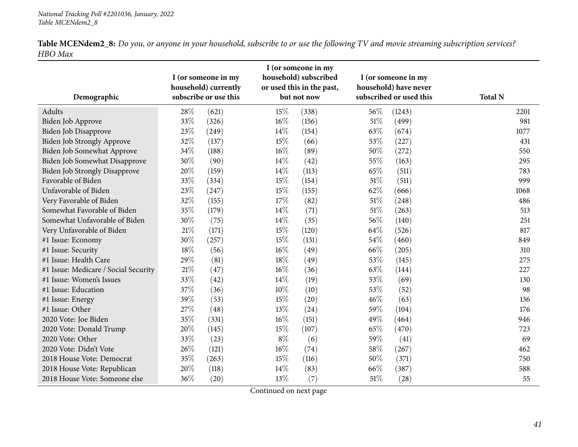| Demographic                          |        | I (or someone in my<br>household) currently<br>subscribe or use this |        | I (or someone in my<br>household) subscribed<br>or used this in the past,<br>but not now |        | I (or someone in my<br>household) have never<br>subscribed or used this | <b>Total N</b> |
|--------------------------------------|--------|----------------------------------------------------------------------|--------|------------------------------------------------------------------------------------------|--------|-------------------------------------------------------------------------|----------------|
| Adults                               | 28\%   | (621)                                                                | 15%    | (338)                                                                                    | 56%    | (1243)                                                                  | 2201           |
| Biden Job Approve                    | 33%    | (326)                                                                | $16\%$ | (156)                                                                                    | 51%    | (499)                                                                   | 981            |
| Biden Job Disapprove                 | 23%    | (249)                                                                | 14%    | (154)                                                                                    | 63%    | (674)                                                                   | 1077           |
| Biden Job Strongly Approve           | 32%    | (137)                                                                | 15%    | (66)                                                                                     | 53%    | (227)                                                                   | 431            |
| Biden Job Somewhat Approve           | 34%    | (188)                                                                | 16%    | (89)                                                                                     | 50%    | (272)                                                                   | 550            |
| <b>Biden Job Somewhat Disapprove</b> | 30%    | (90)                                                                 | 14\%   | (42)                                                                                     | 55%    | (163)                                                                   | 295            |
| <b>Biden Job Strongly Disapprove</b> | 20%    | (159)                                                                | 14\%   | (113)                                                                                    | 65%    | (511)                                                                   | 783            |
| Favorable of Biden                   | 33%    | (334)                                                                | 15%    | (154)                                                                                    | 51%    | (511)                                                                   | 999            |
| Unfavorable of Biden                 | 23%    | (247)                                                                | 15%    | (155)                                                                                    | 62%    | (666)                                                                   | 1068           |
| Very Favorable of Biden              | 32%    | (155)                                                                | 17%    | (82)                                                                                     | $51\%$ | (248)                                                                   | 486            |
| Somewhat Favorable of Biden          | 35%    | (179)                                                                | 14%    | (71)                                                                                     | $51\%$ | (263)                                                                   | 513            |
| Somewhat Unfavorable of Biden        | 30%    | (75)                                                                 | 14%    | (35)                                                                                     | 56%    | (140)                                                                   | 251            |
| Very Unfavorable of Biden            | 21%    | (171)                                                                | 15%    | (120)                                                                                    | 64%    | (526)                                                                   | 817            |
| #1 Issue: Economy                    | 30%    | (257)                                                                | 15%    | (131)                                                                                    | 54%    | (460)                                                                   | 849            |
| #1 Issue: Security                   | 18%    | (56)                                                                 | $16\%$ | (49)                                                                                     | 66%    | (205)                                                                   | 310            |
| #1 Issue: Health Care                | 29%    | (81)                                                                 | 18%    | (49)                                                                                     | 53%    | (145)                                                                   | 275            |
| #1 Issue: Medicare / Social Security | $21\%$ | (47)                                                                 | $16\%$ | (36)                                                                                     | 63%    | (144)                                                                   | 227            |
| #1 Issue: Women's Issues             | 33%    | (42)                                                                 | 14%    | (19)                                                                                     | 53%    | (69)                                                                    | 130            |
| #1 Issue: Education                  | 37%    | (36)                                                                 | 10%    | (10)                                                                                     | 53%    | (52)                                                                    | 98             |
| #1 Issue: Energy                     | 39%    | (53)                                                                 | 15%    | (20)                                                                                     | 46%    | (63)                                                                    | 136            |
| #1 Issue: Other                      | 27%    | (48)                                                                 | 13%    | (24)                                                                                     | 59%    | (104)                                                                   | 176            |
| 2020 Vote: Joe Biden                 | 35%    | (331)                                                                | 16%    | (151)                                                                                    | 49%    | (464)                                                                   | 946            |
| 2020 Vote: Donald Trump              | 20%    | (145)                                                                | 15%    | (107)                                                                                    | 65%    | (470)                                                                   | 723            |
| 2020 Vote: Other                     | 33%    | (23)                                                                 | $8\%$  | (6)                                                                                      | 59%    | (41)                                                                    | 69             |
| 2020 Vote: Didn't Vote               | 26%    | (121)                                                                | $16\%$ | (74)                                                                                     | 58%    | (267)                                                                   | 462            |
| 2018 House Vote: Democrat            | 35%    | (263)                                                                | 15%    | (116)                                                                                    | 50%    | (371)                                                                   | 750            |
| 2018 House Vote: Republican          | 20%    | (118)                                                                | 14\%   | (83)                                                                                     | 66%    | (387)                                                                   | 588            |
| 2018 House Vote: Someone else        | 36%    | (20)                                                                 | 13%    | (7)                                                                                      | 51\%   | (28)                                                                    | 55             |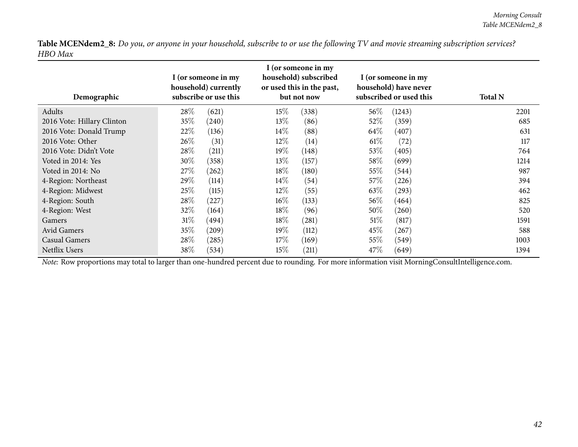| Demographic                | I (or someone in my<br>household) currently<br>subscribe or use this |            | I (or someone in my<br>household) subscribed<br>or used this in the past,<br>but not now |       | I (or someone in my<br>household) have never<br>subscribed or used this |        | <b>Total N</b> |
|----------------------------|----------------------------------------------------------------------|------------|------------------------------------------------------------------------------------------|-------|-------------------------------------------------------------------------|--------|----------------|
| Adults                     | 28\%                                                                 | (621)      | $15\%$                                                                                   | (338) | $56\%$                                                                  | (1243) | 2201           |
| 2016 Vote: Hillary Clinton | 35%                                                                  | (240)      | $13\%$                                                                                   | (86)  | 52\%                                                                    | (359)  | 685            |
| 2016 Vote: Donald Trump    | 22\%                                                                 | (136)      | $14\%$                                                                                   | (88)  | 64\%                                                                    | (407)  | 631            |
| 2016 Vote: Other           | $26\%$                                                               | (31)       | $12\%$                                                                                   | (14)  | $61\%$                                                                  | (72)   | 117            |
| 2016 Vote: Didn't Vote     | 28\%                                                                 | (211)      | $19\%$                                                                                   | (148) | 53\%                                                                    | (405)  | 764            |
| Voted in 2014: Yes         | 30\%                                                                 | (358)      | $13\%$                                                                                   | (157) | 58\%                                                                    | (699)  | 1214           |
| Voted in 2014: No          | 27\%                                                                 | (262)      | $18\%$                                                                                   | (180) | 55\%                                                                    | (544)  | 987            |
| 4-Region: Northeast        | 29\%                                                                 | (114)      | $14\%$                                                                                   | (54)  | 57\%                                                                    | (226)  | 394            |
| 4-Region: Midwest          | 25\%                                                                 | (115)      | $12\%$                                                                                   | (55)  | 63\%                                                                    | (293)  | 462            |
| 4-Region: South            | 28\%                                                                 | (227)      | $16\%$                                                                                   | (133) | $56\%$                                                                  | (464)  | 825            |
| 4-Region: West             | $32\%$                                                               | (164)      | $18\%$                                                                                   | (96)  | $50\%$                                                                  | (260)  | 520            |
| Gamers                     | 31%                                                                  | (494)      | $18\%$                                                                                   | (281) | 51%                                                                     | (817)  | 1591           |
| Avid Gamers                | $35\%$                                                               | $^{'}209)$ | $19\%$                                                                                   | (112) | $45\%$                                                                  | (267)  | 588            |
| Casual Gamers              | 28\%                                                                 | (285)      | 17%                                                                                      | (169) | 55\%                                                                    | (549)  | 1003           |
| <b>Netflix Users</b>       | 38\%                                                                 | (534)      | $15\%$                                                                                   | (211) | 47\%                                                                    | (649)  | 1394           |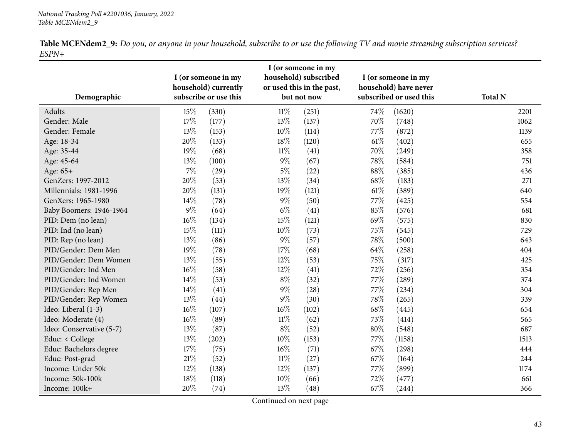<span id="page-42-0"></span>

| Demographic              |        | I (or someone in my<br>household) currently<br>subscribe or use this |        | I (or someone in my<br>household) subscribed<br>or used this in the past,<br>but not now |        | I (or someone in my<br>household) have never<br>subscribed or used this | <b>Total N</b> |
|--------------------------|--------|----------------------------------------------------------------------|--------|------------------------------------------------------------------------------------------|--------|-------------------------------------------------------------------------|----------------|
| Adults                   | 15\%   | (330)                                                                | $11\%$ | (251)                                                                                    | 74\%   | (1620)                                                                  | 2201           |
| Gender: Male             | 17%    | (177)                                                                | 13%    | (137)                                                                                    | 70%    | (748)                                                                   | 1062           |
| Gender: Female           | 13%    | (153)                                                                | $10\%$ | (114)                                                                                    | 77\%   | (872)                                                                   | 1139           |
| Age: 18-34               | 20%    | (133)                                                                | 18%    | (120)                                                                                    | $61\%$ | (402)                                                                   | 655            |
| Age: 35-44               | 19%    | (68)                                                                 | $11\%$ | (41)                                                                                     | 70%    | (249)                                                                   | 358            |
| Age: 45-64               | $13\%$ | (100)                                                                | $9\%$  | (67)                                                                                     | 78%    | (584)                                                                   | 751            |
| Age: 65+                 | $7\%$  | (29)                                                                 | $5\%$  | (22)                                                                                     | $88\%$ | (385)                                                                   | 436            |
| GenZers: 1997-2012       | 20%    | (53)                                                                 | 13%    | (34)                                                                                     | 68\%   | (183)                                                                   | 271            |
| Millennials: 1981-1996   | 20%    | (131)                                                                | 19%    | (121)                                                                                    | 61\%   | (389)                                                                   | 640            |
| GenXers: 1965-1980       | 14\%   | (78)                                                                 | $9\%$  | (50)                                                                                     | 77%    | (425)                                                                   | 554            |
| Baby Boomers: 1946-1964  | $9\%$  | (64)                                                                 | $6\%$  | (41)                                                                                     | 85%    | (576)                                                                   | 681            |
| PID: Dem (no lean)       | $16\%$ | (134)                                                                | 15%    | (121)                                                                                    | 69%    | (575)                                                                   | 830            |
| PID: Ind (no lean)       | 15%    | (111)                                                                | $10\%$ | (73)                                                                                     | 75%    | (545)                                                                   | 729            |
| PID: Rep (no lean)       | $13\%$ | (86)                                                                 | $9\%$  | (57)                                                                                     | 78%    | (500)                                                                   | 643            |
| PID/Gender: Dem Men      | 19%    | (78)                                                                 | $17\%$ | (68)                                                                                     | 64\%   | (258)                                                                   | 404            |
| PID/Gender: Dem Women    | $13\%$ | (55)                                                                 | $12\%$ | (53)                                                                                     | 75%    | (317)                                                                   | 425            |
| PID/Gender: Ind Men      | $16\%$ | (58)                                                                 | 12%    | (41)                                                                                     | 72%    | (256)                                                                   | 354            |
| PID/Gender: Ind Women    | 14\%   | (53)                                                                 | $8\%$  | (32)                                                                                     | 77%    | (289)                                                                   | 374            |
| PID/Gender: Rep Men      | 14\%   | (41)                                                                 | $9\%$  | (28)                                                                                     | 77\%   | (234)                                                                   | 304            |
| PID/Gender: Rep Women    | $13\%$ | (44)                                                                 | $9\%$  | (30)                                                                                     | 78%    | (265)                                                                   | 339            |
| Ideo: Liberal (1-3)      | $16\%$ | (107)                                                                | $16\%$ | (102)                                                                                    | 68\%   | (445)                                                                   | 654            |
| Ideo: Moderate (4)       | $16\%$ | (89)                                                                 | $11\%$ | (62)                                                                                     | 73%    | (414)                                                                   | 565            |
| Ideo: Conservative (5-7) | $13\%$ | (87)                                                                 | $8\%$  | (52)                                                                                     | $80\%$ | (548)                                                                   | 687            |
| Educ: < College          | 13%    | (202)                                                                | $10\%$ | (153)                                                                                    | 77%    | (1158)                                                                  | 1513           |
| Educ: Bachelors degree   | 17%    | (75)                                                                 | $16\%$ | (71)                                                                                     | 67%    | (298)                                                                   | 444            |
| Educ: Post-grad          | 21\%   | (52)                                                                 | $11\%$ | (27)                                                                                     | 67%    | (164)                                                                   | 244            |
| Income: Under 50k        | 12%    | (138)                                                                | $12\%$ | (137)                                                                                    | 77%    | (899)                                                                   | 1174           |
| Income: 50k-100k         | 18%    | (118)                                                                | 10%    | (66)                                                                                     | 72%    | (477)                                                                   | 661            |
| Income: 100k+            | 20%    | (74)                                                                 | 13%    | (48)                                                                                     | 67%    | (244)                                                                   | 366            |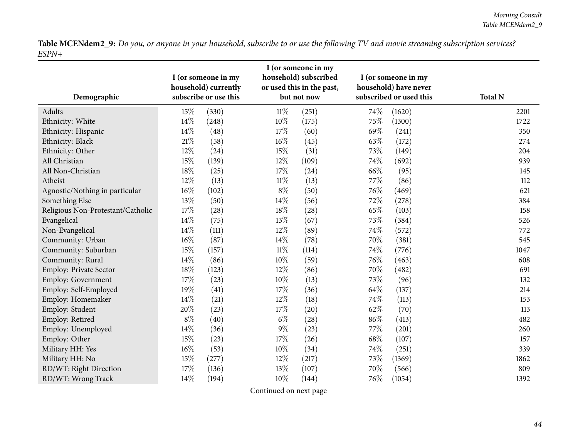| Demographic                       |        | I (or someone in my<br>household) currently<br>subscribe or use this |        | I (or someone in my<br>household) subscribed<br>or used this in the past,<br>but not now |      | I (or someone in my<br>household) have never<br>subscribed or used this | <b>Total N</b> |
|-----------------------------------|--------|----------------------------------------------------------------------|--------|------------------------------------------------------------------------------------------|------|-------------------------------------------------------------------------|----------------|
| Adults                            | 15%    | (330)                                                                | $11\%$ | (251)                                                                                    | 74%  | (1620)                                                                  | 2201           |
| Ethnicity: White                  | 14%    | (248)                                                                | 10%    | (175)                                                                                    | 75%  | (1300)                                                                  | 1722           |
| Ethnicity: Hispanic               | 14%    | (48)                                                                 | 17%    | (60)                                                                                     | 69%  | (241)                                                                   | 350            |
| Ethnicity: Black                  | 21\%   | (58)                                                                 | 16%    | (45)                                                                                     | 63%  | (172)                                                                   | 274            |
| Ethnicity: Other                  | 12%    | (24)                                                                 | 15%    | (31)                                                                                     | 73%  | (149)                                                                   | 204            |
| All Christian                     | 15%    | (139)                                                                | $12\%$ | (109)                                                                                    | 74%  | (692)                                                                   | 939            |
| All Non-Christian                 | 18%    | (25)                                                                 | 17%    | (24)                                                                                     | 66%  | (95)                                                                    | 145            |
| Atheist                           | 12%    | (13)                                                                 | $11\%$ | (13)                                                                                     | 77%  | (86)                                                                    | 112            |
| Agnostic/Nothing in particular    | $16\%$ | (102)                                                                | $8\%$  | (50)                                                                                     | 76\% | (469)                                                                   | 621            |
| Something Else                    | 13%    | (50)                                                                 | 14%    | (56)                                                                                     | 72%  | (278)                                                                   | 384            |
| Religious Non-Protestant/Catholic | 17%    | (28)                                                                 | 18%    | (28)                                                                                     | 65%  | (103)                                                                   | 158            |
| Evangelical                       | 14%    | (75)                                                                 | 13%    | (67)                                                                                     | 73%  | (384)                                                                   | 526            |
| Non-Evangelical                   | 14%    | (111)                                                                | 12%    | (89)                                                                                     | 74%  | (572)                                                                   | 772            |
| Community: Urban                  | $16\%$ | (87)                                                                 | 14\%   | (78)                                                                                     | 70%  | (381)                                                                   | 545            |
| Community: Suburban               | 15%    | (157)                                                                | $11\%$ | (114)                                                                                    | 74%  | (776)                                                                   | 1047           |
| Community: Rural                  | 14%    | (86)                                                                 | $10\%$ | (59)                                                                                     | 76%  | (463)                                                                   | 608            |
| Employ: Private Sector            | 18%    | (123)                                                                | $12\%$ | (86)                                                                                     | 70%  | (482)                                                                   | 691            |
| Employ: Government                | 17%    | (23)                                                                 | $10\%$ | (13)                                                                                     | 73%  | (96)                                                                    | 132            |
| Employ: Self-Employed             | 19%    | (41)                                                                 | 17%    | (36)                                                                                     | 64\% | (137)                                                                   | 214            |
| Employ: Homemaker                 | 14%    | (21)                                                                 | 12%    | (18)                                                                                     | 74%  | (113)                                                                   | 153            |
| Employ: Student                   | 20%    | (23)                                                                 | 17%    | (20)                                                                                     | 62%  | (70)                                                                    | 113            |
| Employ: Retired                   | $8\%$  | (40)                                                                 | $6\%$  | (28)                                                                                     | 86%  | (413)                                                                   | 482            |
| Employ: Unemployed                | 14%    | (36)                                                                 | $9\%$  | (23)                                                                                     | 77%  | (201)                                                                   | 260            |
| Employ: Other                     | 15%    | (23)                                                                 | 17%    | (26)                                                                                     | 68%  | (107)                                                                   | 157            |
| Military HH: Yes                  | $16\%$ | (53)                                                                 | 10%    | (34)                                                                                     | 74%  | (251)                                                                   | 339            |
| Military HH: No                   | 15%    | (277)                                                                | 12%    | (217)                                                                                    | 73%  | (1369)                                                                  | 1862           |
| RD/WT: Right Direction            | 17%    | (136)                                                                | 13%    | (107)                                                                                    | 70%  | (566)                                                                   | 809            |
| RD/WT: Wrong Track                | 14%    | (194)                                                                | $10\%$ | (144)                                                                                    | 76%  | (1054)                                                                  | 1392           |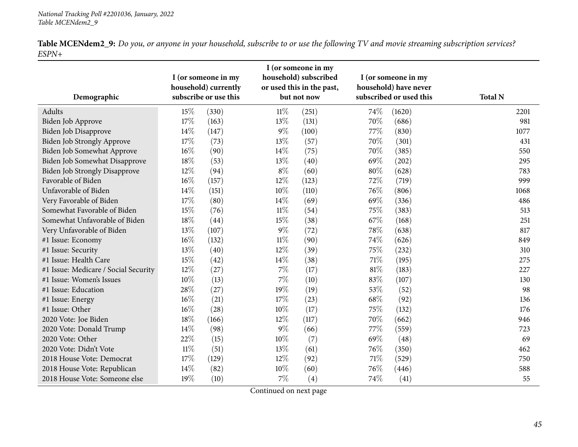| Demographic                          |        | I (or someone in my<br>household) subscribed<br>I (or someone in my<br>household) currently<br>or used this in the past,<br>subscribe or use this<br>but not now |        |       |        | I (or someone in my<br>household) have never<br>subscribed or used this | <b>Total N</b> |
|--------------------------------------|--------|------------------------------------------------------------------------------------------------------------------------------------------------------------------|--------|-------|--------|-------------------------------------------------------------------------|----------------|
| Adults                               | 15%    | (330)                                                                                                                                                            | $11\%$ | (251) | 74%    | (1620)                                                                  | 2201           |
| Biden Job Approve                    | 17%    | (163)                                                                                                                                                            | 13%    | (131) | 70%    | (686)                                                                   | 981            |
| Biden Job Disapprove                 | $14\%$ | (147)                                                                                                                                                            | $9\%$  | (100) | 77%    | (830)                                                                   | 1077           |
| Biden Job Strongly Approve           | 17%    | (73)                                                                                                                                                             | 13%    | (57)  | 70%    | (301)                                                                   | 431            |
| Biden Job Somewhat Approve           | 16%    | (90)                                                                                                                                                             | 14%    | (75)  | 70%    | (385)                                                                   | 550            |
| <b>Biden Job Somewhat Disapprove</b> | 18%    | (53)                                                                                                                                                             | 13%    | (40)  | 69%    | (202)                                                                   | 295            |
| <b>Biden Job Strongly Disapprove</b> | 12%    | (94)                                                                                                                                                             | $8\%$  | (60)  | $80\%$ | (628)                                                                   | 783            |
| Favorable of Biden                   | 16%    | (157)                                                                                                                                                            | 12%    | (123) | 72%    | (719)                                                                   | 999            |
| Unfavorable of Biden                 | 14%    | (151)                                                                                                                                                            | 10%    | (110) | 76%    | (806)                                                                   | 1068           |
| Very Favorable of Biden              | $17\%$ | (80)                                                                                                                                                             | 14%    | (69)  | 69%    | (336)                                                                   | 486            |
| Somewhat Favorable of Biden          | 15%    | (76)                                                                                                                                                             | $11\%$ | (54)  | 75%    | (383)                                                                   | 513            |
| Somewhat Unfavorable of Biden        | $18\%$ | (44)                                                                                                                                                             | 15%    | (38)  | 67\%   | (168)                                                                   | 251            |
| Very Unfavorable of Biden            | 13%    | (107)                                                                                                                                                            | $9\%$  | (72)  | 78%    | (638)                                                                   | 817            |
| #1 Issue: Economy                    | 16%    | (132)                                                                                                                                                            | $11\%$ | (90)  | 74%    | (626)                                                                   | 849            |
| #1 Issue: Security                   | 13%    | (40)                                                                                                                                                             | 12%    | (39)  | 75%    | (232)                                                                   | 310            |
| #1 Issue: Health Care                | 15%    | (42)                                                                                                                                                             | 14%    | (38)  | $71\%$ | (195)                                                                   | 275            |
| #1 Issue: Medicare / Social Security | 12%    | (27)                                                                                                                                                             | $7\%$  | (17)  | 81%    | (183)                                                                   | 227            |
| #1 Issue: Women's Issues             | $10\%$ | (13)                                                                                                                                                             | $7\%$  | (10)  | 83%    | (107)                                                                   | 130            |
| #1 Issue: Education                  | 28%    | (27)                                                                                                                                                             | 19%    | (19)  | 53%    | (52)                                                                    | 98             |
| #1 Issue: Energy                     | 16%    | (21)                                                                                                                                                             | 17%    | (23)  | 68%    | (92)                                                                    | 136            |
| #1 Issue: Other                      | 16%    | (28)                                                                                                                                                             | 10%    | (17)  | 75%    | (132)                                                                   | 176            |
| 2020 Vote: Joe Biden                 | $18\%$ | (166)                                                                                                                                                            | 12%    | (117) | 70%    | (662)                                                                   | 946            |
| 2020 Vote: Donald Trump              | 14%    | (98)                                                                                                                                                             | $9\%$  | (66)  | 77%    | (559)                                                                   | 723            |
| 2020 Vote: Other                     | 22%    | (15)                                                                                                                                                             | $10\%$ | (7)   | 69%    | (48)                                                                    | 69             |
| 2020 Vote: Didn't Vote               | $11\%$ | (51)                                                                                                                                                             | 13%    | (61)  | 76%    | (350)                                                                   | 462            |
| 2018 House Vote: Democrat            | $17\%$ | (129)                                                                                                                                                            | 12%    | (92)  | $71\%$ | (529)                                                                   | 750            |
| 2018 House Vote: Republican          | 14\%   | (82)                                                                                                                                                             | $10\%$ | (60)  | 76%    | (446)                                                                   | 588            |
| 2018 House Vote: Someone else        | 19%    | (10)                                                                                                                                                             | $7\%$  | (4)   | 74%    | (41)                                                                    | 55             |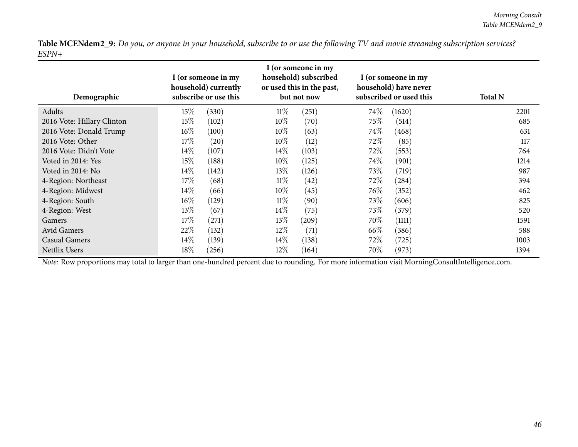| Demographic                | I (or someone in my<br>household) currently<br>subscribe or use this |       | I (or someone in my<br>household) subscribed<br>or used this in the past,<br>but not now |       | I (or someone in my<br>household) have never<br>subscribed or used this |        | <b>Total N</b> |
|----------------------------|----------------------------------------------------------------------|-------|------------------------------------------------------------------------------------------|-------|-------------------------------------------------------------------------|--------|----------------|
| Adults                     | 15%                                                                  | (330) | $11\%$                                                                                   | (251) | $74\%$                                                                  | (1620) | 2201           |
| 2016 Vote: Hillary Clinton | 15%                                                                  | (102) | $10\%$                                                                                   | (70)  | 75\%                                                                    | (514)  | 685            |
| 2016 Vote: Donald Trump    | $16\%$                                                               | (100) | $10\%$                                                                                   | (63)  | $74\%$                                                                  | (468)  | 631            |
| 2016 Vote: Other           | 17%                                                                  | (20)  | $10\%$                                                                                   | (12)  | 72\%                                                                    | (85)   | 117            |
| 2016 Vote: Didn't Vote     | $14\%$                                                               | (107) | $14\%$                                                                                   | (103) | 72\%                                                                    | (553)  | 764            |
| Voted in 2014: Yes         | 15%                                                                  | (188) | $10\%$                                                                                   | (125) | $74\%$                                                                  | (901)  | 1214           |
| Voted in 2014: No          | $14\%$                                                               | (142) | $13\%$                                                                                   | (126) | 73\%                                                                    | (719)  | 987            |
| 4-Region: Northeast        | 17%                                                                  | (68)  | $11\%$                                                                                   | (42)  | 72\%                                                                    | (284)  | 394            |
| 4-Region: Midwest          | $14\%$                                                               | (66)  | $10\%$                                                                                   | (45)  | $76\%$                                                                  | (352)  | 462            |
| 4-Region: South            | $16\%$                                                               | (129) | $11\%$                                                                                   | (90)  | 73\%                                                                    | (606)  | 825            |
| 4-Region: West             | 13\%                                                                 | (67)  | $14\%$                                                                                   | (75)  | 73\%                                                                    | (379)  | 520            |
| <b>Gamers</b>              | 17%                                                                  | (271) | $13\%$                                                                                   | (209) | $70\%$                                                                  | (1111) | 1591           |
| Avid Gamers                | 22%                                                                  | (132) | $12\%$                                                                                   | (71)  | 66\%                                                                    | (386)  | 588            |
| Casual Gamers              | $14\%$                                                               | (139) | $14\%$                                                                                   | (138) | 72%                                                                     | (725)  | 1003           |
| Netflix Users              | 18%                                                                  | (256) | $12\%$                                                                                   | (164) | 70\%                                                                    | (973)  | 1394           |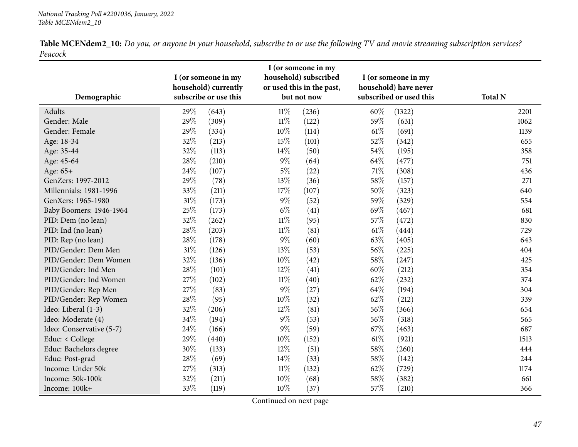<span id="page-46-0"></span>

| Demographic              |        | I (or someone in my<br>household) currently<br>subscribe or use this |        | I (or someone in my<br>household) subscribed<br>or used this in the past,<br>but not now |      | I (or someone in my<br>household) have never<br>subscribed or used this | <b>Total N</b> |
|--------------------------|--------|----------------------------------------------------------------------|--------|------------------------------------------------------------------------------------------|------|-------------------------------------------------------------------------|----------------|
| <b>Adults</b>            | 29%    | (643)                                                                | $11\%$ | (236)                                                                                    | 60%  | (1322)                                                                  | 2201           |
| Gender: Male             | 29%    | (309)                                                                | $11\%$ | (122)                                                                                    | 59%  | (631)                                                                   | 1062           |
| Gender: Female           | 29%    | (334)                                                                | $10\%$ | (114)                                                                                    | 61%  | (691)                                                                   | 1139           |
| Age: 18-34               | 32%    | (213)                                                                | 15%    | (101)                                                                                    | 52%  | (342)                                                                   | 655            |
| Age: 35-44               | 32%    | (113)                                                                | $14\%$ | (50)                                                                                     | 54%  | (195)                                                                   | 358            |
| Age: 45-64               | 28\%   | (210)                                                                | $9\%$  | (64)                                                                                     | 64\% | (477)                                                                   | 751            |
| Age: 65+                 | 24\%   | (107)                                                                | $5\%$  | (22)                                                                                     | 71\% | (308)                                                                   | 436            |
| GenZers: 1997-2012       | 29%    | (78)                                                                 | 13%    | (36)                                                                                     | 58\% | (157)                                                                   | 271            |
| Millennials: 1981-1996   | 33%    | (211)                                                                | 17%    | (107)                                                                                    | 50%  | (323)                                                                   | 640            |
| GenXers: 1965-1980       | 31%    | (173)                                                                | $9\%$  | (52)                                                                                     | 59%  | (329)                                                                   | 554            |
| Baby Boomers: 1946-1964  | 25%    | (173)                                                                | $6\%$  | (41)                                                                                     | 69%  | (467)                                                                   | 681            |
| PID: Dem (no lean)       | 32%    | (262)                                                                | $11\%$ | (95)                                                                                     | 57%  | (472)                                                                   | 830            |
| PID: Ind (no lean)       | 28\%   | (203)                                                                | $11\%$ | (81)                                                                                     | 61%  | (444)                                                                   | 729            |
| PID: Rep (no lean)       | 28\%   | (178)                                                                | $9\%$  | (60)                                                                                     | 63%  | (405)                                                                   | 643            |
| PID/Gender: Dem Men      | $31\%$ | (126)                                                                | $13\%$ | (53)                                                                                     | 56%  | (225)                                                                   | 404            |
| PID/Gender: Dem Women    | 32%    | (136)                                                                | $10\%$ | (42)                                                                                     | 58%  | (247)                                                                   | 425            |
| PID/Gender: Ind Men      | 28%    | (101)                                                                | 12%    | (41)                                                                                     | 60%  | (212)                                                                   | 354            |
| PID/Gender: Ind Women    | 27%    | (102)                                                                | $11\%$ | (40)                                                                                     | 62%  | (232)                                                                   | 374            |
| PID/Gender: Rep Men      | 27%    | (83)                                                                 | 9%     | (27)                                                                                     | 64\% | (194)                                                                   | 304            |
| PID/Gender: Rep Women    | 28%    | (95)                                                                 | 10%    | (32)                                                                                     | 62%  | (212)                                                                   | 339            |
| Ideo: Liberal (1-3)      | 32%    | (206)                                                                | 12%    | (81)                                                                                     | 56%  | (366)                                                                   | 654            |
| Ideo: Moderate (4)       | $34\%$ | (194)                                                                | 9%     | (53)                                                                                     | 56%  | (318)                                                                   | 565            |
| Ideo: Conservative (5-7) | 24\%   | (166)                                                                | $9\%$  | (59)                                                                                     | 67%  | (463)                                                                   | 687            |
| Educ: < College          | 29%    | (440)                                                                | 10%    | (152)                                                                                    | 61%  | (921)                                                                   | 1513           |
| Educ: Bachelors degree   | 30%    | (133)                                                                | $12\%$ | (51)                                                                                     | 58\% | (260)                                                                   | 444            |
| Educ: Post-grad          | 28%    | (69)                                                                 | 14%    | (33)                                                                                     | 58%  | (142)                                                                   | 244            |
| Income: Under 50k        | 27%    | (313)                                                                | $11\%$ | (132)                                                                                    | 62%  | (729)                                                                   | 1174           |
| Income: 50k-100k         | 32%    | (211)                                                                | 10%    | (68)                                                                                     | 58%  | (382)                                                                   | 661            |
| Income: 100k+            | 33%    | (119)                                                                | 10%    | (37)                                                                                     | 57%  | (210)                                                                   | 366            |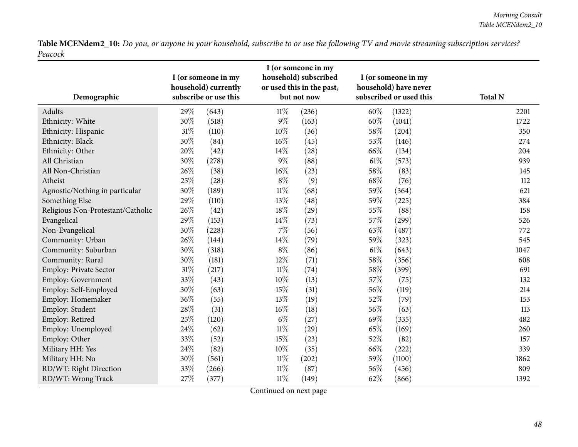| Demographic                       |        | I (or someone in my<br>household) currently<br>subscribe or use this | I (or someone in my<br>household) subscribed<br>or used this in the past,<br>but not now |       | I (or someone in my<br>household) have never<br>subscribed or used this |        | <b>Total N</b> |
|-----------------------------------|--------|----------------------------------------------------------------------|------------------------------------------------------------------------------------------|-------|-------------------------------------------------------------------------|--------|----------------|
| Adults                            | 29%    | (643)                                                                | $11\%$                                                                                   | (236) | 60%                                                                     | (1322) | 2201           |
| Ethnicity: White                  | 30%    | (518)                                                                | $9\%$                                                                                    | (163) | 60%                                                                     | (1041) | 1722           |
| Ethnicity: Hispanic               | $31\%$ | (110)                                                                | $10\%$                                                                                   | (36)  | 58%                                                                     | (204)  | 350            |
| Ethnicity: Black                  | 30%    | (84)                                                                 | $16\%$                                                                                   | (45)  | 53%                                                                     | (146)  | 274            |
| Ethnicity: Other                  | 20%    | (42)                                                                 | 14\%                                                                                     | (28)  | 66%                                                                     | (134)  | 204            |
| All Christian                     | 30%    | (278)                                                                | $9\%$                                                                                    | (88)  | $61\%$                                                                  | (573)  | 939            |
| All Non-Christian                 | 26%    | (38)                                                                 | $16\%$                                                                                   | (23)  | 58\%                                                                    | (83)   | 145            |
| Atheist                           | 25%    | (28)                                                                 | $8\%$                                                                                    | (9)   | 68%                                                                     | (76)   | 112            |
| Agnostic/Nothing in particular    | 30%    | (189)                                                                | $11\%$                                                                                   | (68)  | 59%                                                                     | (364)  | 621            |
| Something Else                    | 29%    | (110)                                                                | 13%                                                                                      | (48)  | 59%                                                                     | (225)  | 384            |
| Religious Non-Protestant/Catholic | 26%    | (42)                                                                 | $18\%$                                                                                   | (29)  | 55%                                                                     | (88)   | 158            |
| Evangelical                       | 29%    | (153)                                                                | 14\%                                                                                     | (73)  | 57%                                                                     | (299)  | 526            |
| Non-Evangelical                   | 30%    | (228)                                                                | $7\%$                                                                                    | (56)  | 63%                                                                     | (487)  | 772            |
| Community: Urban                  | 26%    | (144)                                                                | 14%                                                                                      | (79)  | 59%                                                                     | (323)  | 545            |
| Community: Suburban               | 30%    | (318)                                                                | $8\%$                                                                                    | (86)  | $61\%$                                                                  | (643)  | 1047           |
| Community: Rural                  | 30%    | (181)                                                                | 12%                                                                                      | (71)  | 58\%                                                                    | (356)  | 608            |
| <b>Employ: Private Sector</b>     | $31\%$ | (217)                                                                | $11\%$                                                                                   | (74)  | 58\%                                                                    | (399)  | 691            |
| Employ: Government                | 33%    | (43)                                                                 | 10%                                                                                      | (13)  | 57%                                                                     | (75)   | 132            |
| Employ: Self-Employed             | 30%    | (63)                                                                 | 15%                                                                                      | (31)  | 56%                                                                     | (119)  | 214            |
| Employ: Homemaker                 | 36%    | (55)                                                                 | 13%                                                                                      | (19)  | 52%                                                                     | (79)   | 153            |
| Employ: Student                   | 28%    | (31)                                                                 | 16%                                                                                      | (18)  | 56%                                                                     | (63)   | 113            |
| Employ: Retired                   | 25%    | (120)                                                                | $6\%$                                                                                    | (27)  | 69%                                                                     | (335)  | 482            |
| Employ: Unemployed                | 24%    | (62)                                                                 | $11\%$                                                                                   | (29)  | 65%                                                                     | (169)  | 260            |
| Employ: Other                     | 33%    | (52)                                                                 | 15%                                                                                      | (23)  | 52%                                                                     | (82)   | 157            |
| Military HH: Yes                  | 24\%   | (82)                                                                 | $10\%$                                                                                   | (35)  | 66%                                                                     | (222)  | 339            |
| Military HH: No                   | 30%    | (561)                                                                | $11\%$                                                                                   | (202) | 59%                                                                     | (1100) | 1862           |
| RD/WT: Right Direction            | 33%    | (266)                                                                | $11\%$                                                                                   | (87)  | 56%                                                                     | (456)  | 809            |
| RD/WT: Wrong Track                | 27%    | (377)                                                                | $11\%$                                                                                   | (149) | 62%                                                                     | (866)  | 1392           |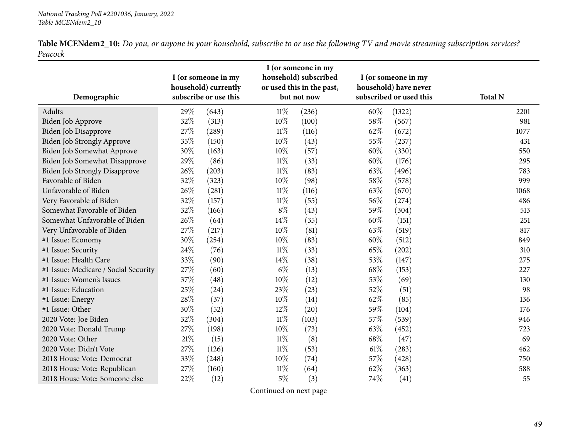| ${\bf Table~MCENdem2\_10:}$ Do you, or anyone in your household, subscribe to or use the following TV and movie streaming subscription services? |  |  |  |
|--------------------------------------------------------------------------------------------------------------------------------------------------|--|--|--|
| Peacock                                                                                                                                          |  |  |  |

| Demographic                          | I (or someone in my<br>household) currently<br>subscribe or use this |       |        | I (or someone in my<br>household) subscribed<br>or used this in the past,<br>but not now |      | I (or someone in my<br>household) have never<br>subscribed or used this | <b>Total N</b> |
|--------------------------------------|----------------------------------------------------------------------|-------|--------|------------------------------------------------------------------------------------------|------|-------------------------------------------------------------------------|----------------|
| Adults                               | 29%                                                                  | (643) | $11\%$ | (236)                                                                                    | 60%  | (1322)                                                                  | 2201           |
| Biden Job Approve                    | 32%                                                                  | (313) | 10%    | (100)                                                                                    | 58%  | (567)                                                                   | 981            |
| Biden Job Disapprove                 | 27%                                                                  | (289) | $11\%$ | (116)                                                                                    | 62%  | (672)                                                                   | 1077           |
| Biden Job Strongly Approve           | 35%                                                                  | (150) | $10\%$ | (43)                                                                                     | 55%  | (237)                                                                   | 431            |
| Biden Job Somewhat Approve           | $30\%$                                                               | (163) | $10\%$ | (57)                                                                                     | 60%  | (330)                                                                   | 550            |
| Biden Job Somewhat Disapprove        | 29%                                                                  | (86)  | 11%    | (33)                                                                                     | 60%  | (176)                                                                   | 295            |
| Biden Job Strongly Disapprove        | 26%                                                                  | (203) | $11\%$ | (83)                                                                                     | 63%  | (496)                                                                   | 783            |
| Favorable of Biden                   | 32%                                                                  | (323) | 10%    | (98)                                                                                     | 58%  | (578)                                                                   | 999            |
| Unfavorable of Biden                 | 26%                                                                  | (281) | $11\%$ | (116)                                                                                    | 63%  | (670)                                                                   | 1068           |
| Very Favorable of Biden              | 32%                                                                  | (157) | $11\%$ | (55)                                                                                     | 56%  | (274)                                                                   | 486            |
| Somewhat Favorable of Biden          | 32%                                                                  | (166) | $8\%$  | (43)                                                                                     | 59%  | (304)                                                                   | 513            |
| Somewhat Unfavorable of Biden        | 26%                                                                  | (64)  | 14%    | (35)                                                                                     | 60%  | (151)                                                                   | 251            |
| Very Unfavorable of Biden            | 27%                                                                  | (217) | 10%    | (81)                                                                                     | 63%  | (519)                                                                   | 817            |
| #1 Issue: Economy                    | 30%                                                                  | (254) | 10%    | (83)                                                                                     | 60%  | (512)                                                                   | 849            |
| #1 Issue: Security                   | 24%                                                                  | (76)  | $11\%$ | (33)                                                                                     | 65%  | (202)                                                                   | 310            |
| #1 Issue: Health Care                | 33%                                                                  | (90)  | 14%    | (38)                                                                                     | 53%  | (147)                                                                   | 275            |
| #1 Issue: Medicare / Social Security | 27%                                                                  | (60)  | $6\%$  | (13)                                                                                     | 68%  | (153)                                                                   | 227            |
| #1 Issue: Women's Issues             | 37%                                                                  | (48)  | 10%    | (12)                                                                                     | 53%  | (69)                                                                    | 130            |
| #1 Issue: Education                  | 25%                                                                  | (24)  | 23%    | (23)                                                                                     | 52%  | (51)                                                                    | 98             |
| #1 Issue: Energy                     | 28\%                                                                 | (37)  | 10%    | (14)                                                                                     | 62%  | (85)                                                                    | 136            |
| #1 Issue: Other                      | 30%                                                                  | (52)  | 12%    | (20)                                                                                     | 59%  | (104)                                                                   | 176            |
| 2020 Vote: Joe Biden                 | 32%                                                                  | (304) | $11\%$ | (103)                                                                                    | 57%  | (539)                                                                   | 946            |
| 2020 Vote: Donald Trump              | 27%                                                                  | (198) | $10\%$ | (73)                                                                                     | 63%  | (452)                                                                   | 723            |
| 2020 Vote: Other                     | $21\%$                                                               | (15)  | $11\%$ | (8)                                                                                      | 68\% | (47)                                                                    | 69             |
| 2020 Vote: Didn't Vote               | 27%                                                                  | (126) | 11%    | (53)                                                                                     | 61%  | (283)                                                                   | 462            |
| 2018 House Vote: Democrat            | 33%                                                                  | (248) | $10\%$ | (74)                                                                                     | 57%  | (428)                                                                   | 750            |
| 2018 House Vote: Republican          | 27%                                                                  | (160) | 11%    | (64)                                                                                     | 62%  | (363)                                                                   | 588            |
| 2018 House Vote: Someone else        | 22%                                                                  | (12)  | $5\%$  | (3)                                                                                      | 74%  | (41)                                                                    | 55             |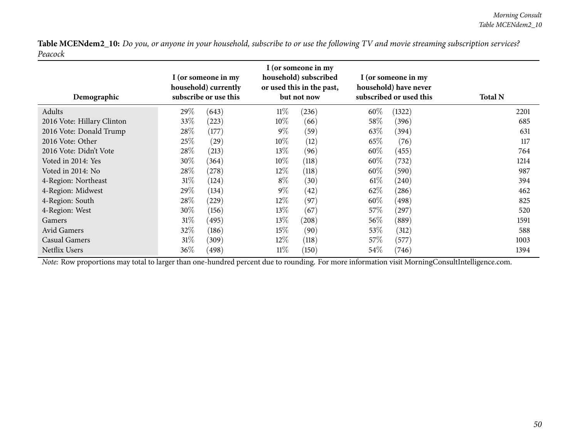| Demographic                |        | I (or someone in my<br>household) currently<br>subscribe or use this |        | I (or someone in my<br>household) subscribed<br>or used this in the past,<br>but not now |        | I (or someone in my<br>household) have never<br>subscribed or used this | <b>Total N</b> |
|----------------------------|--------|----------------------------------------------------------------------|--------|------------------------------------------------------------------------------------------|--------|-------------------------------------------------------------------------|----------------|
| Adults                     | 29\%   | (643)                                                                | $11\%$ | (236)                                                                                    | 60%    | (1322)                                                                  | 2201           |
| 2016 Vote: Hillary Clinton | 33\%   | (223)                                                                | $10\%$ | (66)                                                                                     | 58\%   | (396)                                                                   | 685            |
| 2016 Vote: Donald Trump    | 28\%   | (177)                                                                | $9\%$  | (59)                                                                                     | 63\%   | (394)                                                                   | 631            |
| 2016 Vote: Other           | 25%    | (29)                                                                 | $10\%$ | (12)                                                                                     | 65\%   | (76)                                                                    | 117            |
| 2016 Vote: Didn't Vote     | 28\%   | (213)                                                                | 13\%   | (96)                                                                                     | $60\%$ | (455)                                                                   | 764            |
| Voted in 2014: Yes         | $30\%$ | (364)                                                                | $10\%$ | (118)                                                                                    | $60\%$ | (732)                                                                   | 1214           |
| Voted in 2014: No          | 28\%   | (278)                                                                | $12\%$ | (118)                                                                                    | $60\%$ | (590)                                                                   | 987            |
| 4-Region: Northeast        | 31%    | (124)                                                                | $8\%$  | (30)                                                                                     | $61\%$ | (240)                                                                   | 394            |
| 4-Region: Midwest          | 29\%   | (134)                                                                | $9\%$  | (42)                                                                                     | 62\%   | (286)                                                                   | 462            |
| 4-Region: South            | 28\%   | (229)                                                                | $12\%$ | (97)                                                                                     | 60%    | (498)                                                                   | 825            |
| 4-Region: West             | 30\%   | (156)                                                                | $13\%$ | (67)                                                                                     | 57\%   | (297)                                                                   | 520            |
| <b>Gamers</b>              | 31%    | (495)                                                                | $13\%$ | (208)                                                                                    | $56\%$ | (889)                                                                   | 1591           |
| Avid Gamers                | 32\%   | (186)                                                                | 15%    | (90)                                                                                     | 53\%   | (312)                                                                   | 588            |
| Casual Gamers              | $31\%$ | (309)                                                                | $12\%$ | (118)                                                                                    | 57\%   | (577)                                                                   | 1003           |
| <b>Netflix Users</b>       | $36\%$ | (498)                                                                | 11%    | (150)                                                                                    | 54%    | (746)                                                                   | 1394           |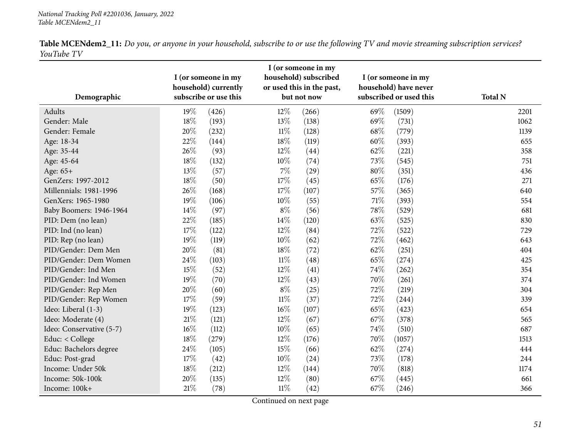<span id="page-50-0"></span>

| Demographic              |        | I (or someone in my<br>household) currently<br>subscribe or use this |        | I (or someone in my<br>household) subscribed<br>or used this in the past,<br>but not now |      | I (or someone in my<br>household) have never<br>subscribed or used this | <b>Total N</b> |
|--------------------------|--------|----------------------------------------------------------------------|--------|------------------------------------------------------------------------------------------|------|-------------------------------------------------------------------------|----------------|
| Adults                   | 19%    | (426)                                                                | $12\%$ | (266)                                                                                    | 69%  | (1509)                                                                  | 2201           |
| Gender: Male             | $18\%$ | (193)                                                                | 13%    | (138)                                                                                    | 69%  | (731)                                                                   | 1062           |
| Gender: Female           | 20%    | (232)                                                                | $11\%$ | (128)                                                                                    | 68%  | (779)                                                                   | 1139           |
| Age: 18-34               | 22%    | (144)                                                                | 18%    | (119)                                                                                    | 60%  | (393)                                                                   | 655            |
| Age: 35-44               | 26%    | (93)                                                                 | 12%    | (44)                                                                                     | 62%  | (221)                                                                   | 358            |
| Age: 45-64               | 18%    | (132)                                                                | $10\%$ | (74)                                                                                     | 73%  | (545)                                                                   | 751            |
| Age: 65+                 | 13%    | (57)                                                                 | 7%     | (29)                                                                                     | 80%  | (351)                                                                   | 436            |
| GenZers: 1997-2012       | $18\%$ | (50)                                                                 | 17%    | (45)                                                                                     | 65%  | (176)                                                                   | 271            |
| Millennials: 1981-1996   | 26%    | (168)                                                                | 17%    | (107)                                                                                    | 57%  | (365)                                                                   | 640            |
| GenXers: 1965-1980       | 19%    | (106)                                                                | $10\%$ | (55)                                                                                     | 71\% | (393)                                                                   | 554            |
| Baby Boomers: 1946-1964  | 14\%   | (97)                                                                 | $8\%$  | (56)                                                                                     | 78%  | (529)                                                                   | 681            |
| PID: Dem (no lean)       | 22%    | (185)                                                                | 14\%   | (120)                                                                                    | 63%  | (525)                                                                   | 830            |
| PID: Ind (no lean)       | 17%    | (122)                                                                | 12%    | (84)                                                                                     | 72%  | (522)                                                                   | 729            |
| PID: Rep (no lean)       | 19%    | (119)                                                                | 10%    | (62)                                                                                     | 72%  | (462)                                                                   | 643            |
| PID/Gender: Dem Men      | 20%    | (81)                                                                 | 18%    | (72)                                                                                     | 62%  | (251)                                                                   | 404            |
| PID/Gender: Dem Women    | 24\%   | (103)                                                                | $11\%$ | (48)                                                                                     | 65%  | (274)                                                                   | 425            |
| PID/Gender: Ind Men      | 15%    | (52)                                                                 | $12\%$ | (41)                                                                                     | 74%  | (262)                                                                   | 354            |
| PID/Gender: Ind Women    | 19%    | (70)                                                                 | 12%    | (43)                                                                                     | 70%  | (261)                                                                   | 374            |
| PID/Gender: Rep Men      | 20%    | (60)                                                                 | $8\%$  | (25)                                                                                     | 72%  | (219)                                                                   | 304            |
| PID/Gender: Rep Women    | 17%    | (59)                                                                 | $11\%$ | (37)                                                                                     | 72%  | (244)                                                                   | 339            |
| Ideo: Liberal (1-3)      | 19%    | (123)                                                                | 16%    | (107)                                                                                    | 65%  | (423)                                                                   | 654            |
| Ideo: Moderate (4)       | 21\%   | (121)                                                                | 12%    | (67)                                                                                     | 67%  | (378)                                                                   | 565            |
| Ideo: Conservative (5-7) | $16\%$ | (112)                                                                | 10%    | (65)                                                                                     | 74%  | (510)                                                                   | 687            |
| Educ: < College          | $18\%$ | (279)                                                                | 12%    | (176)                                                                                    | 70%  | (1057)                                                                  | 1513           |
| Educ: Bachelors degree   | $24\%$ | (105)                                                                | 15%    | (66)                                                                                     | 62%  | (274)                                                                   | 444            |
| Educ: Post-grad          | 17%    | (42)                                                                 | $10\%$ | (24)                                                                                     | 73%  | (178)                                                                   | 244            |
| Income: Under 50k        | 18%    | (212)                                                                | 12%    | (144)                                                                                    | 70%  | (818)                                                                   | 1174           |
| Income: 50k-100k         | 20%    | (135)                                                                | 12%    | (80)                                                                                     | 67%  | (445)                                                                   | 661            |
| Income: 100k+            | $21\%$ | (78)                                                                 | $11\%$ | (42)                                                                                     | 67%  | (246)                                                                   | 366            |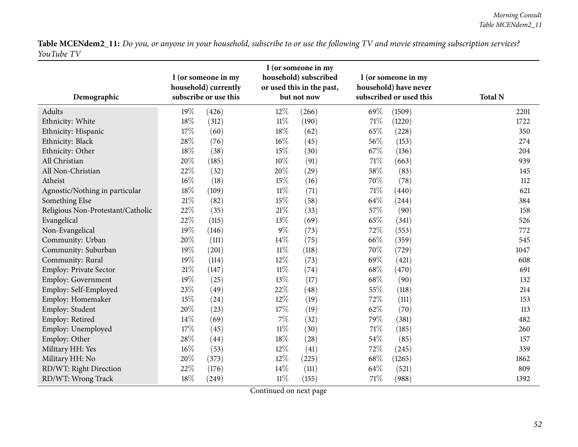| Demographic                       |        | I (or someone in my<br>household) currently<br>subscribe or use this |        | I (or someone in my<br>household) subscribed<br>or used this in the past,<br>but not now |        | I (or someone in my<br>household) have never<br>subscribed or used this | <b>Total N</b> |
|-----------------------------------|--------|----------------------------------------------------------------------|--------|------------------------------------------------------------------------------------------|--------|-------------------------------------------------------------------------|----------------|
| Adults                            | 19%    | (426)                                                                | 12%    | (266)                                                                                    | 69%    | (1509)                                                                  | 2201           |
| Ethnicity: White                  | 18%    | (312)                                                                | $11\%$ | (190)                                                                                    | $71\%$ | (1220)                                                                  | 1722           |
| Ethnicity: Hispanic               | 17%    | (60)                                                                 | 18%    | (62)                                                                                     | 65%    | (228)                                                                   | 350            |
| Ethnicity: Black                  | 28%    | (76)                                                                 | $16\%$ | (45)                                                                                     | 56%    | (153)                                                                   | 274            |
| Ethnicity: Other                  | 18%    | (38)                                                                 | 15%    | (30)                                                                                     | 67%    | (136)                                                                   | 204            |
| All Christian                     | 20%    | (185)                                                                | $10\%$ | (91)                                                                                     | $71\%$ | (663)                                                                   | 939            |
| All Non-Christian                 | 22%    | (32)                                                                 | 20%    | (29)                                                                                     | 58%    | (83)                                                                    | 145            |
| Atheist                           | $16\%$ | (18)                                                                 | 15%    | (16)                                                                                     | 70%    | (78)                                                                    | 112            |
| Agnostic/Nothing in particular    | 18%    | (109)                                                                | $11\%$ | (71)                                                                                     | $71\%$ | (440)                                                                   | 621            |
| Something Else                    | 21\%   | (82)                                                                 | 15%    | (58)                                                                                     | 64\%   | (244)                                                                   | 384            |
| Religious Non-Protestant/Catholic | 22%    | (35)                                                                 | $21\%$ | (33)                                                                                     | 57%    | (90)                                                                    | 158            |
| Evangelical                       | 22%    | (115)                                                                | 13%    | (69)                                                                                     | 65%    | (341)                                                                   | 526            |
| Non-Evangelical                   | 19%    | (146)                                                                | $9\%$  | (73)                                                                                     | 72%    | (553)                                                                   | 772            |
| Community: Urban                  | 20%    | (111)                                                                | 14%    | (75)                                                                                     | 66%    | (359)                                                                   | 545            |
| Community: Suburban               | 19%    | (201)                                                                | $11\%$ | (118)                                                                                    | 70%    | (729)                                                                   | 1047           |
| Community: Rural                  | 19%    | (114)                                                                | $12\%$ | (73)                                                                                     | 69%    | (421)                                                                   | 608            |
| Employ: Private Sector            | $21\%$ | (147)                                                                | $11\%$ | (74)                                                                                     | 68\%   | (470)                                                                   | 691            |
| Employ: Government                | $19\%$ | (25)                                                                 | 13%    | (17)                                                                                     | 68\%   | (90)                                                                    | 132            |
| Employ: Self-Employed             | 23%    | (49)                                                                 | 22%    | (48)                                                                                     | 55%    | (118)                                                                   | 214            |
| Employ: Homemaker                 | 15%    | (24)                                                                 | 12%    | (19)                                                                                     | 72%    | (111)                                                                   | 153            |
| Employ: Student                   | 20%    | (23)                                                                 | 17%    | (19)                                                                                     | 62%    | (70)                                                                    | 113            |
| Employ: Retired                   | 14%    | (69)                                                                 | $7\%$  | (32)                                                                                     | 79%    | (381)                                                                   | 482            |
| Employ: Unemployed                | 17%    | (45)                                                                 | $11\%$ | (30)                                                                                     | 71\%   | (185)                                                                   | 260            |
| Employ: Other                     | 28%    | (44)                                                                 | 18%    | (28)                                                                                     | 54%    | (85)                                                                    | 157            |
| Military HH: Yes                  | $16\%$ | (53)                                                                 | 12%    | (41)                                                                                     | 72%    | (245)                                                                   | 339            |
| Military HH: No                   | 20%    | (373)                                                                | 12%    | (225)                                                                                    | 68\%   | (1265)                                                                  | 1862           |
| RD/WT: Right Direction            | 22%    | (176)                                                                | 14%    | (111)                                                                                    | 64%    | (521)                                                                   | 809            |
| RD/WT: Wrong Track                | $18\%$ | (249)                                                                | $11\%$ | (155)                                                                                    | 71%    | (988)                                                                   | 1392           |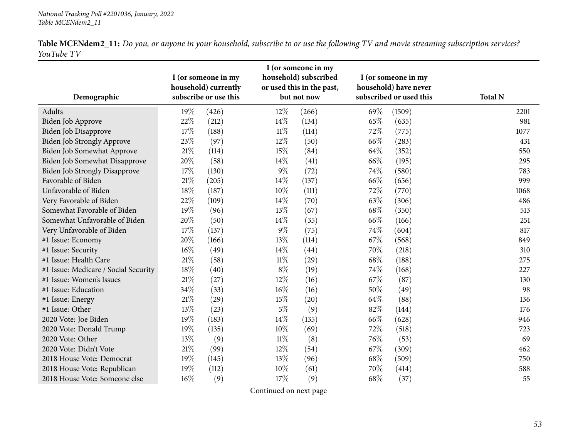| Demographic                          |        | I (or someone in my<br>household) currently<br>subscribe or use this |        | I (or someone in my<br>household) subscribed<br>or used this in the past,<br>but not now |      | I (or someone in my<br>household) have never<br>subscribed or used this | <b>Total N</b> |
|--------------------------------------|--------|----------------------------------------------------------------------|--------|------------------------------------------------------------------------------------------|------|-------------------------------------------------------------------------|----------------|
| Adults                               | 19%    | (426)                                                                | 12%    | (266)                                                                                    | 69%  | (1509)                                                                  | 2201           |
| Biden Job Approve                    | 22%    | (212)                                                                | $14\%$ | (134)                                                                                    | 65%  | (635)                                                                   | 981            |
| Biden Job Disapprove                 | $17\%$ | (188)                                                                | $11\%$ | (114)                                                                                    | 72%  | (775)                                                                   | 1077           |
| <b>Biden Job Strongly Approve</b>    | 23%    | (97)                                                                 | 12%    | (50)                                                                                     | 66%  | (283)                                                                   | 431            |
| Biden Job Somewhat Approve           | $21\%$ | (114)                                                                | 15%    | (84)                                                                                     | 64\% | (352)                                                                   | 550            |
| Biden Job Somewhat Disapprove        | 20%    | (58)                                                                 | 14%    | (41)                                                                                     | 66%  | (195)                                                                   | 295            |
| <b>Biden Job Strongly Disapprove</b> | 17%    | (130)                                                                | 9%     | (72)                                                                                     | 74%  | (580)                                                                   | 783            |
| Favorable of Biden                   | $21\%$ | (205)                                                                | 14%    | (137)                                                                                    | 66%  | (656)                                                                   | 999            |
| Unfavorable of Biden                 | 18%    | (187)                                                                | $10\%$ | (111)                                                                                    | 72%  | (770)                                                                   | 1068           |
| Very Favorable of Biden              | 22%    | (109)                                                                | 14%    | (70)                                                                                     | 63%  | (306)                                                                   | 486            |
| Somewhat Favorable of Biden          | 19%    | (96)                                                                 | 13%    | (67)                                                                                     | 68%  | (350)                                                                   | 513            |
| Somewhat Unfavorable of Biden        | 20%    | (50)                                                                 | $14\%$ | (35)                                                                                     | 66%  | (166)                                                                   | 251            |
| Very Unfavorable of Biden            | 17%    | (137)                                                                | $9\%$  | (75)                                                                                     | 74%  | (604)                                                                   | 817            |
| #1 Issue: Economy                    | 20%    | (166)                                                                | 13%    | (114)                                                                                    | 67\% | (568)                                                                   | 849            |
| #1 Issue: Security                   | $16\%$ | (49)                                                                 | 14%    | (44)                                                                                     | 70%  | (218)                                                                   | 310            |
| #1 Issue: Health Care                | $21\%$ | (58)                                                                 | $11\%$ | (29)                                                                                     | 68%  | (188)                                                                   | 275            |
| #1 Issue: Medicare / Social Security | $18\%$ | (40)                                                                 | $8\%$  | (19)                                                                                     | 74%  | (168)                                                                   | 227            |
| #1 Issue: Women's Issues             | $21\%$ | (27)                                                                 | 12%    | (16)                                                                                     | 67%  | (87)                                                                    | 130            |
| #1 Issue: Education                  | 34%    | (33)                                                                 | $16\%$ | (16)                                                                                     | 50%  | (49)                                                                    | 98             |
| #1 Issue: Energy                     | $21\%$ | (29)                                                                 | 15%    | (20)                                                                                     | 64%  | (88)                                                                    | 136            |
| #1 Issue: Other                      | 13%    | (23)                                                                 | $5\%$  | (9)                                                                                      | 82%  | (144)                                                                   | 176            |
| 2020 Vote: Joe Biden                 | 19%    | (183)                                                                | 14%    | (135)                                                                                    | 66%  | (628)                                                                   | 946            |
| 2020 Vote: Donald Trump              | 19%    | (135)                                                                | 10%    | (69)                                                                                     | 72%  | (518)                                                                   | 723            |
| 2020 Vote: Other                     | 13%    | (9)                                                                  | $11\%$ | (8)                                                                                      | 76%  | (53)                                                                    | 69             |
| 2020 Vote: Didn't Vote               | $21\%$ | (99)                                                                 | $12\%$ | (54)                                                                                     | 67\% | (309)                                                                   | 462            |
| 2018 House Vote: Democrat            | 19%    | (145)                                                                | 13%    | (96)                                                                                     | 68%  | (509)                                                                   | 750            |
| 2018 House Vote: Republican          | 19%    | (112)                                                                | 10%    | (61)                                                                                     | 70%  | (414)                                                                   | 588            |
| 2018 House Vote: Someone else        | $16\%$ | (9)                                                                  | 17%    | (9)                                                                                      | 68%  | (37)                                                                    | 55             |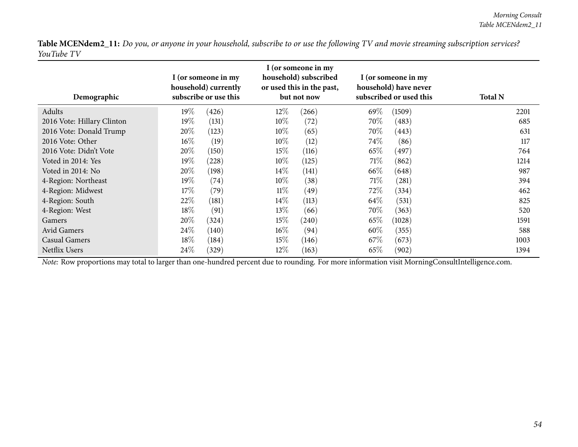| Demographic                |        | I (or someone in my<br>household) currently<br>subscribe or use this |        | I (or someone in my<br>household) subscribed<br>or used this in the past,<br>but not now |        | I (or someone in my<br>household) have never<br>subscribed or used this | <b>Total N</b> |
|----------------------------|--------|----------------------------------------------------------------------|--------|------------------------------------------------------------------------------------------|--------|-------------------------------------------------------------------------|----------------|
| Adults                     | 19%    | (426)                                                                | $12\%$ | (266)                                                                                    | 69%    | (1509)                                                                  | 2201           |
| 2016 Vote: Hillary Clinton | $19\%$ | (131)                                                                | $10\%$ | (72)                                                                                     | 70\%   | (483)                                                                   | 685            |
| 2016 Vote: Donald Trump    | 20%    | (123)                                                                | $10\%$ | (65)                                                                                     | 70\%   | (443)                                                                   | 631            |
| 2016 Vote: Other           | $16\%$ | (19)                                                                 | $10\%$ | (12)                                                                                     | 74\%   | (86)                                                                    | 117            |
| 2016 Vote: Didn't Vote     | 20%    | (150)                                                                | $15\%$ | (116)                                                                                    | 65\%   | (497)                                                                   | 764            |
| Voted in 2014: Yes         | $19\%$ | (228)                                                                | $10\%$ | (125)                                                                                    | 71%    | (862)                                                                   | 1214           |
| Voted in 2014: No          | 20%    | (198)                                                                | $14\%$ | (141)                                                                                    | 66\%   | (648)                                                                   | 987            |
| 4-Region: Northeast        | 19%    | (74)                                                                 | $10\%$ | (38)                                                                                     | $71\%$ | (281)                                                                   | 394            |
| 4-Region: Midwest          | 17\%   | (79)                                                                 | $11\%$ | (49)                                                                                     | 72\%   | (334)                                                                   | 462            |
| 4-Region: South            | 22%    | (181)                                                                | $14\%$ | (113)                                                                                    | 64\%   | (531)                                                                   | 825            |
| 4-Region: West             | $18\%$ | (91)                                                                 | $13\%$ | (66)                                                                                     | 70\%   | (363)                                                                   | 520            |
| Gamers                     | 20%    | (324)                                                                | $15\%$ | (240)                                                                                    | 65\%   | (1028)                                                                  | 1591           |
| Avid Gamers                | 24%    | (140)                                                                | $16\%$ | (94)                                                                                     | $60\%$ | (355)                                                                   | 588            |
| <b>Casual Gamers</b>       | $18\%$ | (184)                                                                | 15%    | (146)                                                                                    | 67\%   | (673)                                                                   | 1003           |
| Netflix Users              | 24%    | (329)                                                                | $12\%$ | (163)                                                                                    | 65\%   | (902)                                                                   | 1394           |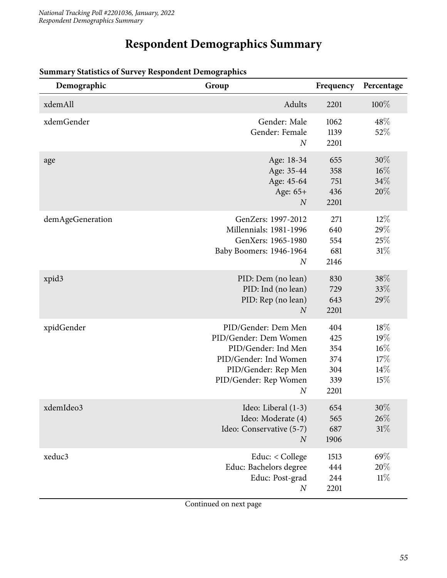# **Respondent Demographics Summary**

| Demographic      | Group                                                                                                                                                            | Frequency                                      | Percentage                                |
|------------------|------------------------------------------------------------------------------------------------------------------------------------------------------------------|------------------------------------------------|-------------------------------------------|
| xdemAll          | Adults                                                                                                                                                           | 2201                                           | 100%                                      |
| xdemGender       | Gender: Male<br>Gender: Female<br>$\boldsymbol{N}$                                                                                                               | 1062<br>1139<br>2201                           | 48\%<br>52%                               |
| age              | Age: 18-34<br>Age: 35-44<br>Age: 45-64<br>Age: 65+<br>$\boldsymbol{N}$                                                                                           | 655<br>358<br>751<br>436<br>2201               | 30%<br>$16\%$<br>34%<br>20%               |
| demAgeGeneration | GenZers: 1997-2012<br>Millennials: 1981-1996<br>GenXers: 1965-1980<br>Baby Boomers: 1946-1964<br>$\boldsymbol{N}$                                                | 271<br>640<br>554<br>681<br>2146               | $12\%$<br>29%<br>25%<br>31%               |
| xpid3            | PID: Dem (no lean)<br>PID: Ind (no lean)<br>PID: Rep (no lean)<br>$\boldsymbol{N}$                                                                               | 830<br>729<br>643<br>2201                      | 38%<br>33%<br>29%                         |
| xpidGender       | PID/Gender: Dem Men<br>PID/Gender: Dem Women<br>PID/Gender: Ind Men<br>PID/Gender: Ind Women<br>PID/Gender: Rep Men<br>PID/Gender: Rep Women<br>$\boldsymbol{N}$ | 404<br>425<br>354<br>374<br>304<br>339<br>2201 | 18%<br>19%<br>$16\%$<br>17%<br>14%<br>15% |
| xdemIdeo3        | Ideo: Liberal (1-3)<br>Ideo: Moderate (4)<br>Ideo: Conservative (5-7)<br>$\boldsymbol{N}$                                                                        | 654<br>565<br>687<br>1906                      | 30%<br>26%<br>31%                         |
| xeduc3           | Educ: < College<br>Educ: Bachelors degree<br>Educ: Post-grad<br>$\boldsymbol{N}$                                                                                 | 1513<br>444<br>244<br>2201                     | 69%<br>20%<br>11%                         |

#### <span id="page-54-0"></span>**Summary Statistics of Survey Respondent Demographics**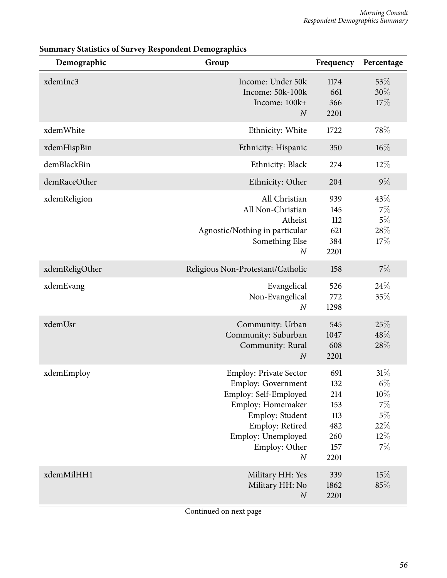| Demographic    | Group                                                                                                                                                                                                     | Frequency                                                    | Percentage                                                         |
|----------------|-----------------------------------------------------------------------------------------------------------------------------------------------------------------------------------------------------------|--------------------------------------------------------------|--------------------------------------------------------------------|
| xdemInc3       | Income: Under 50k<br>Income: 50k-100k<br>Income: 100k+<br>$\boldsymbol{N}$                                                                                                                                | 1174<br>661<br>366<br>2201                                   | 53%<br>30%<br>17%                                                  |
| xdemWhite      | Ethnicity: White                                                                                                                                                                                          | 1722                                                         | 78%                                                                |
| xdemHispBin    | Ethnicity: Hispanic                                                                                                                                                                                       | 350                                                          | $16\%$                                                             |
| demBlackBin    | Ethnicity: Black                                                                                                                                                                                          | 274                                                          | 12%                                                                |
| demRaceOther   | Ethnicity: Other                                                                                                                                                                                          | 204                                                          | $9\%$                                                              |
| xdemReligion   | All Christian<br>All Non-Christian<br>Atheist<br>Agnostic/Nothing in particular<br>Something Else<br>$\boldsymbol{N}$                                                                                     | 939<br>145<br>112<br>621<br>384<br>2201                      | 43%<br>7%<br>$5\%$<br>28%<br>17%                                   |
| xdemReligOther | Religious Non-Protestant/Catholic                                                                                                                                                                         | 158                                                          | $7\%$                                                              |
| xdemEvang      | Evangelical<br>Non-Evangelical<br>$\boldsymbol{N}$                                                                                                                                                        | 526<br>772<br>1298                                           | 24\%<br>35%                                                        |
| xdemUsr        | Community: Urban<br>Community: Suburban<br>Community: Rural<br>$\boldsymbol{N}$                                                                                                                           | 545<br>1047<br>608<br>2201                                   | 25%<br>48%<br>28%                                                  |
| xdemEmploy     | <b>Employ: Private Sector</b><br><b>Employ: Government</b><br>Employ: Self-Employed<br>Employ: Homemaker<br>Employ: Student<br>Employ: Retired<br>Employ: Unemployed<br>Employ: Other<br>$\boldsymbol{N}$ | 691<br>132<br>214<br>153<br>113<br>482<br>260<br>157<br>2201 | 31%<br>$6\%$<br>$10\%$<br>7%<br>$5\%$<br>$22\%$<br>$12\%$<br>$7\%$ |
| xdemMilHH1     | Military HH: Yes<br>Military HH: No<br>$\cal N$                                                                                                                                                           | 339<br>1862<br>2201                                          | 15%<br>85%                                                         |

#### **Summary Statistics of Survey Respondent Demographics**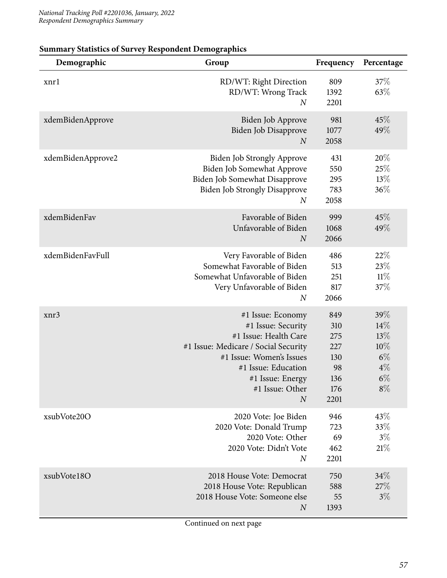| Demographic       | Group                                                                                                                                                                                                                  | Frequency                                                   | Percentage                                                   |
|-------------------|------------------------------------------------------------------------------------------------------------------------------------------------------------------------------------------------------------------------|-------------------------------------------------------------|--------------------------------------------------------------|
| xnrl              | RD/WT: Right Direction<br>RD/WT: Wrong Track<br>$\boldsymbol{N}$                                                                                                                                                       | 809<br>1392<br>2201                                         | 37\%<br>63%                                                  |
| xdemBidenApprove  | Biden Job Approve<br>Biden Job Disapprove<br>$\boldsymbol{N}$                                                                                                                                                          | 981<br>1077<br>2058                                         | 45%<br>49%                                                   |
| xdemBidenApprove2 | <b>Biden Job Strongly Approve</b><br>Biden Job Somewhat Approve<br>Biden Job Somewhat Disapprove<br><b>Biden Job Strongly Disapprove</b><br>$\boldsymbol{N}$                                                           | 431<br>550<br>295<br>783<br>2058                            | 20%<br>25%<br>13%<br>36%                                     |
| xdemBidenFav      | Favorable of Biden<br>Unfavorable of Biden<br>$\boldsymbol{N}$                                                                                                                                                         | 999<br>1068<br>2066                                         | 45%<br>49%                                                   |
| xdemBidenFavFull  | Very Favorable of Biden<br>Somewhat Favorable of Biden<br>Somewhat Unfavorable of Biden<br>Very Unfavorable of Biden<br>$\boldsymbol{N}$                                                                               | 486<br>513<br>251<br>817<br>2066                            | 22%<br>23%<br>$11\%$<br>37%                                  |
| xnr3              | #1 Issue: Economy<br>#1 Issue: Security<br>#1 Issue: Health Care<br>#1 Issue: Medicare / Social Security<br>#1 Issue: Women's Issues<br>#1 Issue: Education<br>#1 Issue: Energy<br>#1 Issue: Other<br>$\boldsymbol{N}$ | 849<br>310<br>275<br>227<br>130<br>98<br>136<br>176<br>2201 | 39%<br>14%<br>13%<br>10%<br>$6\%$<br>$4\%$<br>$6\%$<br>$8\%$ |
| xsubVote20O       | 2020 Vote: Joe Biden<br>2020 Vote: Donald Trump<br>2020 Vote: Other<br>2020 Vote: Didn't Vote<br>$\boldsymbol{N}$                                                                                                      | 946<br>723<br>69<br>462<br>2201                             | 43%<br>33%<br>$3\%$<br>21%                                   |
| xsubVote18O       | 2018 House Vote: Democrat<br>2018 House Vote: Republican<br>2018 House Vote: Someone else<br>$\boldsymbol{N}$                                                                                                          | 750<br>588<br>55<br>1393                                    | 34%<br>27%<br>$3\%$                                          |

#### **Summary Statistics of Survey Respondent Demographics**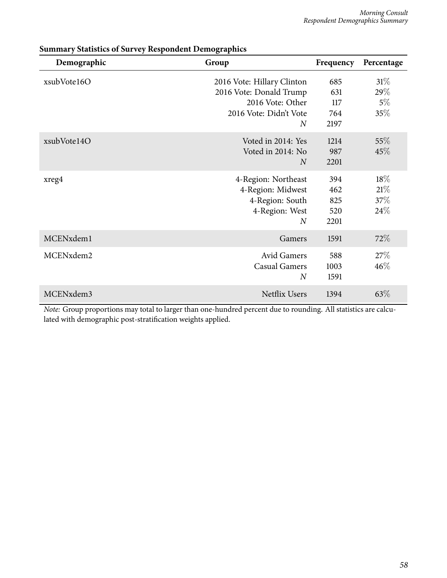| Demographic | Group                                                                                                                 | Frequency                        | Percentage                       |
|-------------|-----------------------------------------------------------------------------------------------------------------------|----------------------------------|----------------------------------|
| xsubVote16O | 2016 Vote: Hillary Clinton<br>2016 Vote: Donald Trump<br>2016 Vote: Other<br>2016 Vote: Didn't Vote<br>$\overline{N}$ | 685<br>631<br>117<br>764<br>2197 | $31\%$<br>29%<br>$5\%$<br>$35\%$ |
| xsubVote14O | Voted in 2014: Yes<br>Voted in 2014: No<br>$\overline{N}$                                                             | 1214<br>987<br>2201              | $55\%$<br>45\%                   |
| xreg4       | 4-Region: Northeast<br>4-Region: Midwest<br>4-Region: South<br>4-Region: West<br>$\overline{N}$                       | 394<br>462<br>825<br>520<br>2201 | 18%<br>21%<br>37\%<br>24\%       |
| MCENxdem1   | Gamers                                                                                                                | 1591                             | $72\%$                           |
| MCENxdem2   | <b>Avid Gamers</b><br><b>Casual Gamers</b><br>$\overline{N}$                                                          | 588<br>1003<br>1591              | 27\%<br>46%                      |
| MCENxdem3   | <b>Netflix Users</b>                                                                                                  | 1394                             | $63\%$                           |

#### **Summary Statistics of Survey Respondent Demographics**

*Note:* Group proportions may total to larger than one-hundred percent due to rounding. All statistics are calculated with demographic post-stratification weights applied.